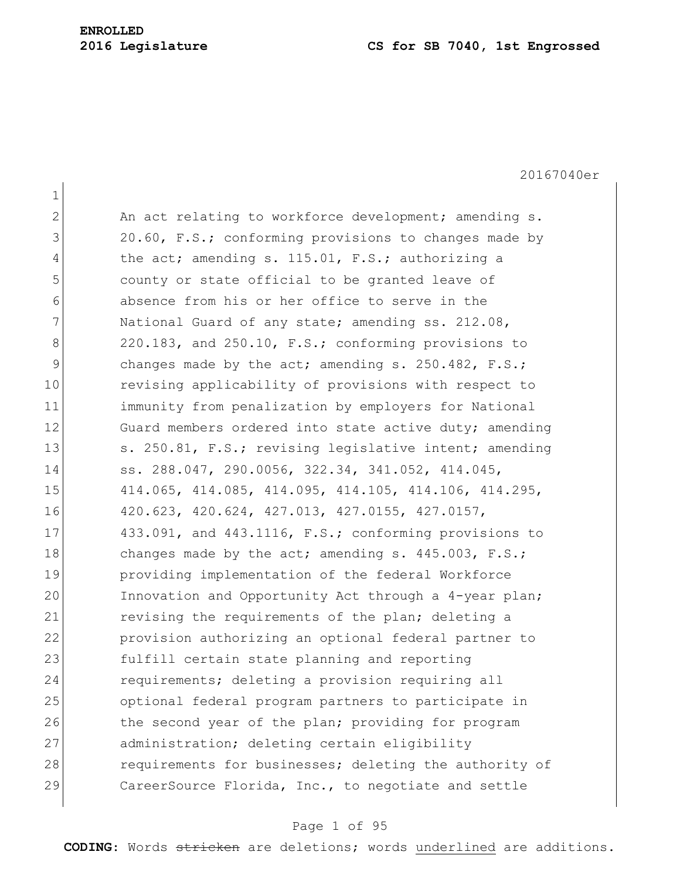|              | 20167040er                                                              |
|--------------|-------------------------------------------------------------------------|
| 1            |                                                                         |
| $\mathbf{2}$ | An act relating to workforce development; amending s.                   |
| 3            | 20.60, F.S.; conforming provisions to changes made by                   |
| 4            | the act; amending s. 115.01, F.S.; authorizing a                        |
| 5            | county or state official to be granted leave of                         |
| 6            | absence from his or her office to serve in the                          |
| 7            | National Guard of any state; amending ss. 212.08,                       |
| $8\,$        | 220.183, and 250.10, F.S.; conforming provisions to                     |
| 9            | changes made by the act; amending s. $250.482$ , F.S.;                  |
| 10           | revising applicability of provisions with respect to                    |
| 11           | immunity from penalization by employers for National                    |
| 12           | Guard members ordered into state active duty; amending                  |
| 13           | s. 250.81, F.S.; revising legislative intent; amending                  |
| 14           | ss. 288.047, 290.0056, 322.34, 341.052, 414.045,                        |
| 15           | $414.065$ , $414.085$ , $414.095$ , $414.105$ , $414.106$ , $414.295$ , |
| 16           | 420.623, 420.624, 427.013, 427.0155, 427.0157,                          |
| 17           | 433.091, and 443.1116, F.S.; conforming provisions to                   |
| 18           | changes made by the act; amending s. $445.003$ , F.S.;                  |
| 19           | providing implementation of the federal Workforce                       |
| 20           | Innovation and Opportunity Act through a 4-year plan;                   |
| 21           | revising the requirements of the plan; deleting a                       |
| 22           | provision authorizing an optional federal partner to                    |
| 23           | fulfill certain state planning and reporting                            |
| 24           | requirements; deleting a provision requiring all                        |
| 25           | optional federal program partners to participate in                     |
| 26           | the second year of the plan; providing for program                      |
| 27           | administration; deleting certain eligibility                            |
| 28           | requirements for businesses; deleting the authority of                  |
| 29           | CareerSource Florida, Inc., to negotiate and settle                     |
|              |                                                                         |

# Page 1 of 95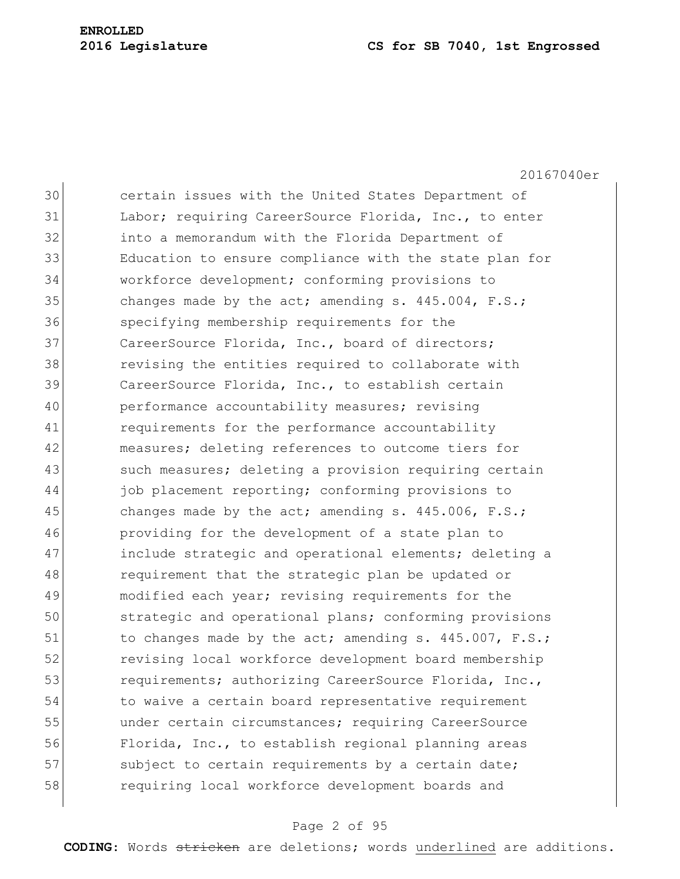# **ENROLLED**

### **2016 Legislature CS for SB 7040, 1st Engrossed**

20167040er 30 certain issues with the United States Department of 31 Labor; requiring CareerSource Florida, Inc., to enter 32 into a memorandum with the Florida Department of 33 Education to ensure compliance with the state plan for 34 workforce development; conforming provisions to 35 changes made by the act; amending s.  $445.004$ , F.S.; 36 specifying membership requirements for the 37 CareerSource Florida, Inc., board of directors; 38 **reading** the entities required to collaborate with 39 CareerSource Florida, Inc., to establish certain 40 performance accountability measures; revising 41 requirements for the performance accountability 42 measures; deleting references to outcome tiers for 43 such measures; deleting a provision requiring certain 44 iob placement reporting; conforming provisions to 45 changes made by the act; amending s. 445.006, F.S.; 46 providing for the development of a state plan to 47 include strategic and operational elements; deleting a 48 requirement that the strategic plan be updated or 49 modified each year; revising requirements for the 50 strategic and operational plans; conforming provisions 51 to changes made by the act; amending s.  $445.007$ , F.S.; 52 revising local workforce development board membership 53 requirements; authorizing CareerSource Florida, Inc., 54 to waive a certain board representative requirement 55 under certain circumstances; requiring CareerSource 56 Florida, Inc., to establish regional planning areas 57 subject to certain requirements by a certain date; 58 requiring local workforce development boards and

### Page 2 of 95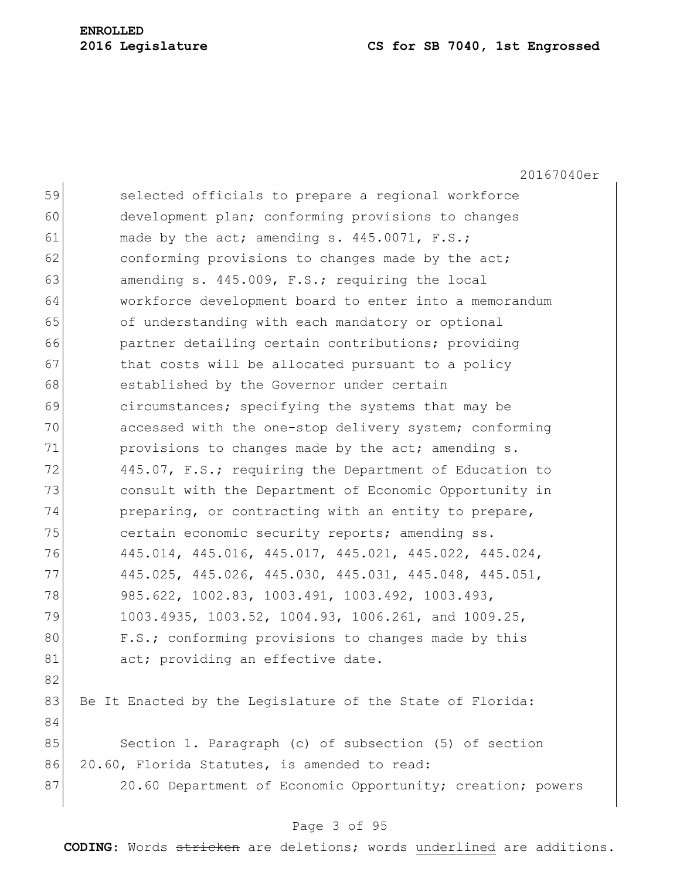20167040er 59 Selected officials to prepare a regional workforce 60 development plan; conforming provisions to changes 61 made by the act; amending s.  $445.0071$ , F.S.; 62 conforming provisions to changes made by the act; 63 amending s. 445.009, F.S.; requiring the local 64 workforce development board to enter into a memorandum 65 of understanding with each mandatory or optional 66 **partner detailing certain contributions;** providing 67 bhat costs will be allocated pursuant to a policy 68 established by the Governor under certain 69 circumstances; specifying the systems that may be 70 accessed with the one-stop delivery system; conforming 71 provisions to changes made by the act; amending s. 72 445.07, F.S.; requiring the Department of Education to 73 consult with the Department of Economic Opportunity in 74 preparing, or contracting with an entity to prepare, 75 certain economic security reports; amending ss. 76 445.014, 445.016, 445.017, 445.021, 445.022, 445.024, 77 445.025, 445.026, 445.030, 445.031, 445.048, 445.051, 78 985.622, 1002.83, 1003.491, 1003.492, 1003.493, 79 1003.4935, 1003.52, 1004.93, 1006.261, and 1009.25, 80 F.S.; conforming provisions to changes made by this 81 act; providing an effective date. 82 83 Be It Enacted by the Legislature of the State of Florida: 84 85 Section 1. Paragraph (c) of subsection (5) of section 86 20.60, Florida Statutes, is amended to read: 87 20.60 Department of Economic Opportunity; creation; powers

### Page 3 of 95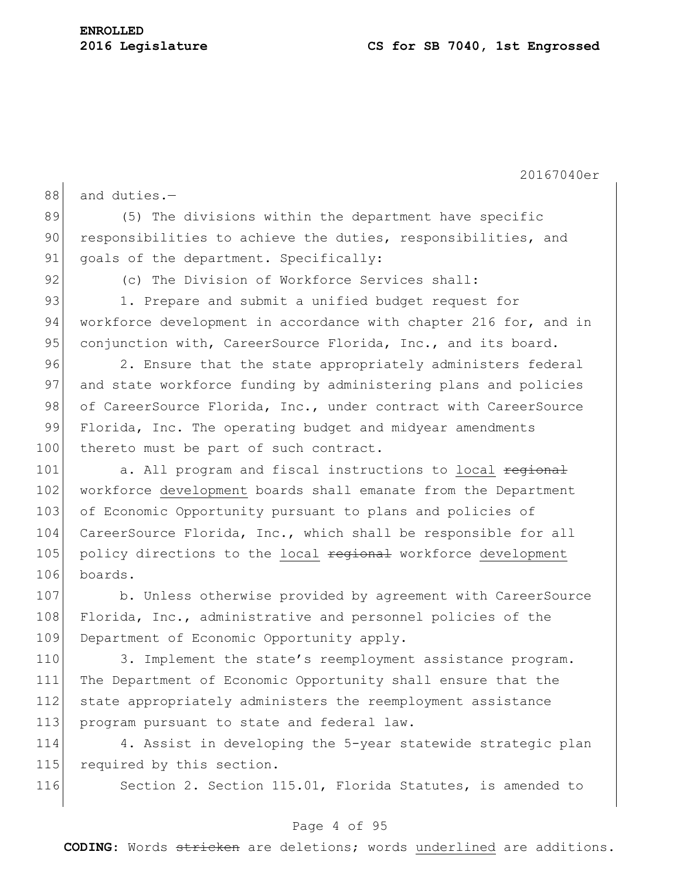20167040er 88 and duties.-89 (5) The divisions within the department have specific 90 responsibilities to achieve the duties, responsibilities, and 91 goals of the department. Specifically: 92 (c) The Division of Workforce Services shall: 93 1. Prepare and submit a unified budget request for 94 workforce development in accordance with chapter 216 for, and in 95 conjunction with, CareerSource Florida, Inc., and its board. 96 2. Ensure that the state appropriately administers federal 97 and state workforce funding by administering plans and policies 98 of CareerSource Florida, Inc., under contract with CareerSource 99 Florida, Inc. The operating budget and midyear amendments 100 thereto must be part of such contract. 101 a. All program and fiscal instructions to local regional 102 workforce development boards shall emanate from the Department 103 of Economic Opportunity pursuant to plans and policies of 104 CareerSource Florida, Inc., which shall be responsible for all 105 policy directions to the local regional workforce development 106 boards. 107 b. Unless otherwise provided by agreement with CareerSource 108 Florida, Inc., administrative and personnel policies of the 109 Department of Economic Opportunity apply. 110 3. Implement the state's reemployment assistance program. 111 The Department of Economic Opportunity shall ensure that the 112 state appropriately administers the reemployment assistance

113 program pursuant to state and federal law.

114 4. Assist in developing the 5-year statewide strategic plan 115 required by this section.

116 Section 2. Section 115.01, Florida Statutes, is amended to

### Page 4 of 95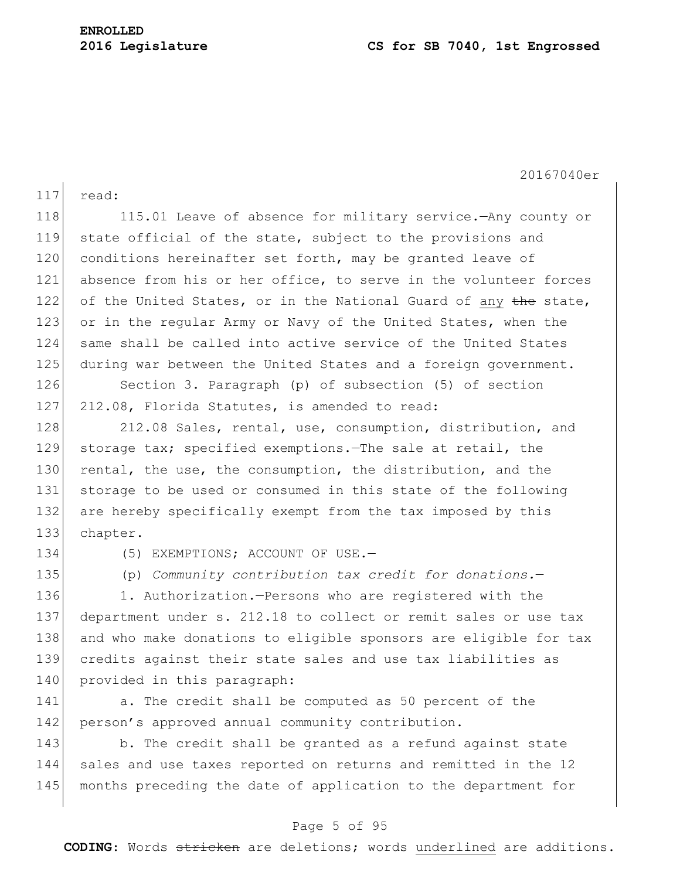117 read:

118 115.01 Leave of absence for military service.—Any county or 119 state official of the state, subject to the provisions and 120 conditions hereinafter set forth, may be granted leave of 121 absence from his or her office, to serve in the volunteer forces 122 of the United States, or in the National Guard of any the state, 123 or in the regular Army or Navy of the United States, when the 124 same shall be called into active service of the United States 125 during war between the United States and a foreign government.

126 Section 3. Paragraph (p) of subsection (5) of section 127 212.08, Florida Statutes, is amended to read:

128 212.08 Sales, rental, use, consumption, distribution, and 129 storage tax; specified exemptions.—The sale at retail, the 130 rental, the use, the consumption, the distribution, and the 131 storage to be used or consumed in this state of the following 132 are hereby specifically exempt from the tax imposed by this 133 chapter.

134 (5) EXEMPTIONS; ACCOUNT OF USE.

135 (p) *Community contribution tax credit for donations.*—

136 1. Authorization.—Persons who are registered with the 137 department under s. 212.18 to collect or remit sales or use tax 138 and who make donations to eligible sponsors are eligible for tax 139 credits against their state sales and use tax liabilities as 140 provided in this paragraph:

141 a. The credit shall be computed as 50 percent of the 142 person's approved annual community contribution.

143 b. The credit shall be granted as a refund against state 144 sales and use taxes reported on returns and remitted in the 12 145 months preceding the date of application to the department for

### Page 5 of 95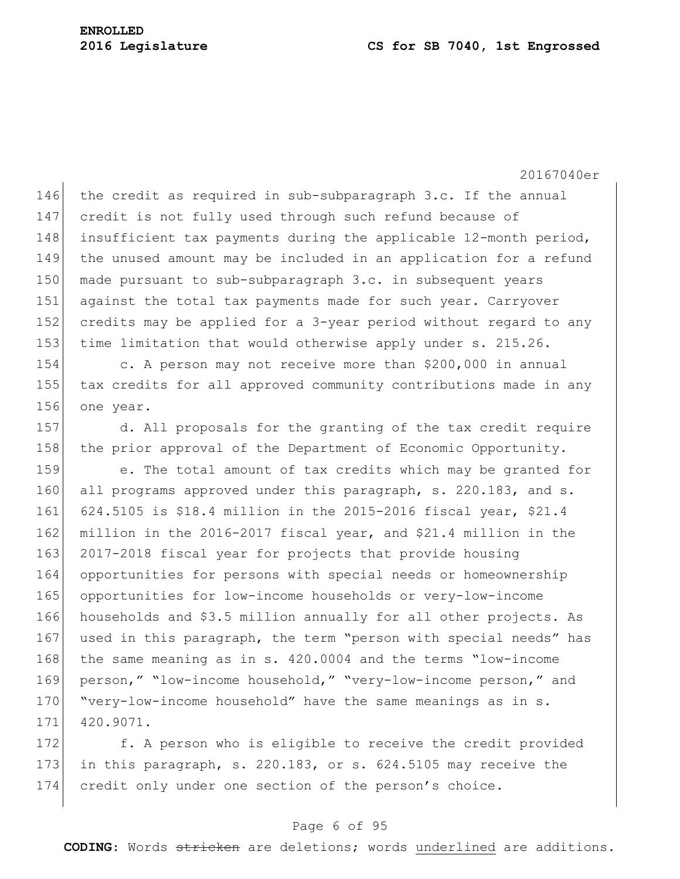20167040er

146 the credit as required in sub-subparagraph  $3.c.$  If the annual 147 credit is not fully used through such refund because of 148 insufficient tax payments during the applicable 12-month period, 149 the unused amount may be included in an application for a refund 150 made pursuant to sub-subparagraph 3.c. in subsequent years 151 against the total tax payments made for such year. Carryover 152 credits may be applied for a 3-year period without regard to any 153 time limitation that would otherwise apply under s. 215.26.

154 c. A person may not receive more than \$200,000 in annual 155 tax credits for all approved community contributions made in any 156 one year.

157 d. All proposals for the granting of the tax credit require 158 the prior approval of the Department of Economic Opportunity.

159 e. The total amount of tax credits which may be granted for 160 all programs approved under this paragraph, s. 220.183, and s. 161 624.5105 is \$18.4 million in the 2015-2016 fiscal year, \$21.4 162 million in the 2016-2017 fiscal year, and \$21.4 million in the 163 2017-2018 fiscal year for projects that provide housing 164 opportunities for persons with special needs or homeownership 165 opportunities for low-income households or very-low-income 166 households and \$3.5 million annually for all other projects. As 167 used in this paragraph, the term "person with special needs" has 168 the same meaning as in s. 420.0004 and the terms "low-income" 169 person," "low-income household," "very-low-income person," and 170 "very-low-income household" have the same meanings as in s. 171 420.9071.

172 f. A person who is eligible to receive the credit provided 173 in this paragraph, s. 220.183, or s.  $624.5105$  may receive the 174 credit only under one section of the person's choice.

### Page 6 of 95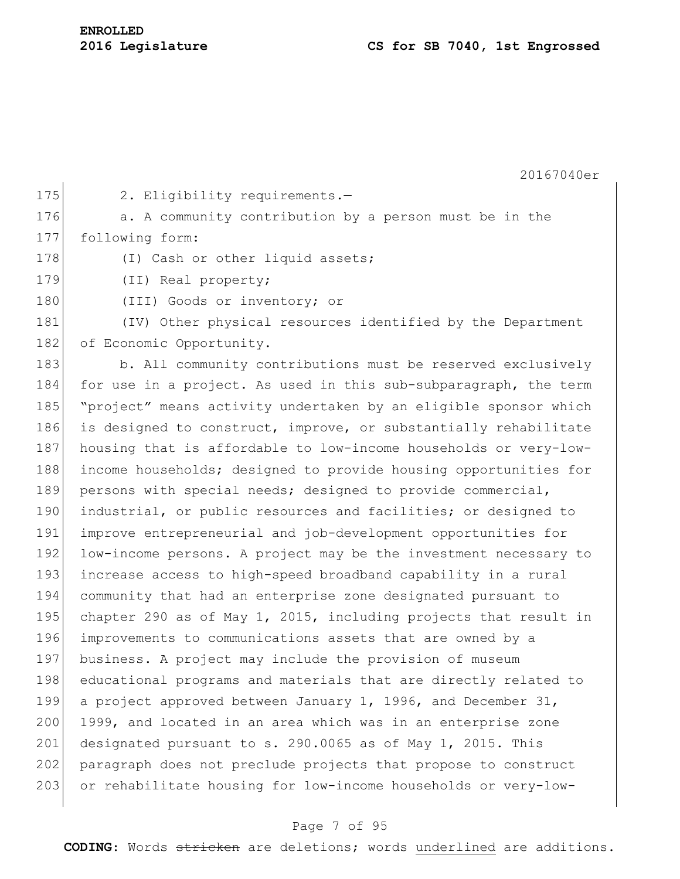175 2. Eligibility requirements.-176 a. A community contribution by a person must be in the 177 following form: 178 (I) Cash or other liquid assets; 179 (II) Real property; 180 (III) Goods or inventory; or 181 (IV) Other physical resources identified by the Department 182 of Economic Opportunity. 183 b. All community contributions must be reserved exclusively 184 for use in a project. As used in this sub-subparagraph, the term 185 | "project" means activity undertaken by an eligible sponsor which 186 is designed to construct, improve, or substantially rehabilitate 187 housing that is affordable to low-income households or very-low-188 income households; designed to provide housing opportunities for 189 persons with special needs; designed to provide commercial, 190 industrial, or public resources and facilities; or designed to 191 improve entrepreneurial and job-development opportunities for 192 low-income persons. A project may be the investment necessary to 193 increase access to high-speed broadband capability in a rural 194 community that had an enterprise zone designated pursuant to 195 chapter 290 as of May 1, 2015, including projects that result in 196 improvements to communications assets that are owned by a 197 business. A project may include the provision of museum 198 educational programs and materials that are directly related to 199 a project approved between January 1, 1996, and December 31, 200 1999, and located in an area which was in an enterprise zone 201 designated pursuant to s. 290.0065 as of May 1, 2015. This 202 paragraph does not preclude projects that propose to construct 203 or rehabilitate housing for low-income households or very-low-

### Page 7 of 95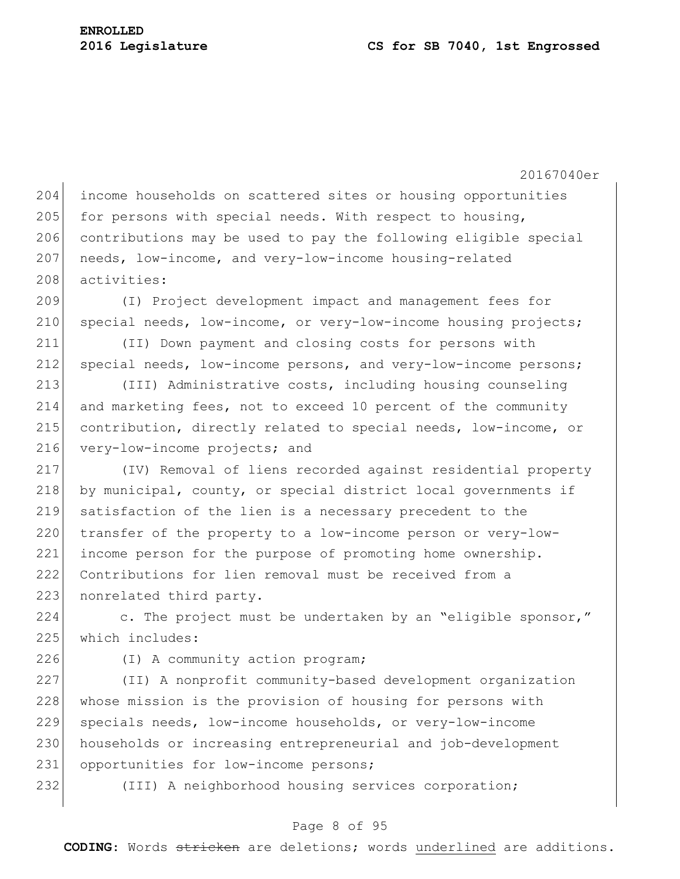20167040er 204 income households on scattered sites or housing opportunities 205 for persons with special needs. With respect to housing, 206 contributions may be used to pay the following eligible special 207 needs, low-income, and very-low-income housing-related 208 activities: 209 (I) Project development impact and management fees for 210 special needs, low-income, or very-low-income housing projects; 211 (II) Down payment and closing costs for persons with 212 special needs, low-income persons, and very-low-income persons; 213 (III) Administrative costs, including housing counseling 214 and marketing fees, not to exceed 10 percent of the community 215 contribution, directly related to special needs, low-income, or 216 very-low-income projects; and 217 (IV) Removal of liens recorded against residential property 218 by municipal, county, or special district local governments if 219 satisfaction of the lien is a necessary precedent to the 220 transfer of the property to a low-income person or very-low-221 income person for the purpose of promoting home ownership. 222 Contributions for lien removal must be received from a 223 nonrelated third party. 224 c. The project must be undertaken by an "eligible sponsor," 225 which includes: 226 (I) A community action program; 227 (II) A nonprofit community-based development organization 228 whose mission is the provision of housing for persons with 229 specials needs, low-income households, or very-low-income 230 households or increasing entrepreneurial and job-development

231 opportunities for low-income persons;

232 (III) A neighborhood housing services corporation;

## Page 8 of 95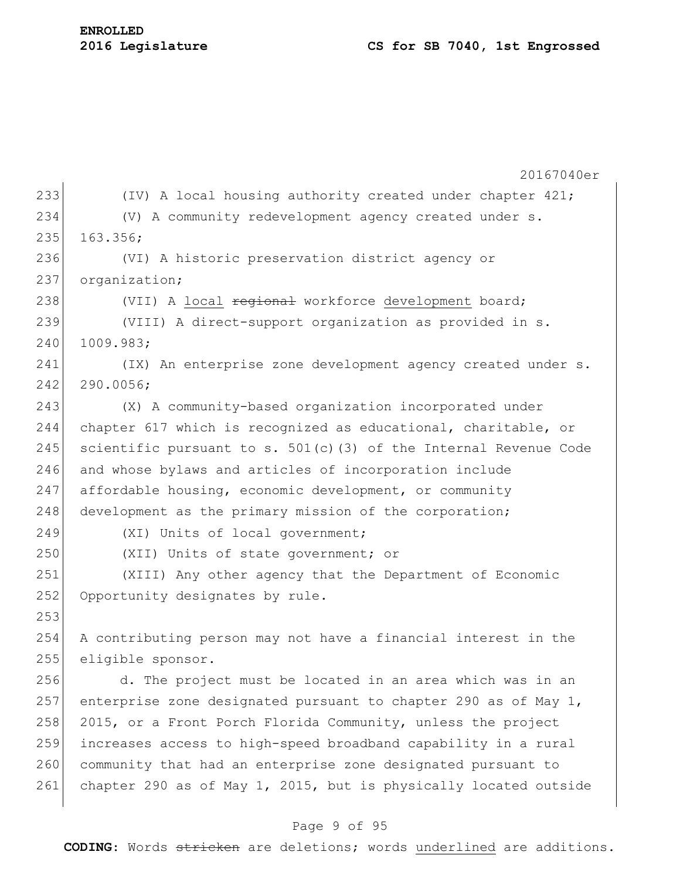|     | 20167040er                                                          |
|-----|---------------------------------------------------------------------|
| 233 | (IV) A local housing authority created under chapter 421;           |
| 234 | (V) A community redevelopment agency created under s.               |
| 235 | 163.356;                                                            |
| 236 | (VI) A historic preservation district agency or                     |
| 237 | organization;                                                       |
| 238 | (VII) A local regional workforce development board;                 |
| 239 | (VIII) A direct-support organization as provided in s.              |
| 240 | 1009.983;                                                           |
| 241 | (IX) An enterprise zone development agency created under s.         |
| 242 | 290.0056;                                                           |
| 243 | (X) A community-based organization incorporated under               |
| 244 | chapter 617 which is recognized as educational, charitable, or      |
| 245 | scientific pursuant to s. $501(c)$ (3) of the Internal Revenue Code |
| 246 | and whose bylaws and articles of incorporation include              |
| 247 | affordable housing, economic development, or community              |
| 248 | development as the primary mission of the corporation;              |
| 249 | (XI) Units of local government;                                     |
| 250 | (XII) Units of state government; or                                 |
| 251 | (XIII) Any other agency that the Department of Economic             |
| 252 | Opportunity designates by rule.                                     |
| 253 |                                                                     |
| 254 | A contributing person may not have a financial interest in the      |
| 255 | eligible sponsor.                                                   |
| 256 | d. The project must be located in an area which was in an           |
| 257 | enterprise zone designated pursuant to chapter 290 as of May 1,     |
| 258 | 2015, or a Front Porch Florida Community, unless the project        |
| 259 | increases access to high-speed broadband capability in a rural      |
| 260 | community that had an enterprise zone designated pursuant to        |
| 261 | chapter 290 as of May 1, 2015, but is physically located outside    |

# Page 9 of 95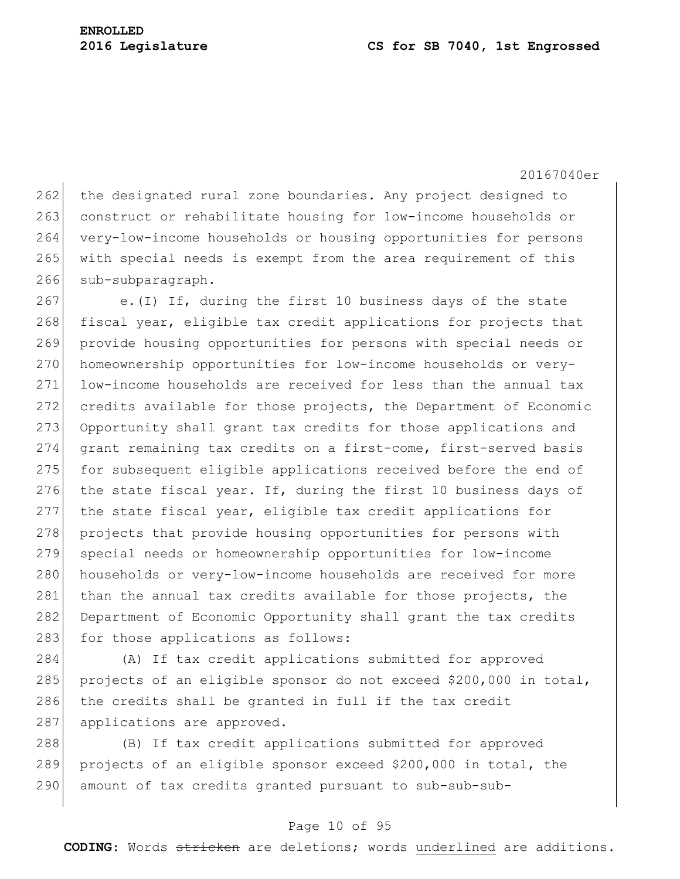262 the designated rural zone boundaries. Any project designed to 263 construct or rehabilitate housing for low-income households or 264 very-low-income households or housing opportunities for persons 265 with special needs is exempt from the area requirement of this 266 sub-subparagraph.

 $267$  e.(I) If, during the first 10 business days of the state 268 fiscal year, eligible tax credit applications for projects that 269 provide housing opportunities for persons with special needs or 270 homeownership opportunities for low-income households or very-271 low-income households are received for less than the annual tax 272 credits available for those projects, the Department of Economic 273 Opportunity shall grant tax credits for those applications and 274 grant remaining tax credits on a first-come, first-served basis 275 for subsequent eligible applications received before the end of 276 the state fiscal year. If, during the first 10 business days of 277 the state fiscal year, eligible tax credit applications for 278 projects that provide housing opportunities for persons with 279 special needs or homeownership opportunities for low-income 280 households or very-low-income households are received for more 281 than the annual tax credits available for those projects, the 282 Department of Economic Opportunity shall grant the tax credits 283 for those applications as follows:

284 (A) If tax credit applications submitted for approved 285 projects of an eligible sponsor do not exceed  $$200,000$  in total, 286 the credits shall be granted in full if the tax credit 287 applications are approved.

288 (B) If tax credit applications submitted for approved 289 projects of an eligible sponsor exceed \$200,000 in total, the 290 amount of tax credits granted pursuant to sub-sub-sub-

### Page 10 of 95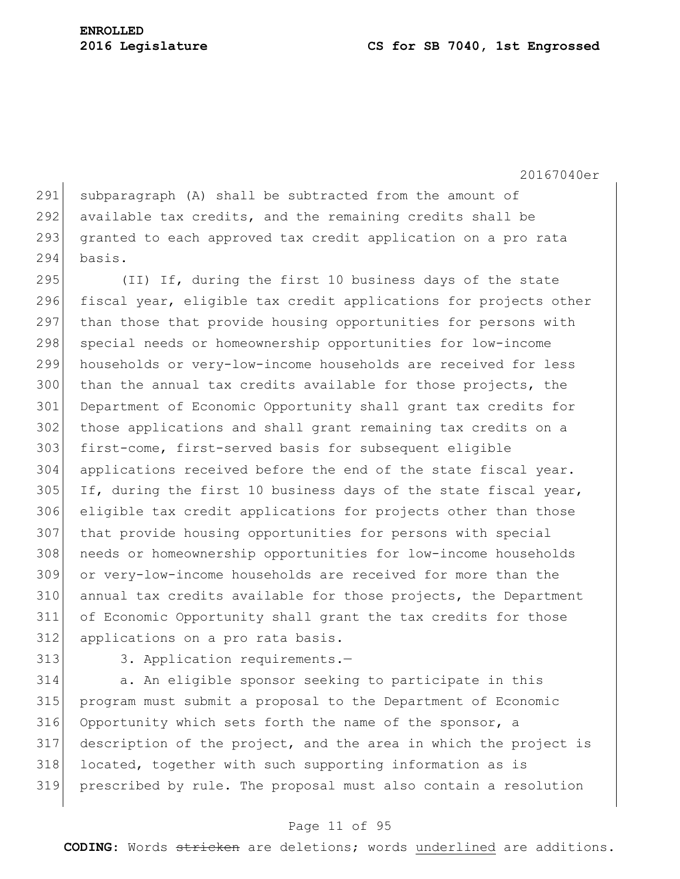291 subparagraph (A) shall be subtracted from the amount of 292 available tax credits, and the remaining credits shall be 293 granted to each approved tax credit application on a pro rata 294 basis.

295 (II) If, during the first 10 business days of the state 296 fiscal year, eligible tax credit applications for projects other than those that provide housing opportunities for persons with 298 special needs or homeownership opportunities for low-income households or very-low-income households are received for less 300 than the annual tax credits available for those projects, the Department of Economic Opportunity shall grant tax credits for 302 those applications and shall grant remaining tax credits on a first-come, first-served basis for subsequent eligible applications received before the end of the state fiscal year. 305 If, during the first 10 business days of the state fiscal year, eligible tax credit applications for projects other than those that provide housing opportunities for persons with special needs or homeownership opportunities for low-income households or very-low-income households are received for more than the annual tax credits available for those projects, the Department of Economic Opportunity shall grant the tax credits for those applications on a pro rata basis.

313 3. Application requirements.-

 a. An eligible sponsor seeking to participate in this program must submit a proposal to the Department of Economic Opportunity which sets forth the name of the sponsor, a description of the project, and the area in which the project is 318 located, together with such supporting information as is prescribed by rule. The proposal must also contain a resolution

### Page 11 of 95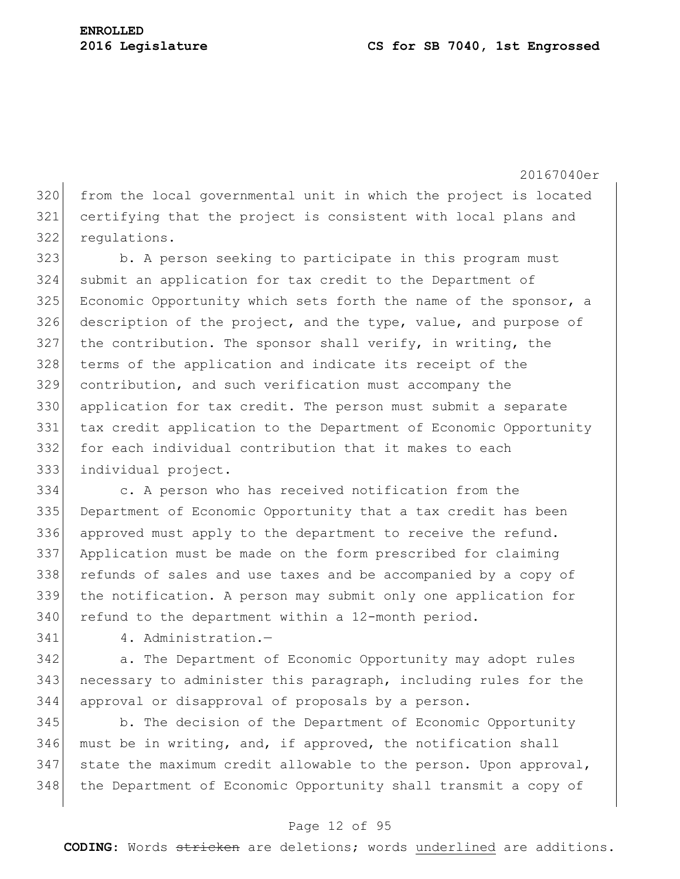20167040er 320 from the local governmental unit in which the project is located 321 certifying that the project is consistent with local plans and 322 regulations.

 b. A person seeking to participate in this program must submit an application for tax credit to the Department of Economic Opportunity which sets forth the name of the sponsor, a description of the project, and the type, value, and purpose of the contribution. The sponsor shall verify, in writing, the 328 terms of the application and indicate its receipt of the 329 contribution, and such verification must accompany the 330 | application for tax credit. The person must submit a separate tax credit application to the Department of Economic Opportunity 332 for each individual contribution that it makes to each individual project.

 c. A person who has received notification from the Department of Economic Opportunity that a tax credit has been approved must apply to the department to receive the refund. Application must be made on the form prescribed for claiming 338 refunds of sales and use taxes and be accompanied by a copy of the notification. A person may submit only one application for 340 refund to the department within a 12-month period.

341 4. Administration.—

342 a. The Department of Economic Opportunity may adopt rules 343 necessary to administer this paragraph, including rules for the 344 approval or disapproval of proposals by a person.

345 b. The decision of the Department of Economic Opportunity 346 must be in writing, and, if approved, the notification shall  $347$  state the maximum credit allowable to the person. Upon approval, 348 the Department of Economic Opportunity shall transmit a copy of

### Page 12 of 95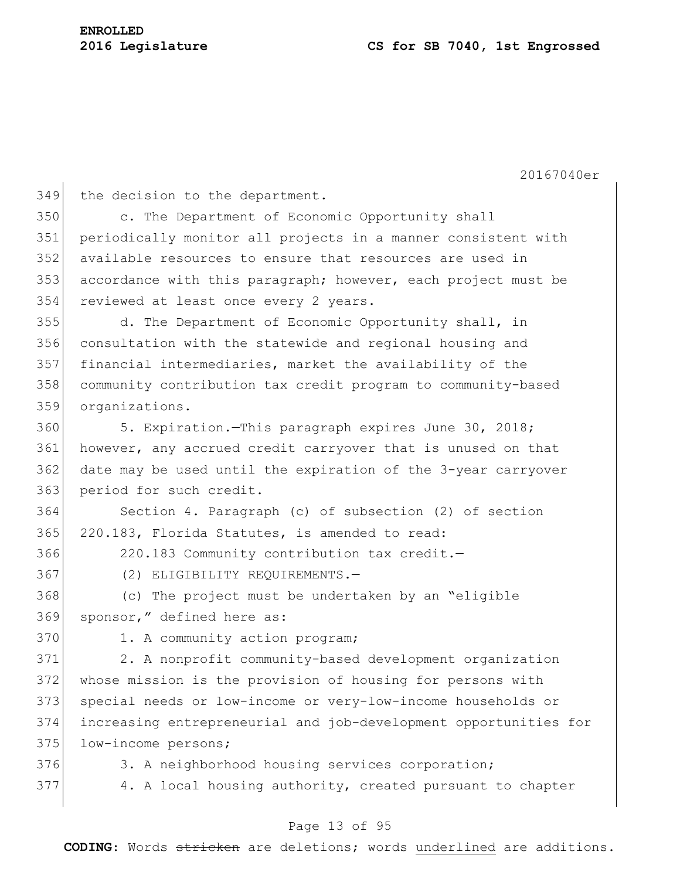349 the decision to the department. 350 c. The Department of Economic Opportunity shall 351 periodically monitor all projects in a manner consistent with 352 available resources to ensure that resources are used in 353 accordance with this paragraph; however, each project must be 354 reviewed at least once every 2 years. 355 d. The Department of Economic Opportunity shall, in 356 consultation with the statewide and regional housing and 357 financial intermediaries, market the availability of the 358 community contribution tax credit program to community-based 359 organizations. 360 5. Expiration.—This paragraph expires June 30, 2018; 361 however, any accrued credit carryover that is unused on that 362 date may be used until the expiration of the 3-year carryover 363 period for such credit. 364 Section 4. Paragraph (c) of subsection (2) of section 365 220.183, Florida Statutes, is amended to read: 366 220.183 Community contribution tax credit.— 367 (2) ELIGIBILITY REQUIREMENTS.-368 (c) The project must be undertaken by an "eligible 369 sponsor," defined here as: 370 1. A community action program; 371 2. A nonprofit community-based development organization 372 whose mission is the provision of housing for persons with 373 special needs or low-income or very-low-income households or 374 increasing entrepreneurial and job-development opportunities for 375 low-income persons; 376 3. A neighborhood housing services corporation; 377 4. A local housing authority, created pursuant to chapter

### Page 13 of 95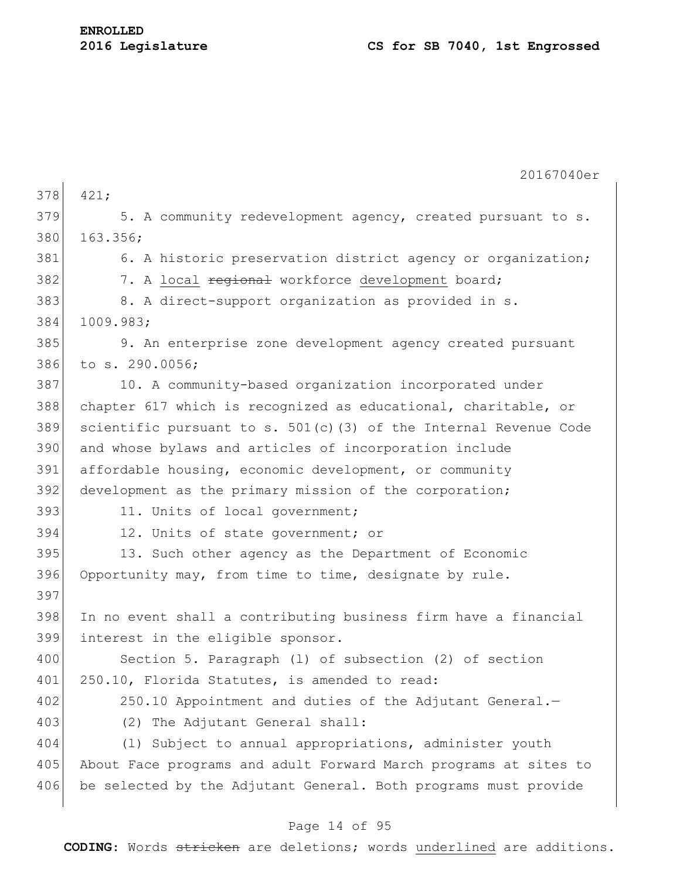|     | 20167040er                                                          |
|-----|---------------------------------------------------------------------|
| 378 | 421;                                                                |
| 379 | 5. A community redevelopment agency, created pursuant to s.         |
| 380 | 163.356;                                                            |
| 381 | 6. A historic preservation district agency or organization;         |
| 382 | 7. A local regional workforce development board;                    |
| 383 | 8. A direct-support organization as provided in s.                  |
| 384 | 1009.983;                                                           |
| 385 | 9. An enterprise zone development agency created pursuant           |
| 386 | to s. 290.0056;                                                     |
| 387 | 10. A community-based organization incorporated under               |
| 388 | chapter 617 which is recognized as educational, charitable, or      |
| 389 | scientific pursuant to s. $501(c)$ (3) of the Internal Revenue Code |
| 390 | and whose bylaws and articles of incorporation include              |
| 391 | affordable housing, economic development, or community              |
| 392 | development as the primary mission of the corporation;              |
| 393 | 11. Units of local government;                                      |
| 394 | 12. Units of state government; or                                   |
| 395 | 13. Such other agency as the Department of Economic                 |
| 396 | Opportunity may, from time to time, designate by rule.              |
| 397 |                                                                     |
| 398 | In no event shall a contributing business firm have a financial     |
| 399 | interest in the eligible sponsor.                                   |
| 400 | Section 5. Paragraph (1) of subsection (2) of section               |
| 401 | 250.10, Florida Statutes, is amended to read:                       |
| 402 | 250.10 Appointment and duties of the Adjutant General.-             |
| 403 | (2) The Adjutant General shall:                                     |
| 404 | (1) Subject to annual appropriations, administer youth              |
| 405 | About Face programs and adult Forward March programs at sites to    |
| 406 | be selected by the Adjutant General. Both programs must provide     |

# Page 14 of 95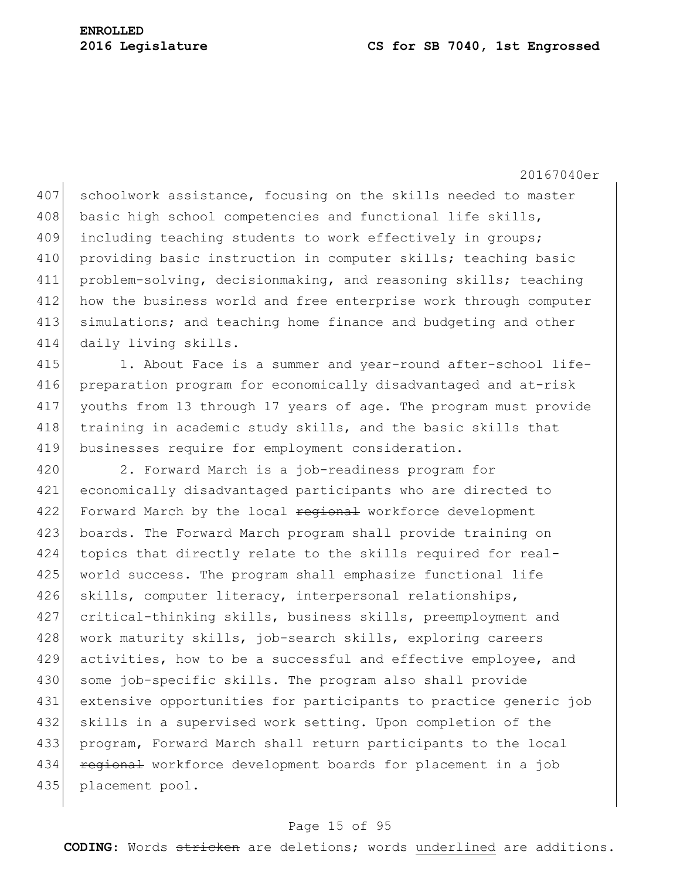407 schoolwork assistance, focusing on the skills needed to master 408 basic high school competencies and functional life skills, 409 including teaching students to work effectively in groups; 410 providing basic instruction in computer skills; teaching basic 411 problem-solving, decisionmaking, and reasoning skills; teaching 412 how the business world and free enterprise work through computer 413 simulations; and teaching home finance and budgeting and other 414 daily living skills.

415 1. About Face is a summer and year-round after-school life-416 preparation program for economically disadvantaged and at-risk 417 youths from 13 through 17 years of age. The program must provide 418 training in academic study skills, and the basic skills that 419 businesses require for employment consideration.

420 2. Forward March is a job-readiness program for 421 economically disadvantaged participants who are directed to 422 Forward March by the local regional workforce development 423 boards. The Forward March program shall provide training on 424 topics that directly relate to the skills required for real-425 world success. The program shall emphasize functional life 426 skills, computer literacy, interpersonal relationships, 427 critical-thinking skills, business skills, preemployment and 428 work maturity skills, job-search skills, exploring careers 429 activities, how to be a successful and effective employee, and 430 some job-specific skills. The program also shall provide 431 extensive opportunities for participants to practice generic job 432 skills in a supervised work setting. Upon completion of the 433 program, Forward March shall return participants to the local 434 regional workforce development boards for placement in a job 435 placement pool.

### Page 15 of 95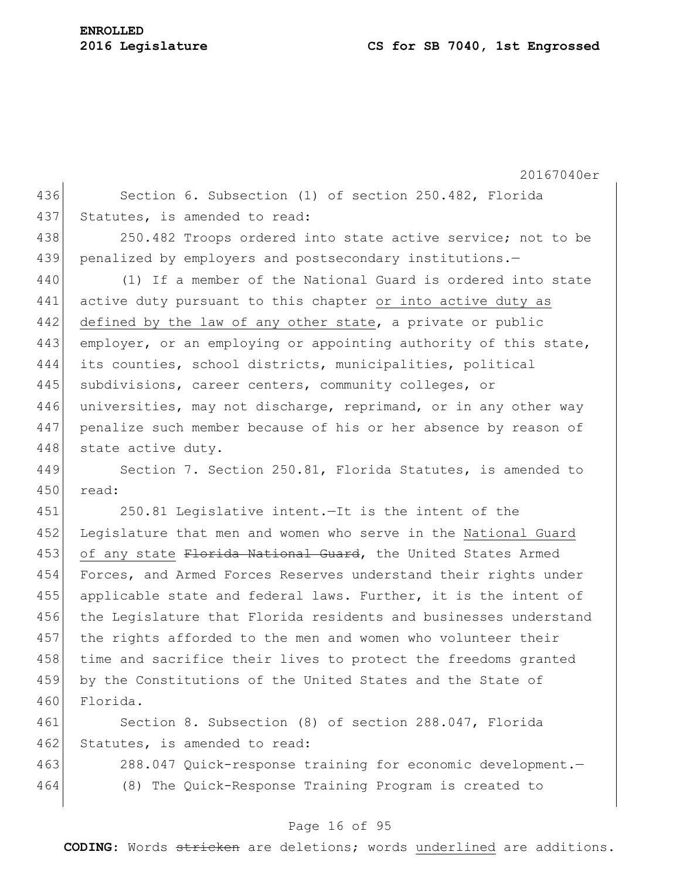# **ENROLLED**

20167040er 436 Section 6. Subsection (1) of section 250.482, Florida 437 Statutes, is amended to read: 438 250.482 Troops ordered into state active service; not to be 439 penalized by employers and postsecondary institutions.-440 (1) If a member of the National Guard is ordered into state 441 active duty pursuant to this chapter or into active duty as 442 defined by the law of any other state, a private or public 443 employer, or an employing or appointing authority of this state, 444 its counties, school districts, municipalities, political 445 subdivisions, career centers, community colleges, or 446 universities, may not discharge, reprimand, or in any other way 447 penalize such member because of his or her absence by reason of 448 state active duty. 449 Section 7. Section 250.81, Florida Statutes, is amended to 450 read: 451 250.81 Legislative intent.—It is the intent of the 452 Legislature that men and women who serve in the National Guard 453 of any state Florida National Guard, the United States Armed 454 Forces, and Armed Forces Reserves understand their rights under 455 | applicable state and federal laws. Further, it is the intent of 456 the Legislature that Florida residents and businesses understand 457 the rights afforded to the men and women who volunteer their 458 time and sacrifice their lives to protect the freedoms granted 459 by the Constitutions of the United States and the State of 460 Florida. 461 Section 8. Subsection (8) of section 288.047, Florida

462 Statutes, is amended to read:

463 288.047 Quick-response training for economic development.— 464 (8) The Quick-Response Training Program is created to

### Page 16 of 95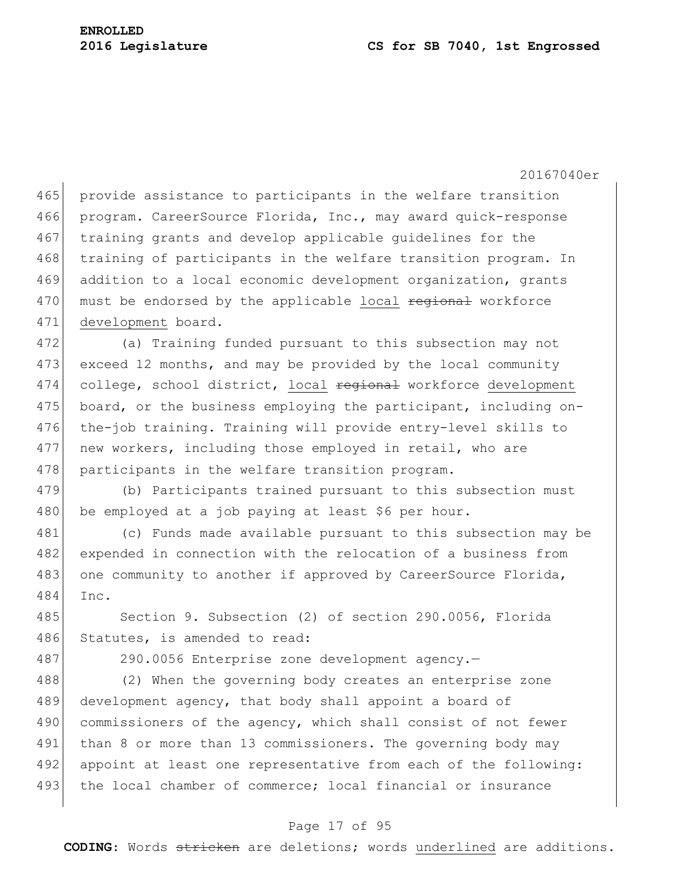465 provide assistance to participants in the welfare transition 466 program. CareerSource Florida, Inc., may award quick-response 467 training grants and develop applicable guidelines for the 468 training of participants in the welfare transition program. In 469 addition to a local economic development organization, grants 470 must be endorsed by the applicable local regional workforce 471 development board.

472 (a) Training funded pursuant to this subsection may not 473 exceed 12 months, and may be provided by the local community 474 college, school district, local regional workforce development 475 board, or the business employing the participant, including on-476 the-job training. Training will provide entry-level skills to 477 new workers, including those employed in retail, who are 478 participants in the welfare transition program.

479 (b) Participants trained pursuant to this subsection must 480 be employed at a job paying at least \$6 per hour.

481 (c) Funds made available pursuant to this subsection may be 482 expended in connection with the relocation of a business from 483 one community to another if approved by CareerSource Florida, 484 Inc.

485 Section 9. Subsection (2) of section 290.0056, Florida 486 Statutes, is amended to read:

487 290.0056 Enterprise zone development agency.

488 (2) When the governing body creates an enterprise zone 489 development agency, that body shall appoint a board of 490 commissioners of the agency, which shall consist of not fewer 491 than 8 or more than 13 commissioners. The governing body may 492 appoint at least one representative from each of the following: 493 the local chamber of commerce; local financial or insurance

### Page 17 of 95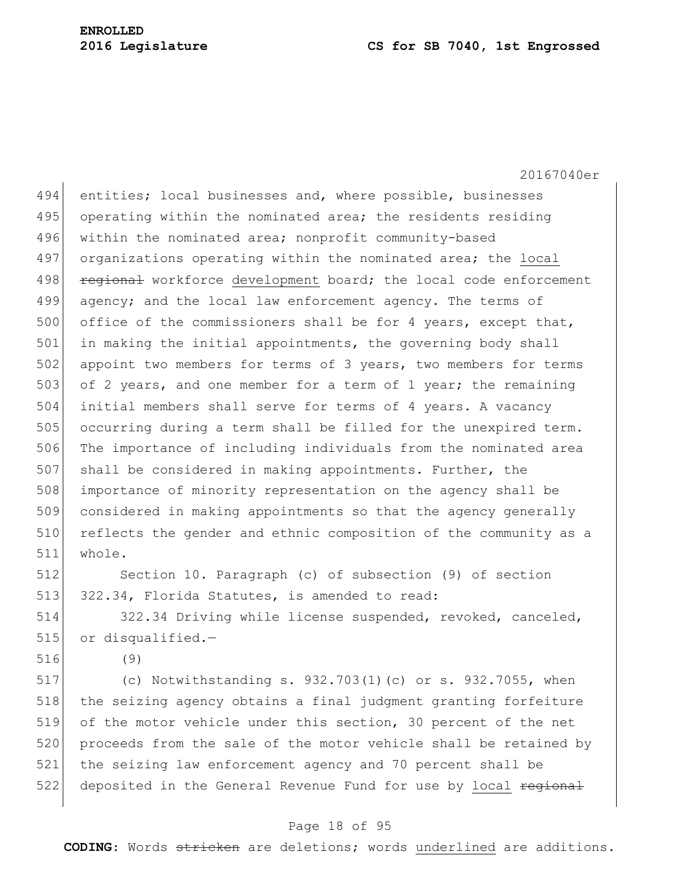20167040er

494 entities; local businesses and, where possible, businesses 495 operating within the nominated area; the residents residing 496 within the nominated area; nonprofit community-based 497 organizations operating within the nominated area; the local 498 **regional** workforce development board; the local code enforcement 499 agency; and the local law enforcement agency. The terms of 500 office of the commissioners shall be for 4 years, except that,  $501$  in making the initial appointments, the governing body shall 502 appoint two members for terms of 3 years, two members for terms 503 of 2 years, and one member for a term of 1 year; the remaining 504 initial members shall serve for terms of 4 years. A vacancy 505 occurring during a term shall be filled for the unexpired term. 506 The importance of including individuals from the nominated area 507 shall be considered in making appointments. Further, the 508 importance of minority representation on the agency shall be 509 considered in making appointments so that the agency generally 510 reflects the gender and ethnic composition of the community as a 511 whole.

512 Section 10. Paragraph (c) of subsection (9) of section 513 322.34, Florida Statutes, is amended to read:

514 322.34 Driving while license suspended, revoked, canceled,  $515$  or disqualified.-

516 (9)

517 (c) Notwithstanding s. 932.703(1)(c) or s. 932.7055, when 518 the seizing agency obtains a final judgment granting forfeiture 519 of the motor vehicle under this section, 30 percent of the net 520 proceeds from the sale of the motor vehicle shall be retained by 521 the seizing law enforcement agency and 70 percent shall be 522 deposited in the General Revenue Fund for use by local regional

### Page 18 of 95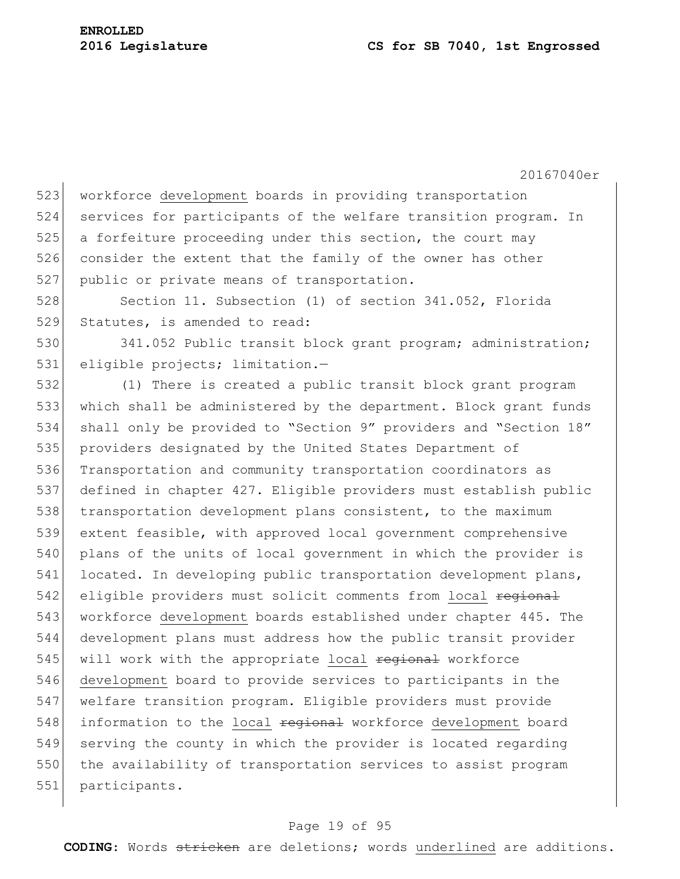523 workforce development boards in providing transportation 524 services for participants of the welfare transition program. In 525 a forfeiture proceeding under this section, the court may 526 consider the extent that the family of the owner has other 527 public or private means of transportation.

528 Section 11. Subsection (1) of section 341.052, Florida 529 Statutes, is amended to read:

530 341.052 Public transit block grant program; administration; 531 eligible projects; limitation.—

532 (1) There is created a public transit block grant program 533 which shall be administered by the department. Block grant funds 534 shall only be provided to "Section 9" providers and "Section 18" 535 providers designated by the United States Department of 536 Transportation and community transportation coordinators as 537 defined in chapter 427. Eligible providers must establish public 538 transportation development plans consistent, to the maximum 539 extent feasible, with approved local government comprehensive 540 plans of the units of local government in which the provider is 541 located. In developing public transportation development plans, 542 eligible providers must solicit comments from local regional 543 workforce development boards established under chapter 445. The 544 development plans must address how the public transit provider 545 will work with the appropriate local regional workforce 546 development board to provide services to participants in the 547 welfare transition program. Eligible providers must provide 548 information to the local regional workforce development board 549 serving the county in which the provider is located regarding 550 the availability of transportation services to assist program 551 participants.

### Page 19 of 95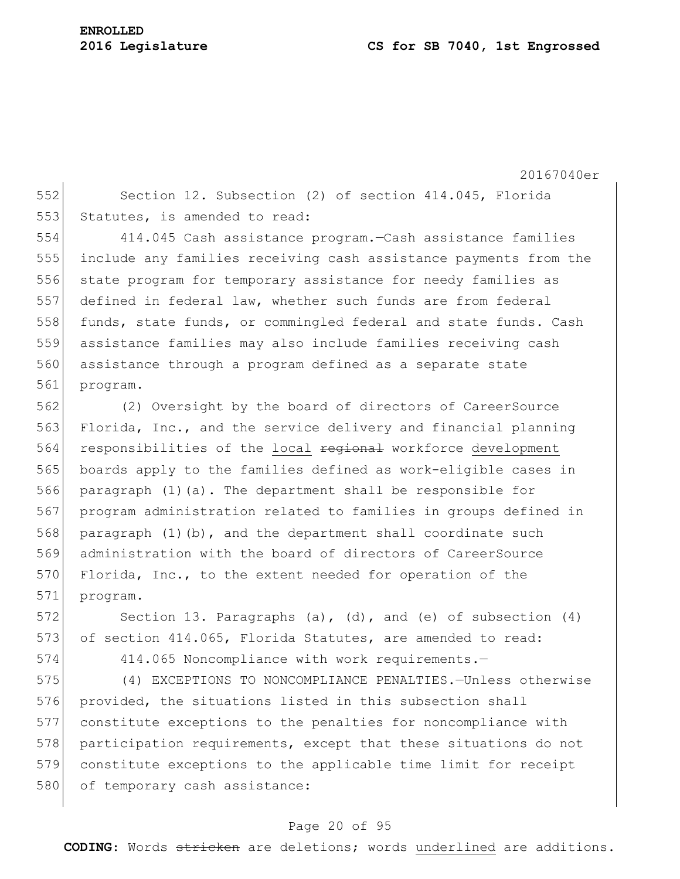# **ENROLLED**

20167040er 552 Section 12. Subsection (2) of section 414.045, Florida 553 Statutes, is amended to read: 554 414.045 Cash assistance program.—Cash assistance families 555 include any families receiving cash assistance payments from the 556 state program for temporary assistance for needy families as 557 defined in federal law, whether such funds are from federal 558 funds, state funds, or commingled federal and state funds. Cash 559 assistance families may also include families receiving cash 560 assistance through a program defined as a separate state

562 (2) Oversight by the board of directors of CareerSource 563 Florida, Inc., and the service delivery and financial planning 564 responsibilities of the local regional workforce development 565 boards apply to the families defined as work-eligible cases in 566 paragraph (1)(a). The department shall be responsible for 567 program administration related to families in groups defined in 568 paragraph (1)(b), and the department shall coordinate such 569 administration with the board of directors of CareerSource 570 Florida, Inc., to the extent needed for operation of the 571 program.

572 Section 13. Paragraphs (a), (d), and (e) of subsection (4) 573 of section 414.065, Florida Statutes, are amended to read:

561 program.

574 414.065 Noncompliance with work requirements.-

 (4) EXCEPTIONS TO NONCOMPLIANCE PENALTIES.—Unless otherwise provided, the situations listed in this subsection shall constitute exceptions to the penalties for noncompliance with 578 participation requirements, except that these situations do not constitute exceptions to the applicable time limit for receipt 580 of temporary cash assistance:

### Page 20 of 95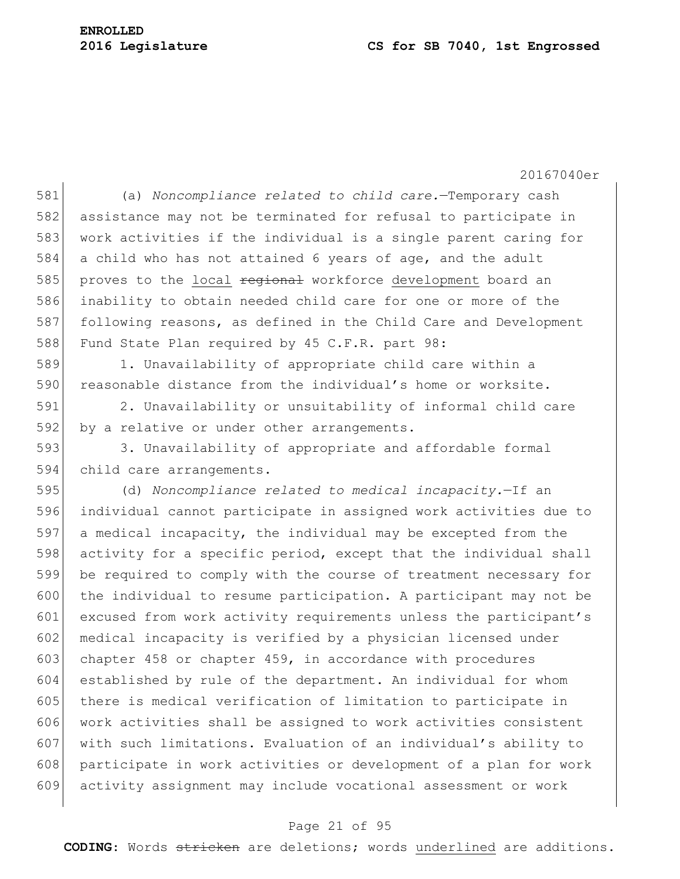20167040er

 (a) *Noncompliance related to child care.*—Temporary cash assistance may not be terminated for refusal to participate in 583 work activities if the individual is a single parent caring for a child who has not attained 6 years of age, and the adult 585 proves to the local regional workforce development board an inability to obtain needed child care for one or more of the following reasons, as defined in the Child Care and Development 588 Fund State Plan required by 45 C.F.R. part 98:

589 1. Unavailability of appropriate child care within a 590 reasonable distance from the individual's home or worksite.

591 2. Unavailability or unsuitability of informal child care 592 by a relative or under other arrangements.

593 3. Unavailability of appropriate and affordable formal 594 child care arrangements.

 (d) *Noncompliance related to medical incapacity.*—If an individual cannot participate in assigned work activities due to a medical incapacity, the individual may be excepted from the activity for a specific period, except that the individual shall be required to comply with the course of treatment necessary for the individual to resume participation. A participant may not be excused from work activity requirements unless the participant's 602 medical incapacity is verified by a physician licensed under 603 chapter 458 or chapter 459, in accordance with procedures established by rule of the department. An individual for whom 605 there is medical verification of limitation to participate in work activities shall be assigned to work activities consistent with such limitations. Evaluation of an individual's ability to 608 participate in work activities or development of a plan for work activity assignment may include vocational assessment or work

### Page 21 of 95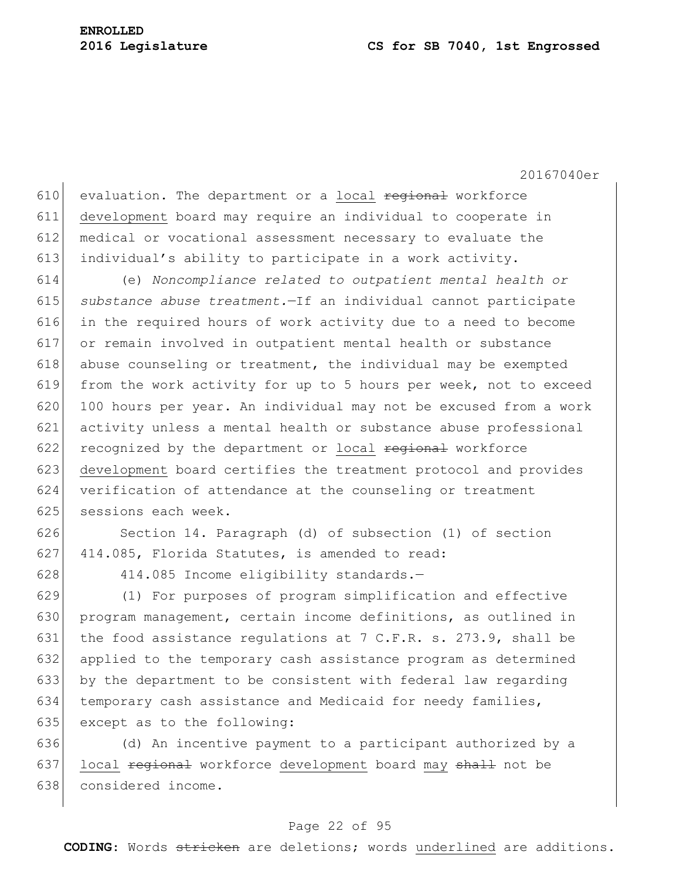evaluation. The department or a local regional workforce development board may require an individual to cooperate in medical or vocational assessment necessary to evaluate the individual's ability to participate in a work activity.

 (e) *Noncompliance related to outpatient mental health or substance abuse treatment.*—If an individual cannot participate in the required hours of work activity due to a need to become or remain involved in outpatient mental health or substance abuse counseling or treatment, the individual may be exempted 619 from the work activity for up to 5 hours per week, not to exceed 620 100 hours per year. An individual may not be excused from a work activity unless a mental health or substance abuse professional recognized by the department or local regional workforce development board certifies the treatment protocol and provides verification of attendance at the counseling or treatment 625 sessions each week.

626 Section 14. Paragraph (d) of subsection (1) of section 627 414.085, Florida Statutes, is amended to read:

628 414.085 Income eligibility standards.—

629 (1) For purposes of program simplification and effective 630 program management, certain income definitions, as outlined in 631 the food assistance regulations at 7 C.F.R. s. 273.9, shall be 632 applied to the temporary cash assistance program as determined 633 by the department to be consistent with federal law regarding 634 temporary cash assistance and Medicaid for needy families, 635 except as to the following:

636 (d) An incentive payment to a participant authorized by a 637 local regional workforce development board may shall not be 638 considered income.

### Page 22 of 95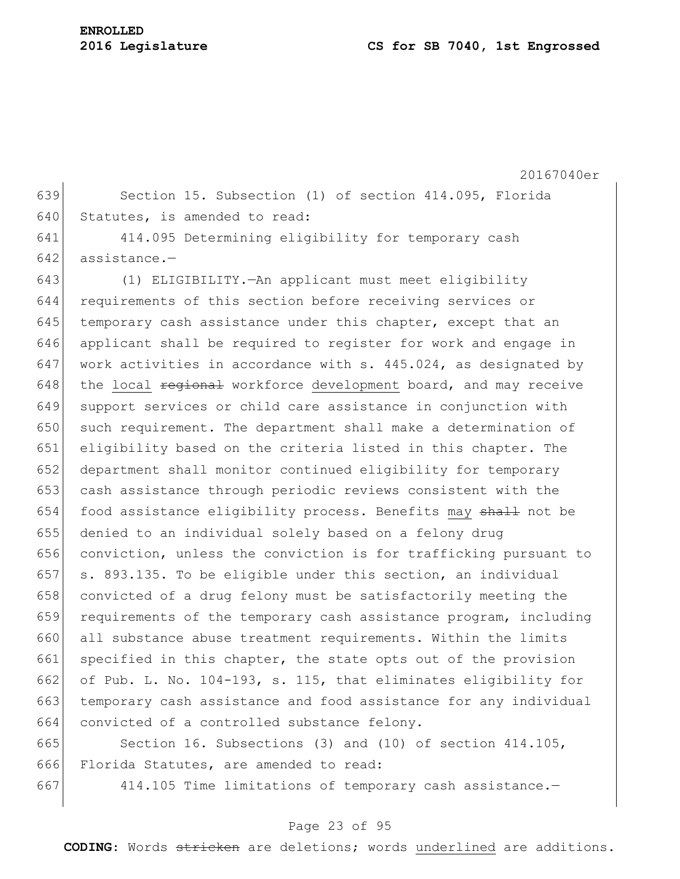20167040er 639 Section 15. Subsection (1) of section 414.095, Florida 640 Statutes, is amended to read: 641 414.095 Determining eligibility for temporary cash  $642$  assistance.-643 (1) ELIGIBILITY.—An applicant must meet eligibility 644 requirements of this section before receiving services or 645 temporary cash assistance under this chapter, except that an 646 applicant shall be required to register for work and engage in 647 work activities in accordance with s. 445.024, as designated by 648 the local  $\frac{1}{100}$  regional workforce development board, and may receive 649 support services or child care assistance in conjunction with 650 such requirement. The department shall make a determination of 651 eligibility based on the criteria listed in this chapter. The 652 department shall monitor continued eligibility for temporary 653 cash assistance through periodic reviews consistent with the 654 food assistance eligibility process. Benefits may shall not be 655 denied to an individual solely based on a felony drug 656 conviction, unless the conviction is for trafficking pursuant to 657 s. 893.135. To be eligible under this section, an individual 658 convicted of a drug felony must be satisfactorily meeting the 659 requirements of the temporary cash assistance program, including 660 all substance abuse treatment requirements. Within the limits 661 specified in this chapter, the state opts out of the provision 662 of Pub. L. No. 104-193, s. 115, that eliminates eligibility for 663 temporary cash assistance and food assistance for any individual 664 convicted of a controlled substance felony. 665 Section 16. Subsections (3) and (10) of section 414.105,

666 Florida Statutes, are amended to read:

667 414.105 Time limitations of temporary cash assistance.—

### Page 23 of 95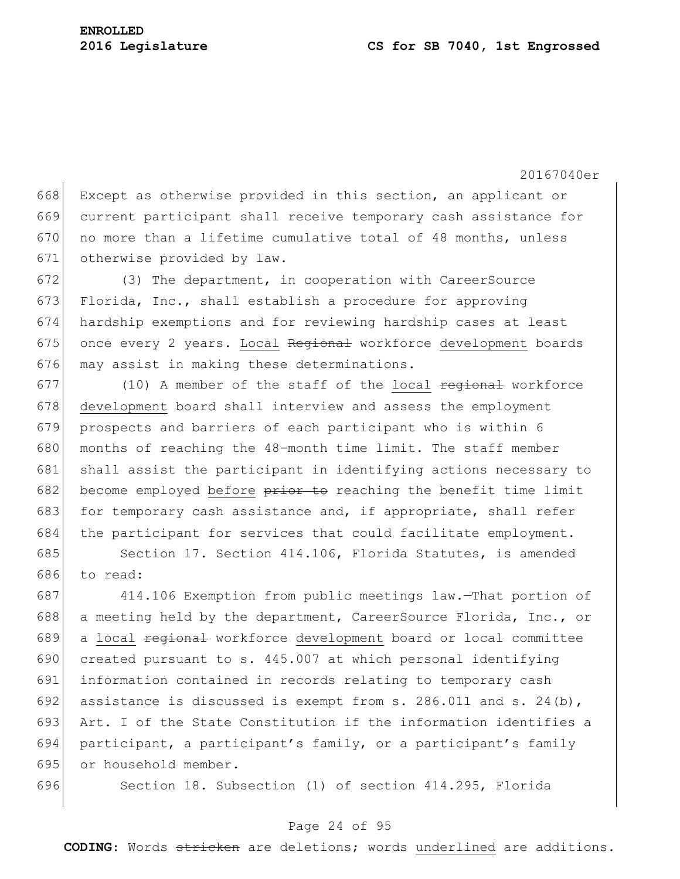Except as otherwise provided in this section, an applicant or current participant shall receive temporary cash assistance for 670 no more than a lifetime cumulative total of 48 months, unless otherwise provided by law.

672 (3) The department, in cooperation with CareerSource 673 Florida, Inc., shall establish a procedure for approving 674 hardship exemptions and for reviewing hardship cases at least 675 once every 2 years. Local Regional workforce development boards 676 may assist in making these determinations.

677  $(10)$  A member of the staff of the local  $\frac{1}{100}$  workforce 678 development board shall interview and assess the employment 679 prospects and barriers of each participant who is within 6 680 months of reaching the 48-month time limit. The staff member 681 shall assist the participant in identifying actions necessary to 682 become employed before  $\frac{p}{p}$  becohing the benefit time limit 683 for temporary cash assistance and, if appropriate, shall refer 684 the participant for services that could facilitate employment.

685 Section 17. Section 414.106, Florida Statutes, is amended 686 to read:

 414.106 Exemption from public meetings law.—That portion of 688 a meeting held by the department, CareerSource Florida, Inc., or 689 a local regional workforce development board or local committee created pursuant to s. 445.007 at which personal identifying information contained in records relating to temporary cash 692 assistance is discussed is exempt from s. 286.011 and s. 24(b), Art. I of the State Constitution if the information identifies a participant, a participant's family, or a participant's family or household member.

696 Section 18. Subsection (1) of section 414.295, Florida

### Page 24 of 95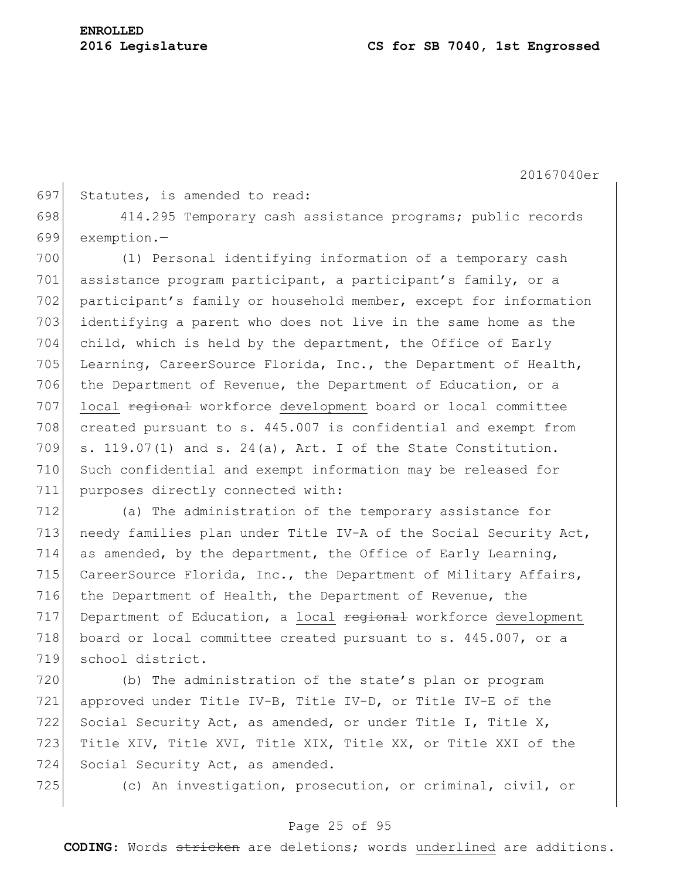697 Statutes, is amended to read:

698 414.295 Temporary cash assistance programs; public records 699 exemption.—

700 (1) Personal identifying information of a temporary cash 701 assistance program participant, a participant's family, or a 702 participant's family or household member, except for information 703 identifying a parent who does not live in the same home as the 704 child, which is held by the department, the Office of Early 705 Learning, CareerSource Florida, Inc., the Department of Health, 706 the Department of Revenue, the Department of Education, or a 707 local regional workforce development board or local committee 708 created pursuant to s. 445.007 is confidential and exempt from 709 s. 119.07(1) and s. 24(a), Art. I of the State Constitution. 710 Such confidential and exempt information may be released for 711 purposes directly connected with:

712 (a) The administration of the temporary assistance for 713 needy families plan under Title IV-A of the Social Security Act, 714 as amended, by the department, the Office of Early Learning, 715 CareerSource Florida, Inc., the Department of Military Affairs, 716 the Department of Health, the Department of Revenue, the 717 Department of Education, a local regional workforce development 718 board or local committee created pursuant to s. 445.007, or a 719 school district.

720 (b) The administration of the state's plan or program 721 approved under Title IV-B, Title IV-D, or Title IV-E of the 722 Social Security Act, as amended, or under Title I, Title X, 723 Title XIV, Title XVI, Title XIX, Title XX, or Title XXI of the 724 Social Security Act, as amended.

725 (c) An investigation, prosecution, or criminal, civil, or

### Page 25 of 95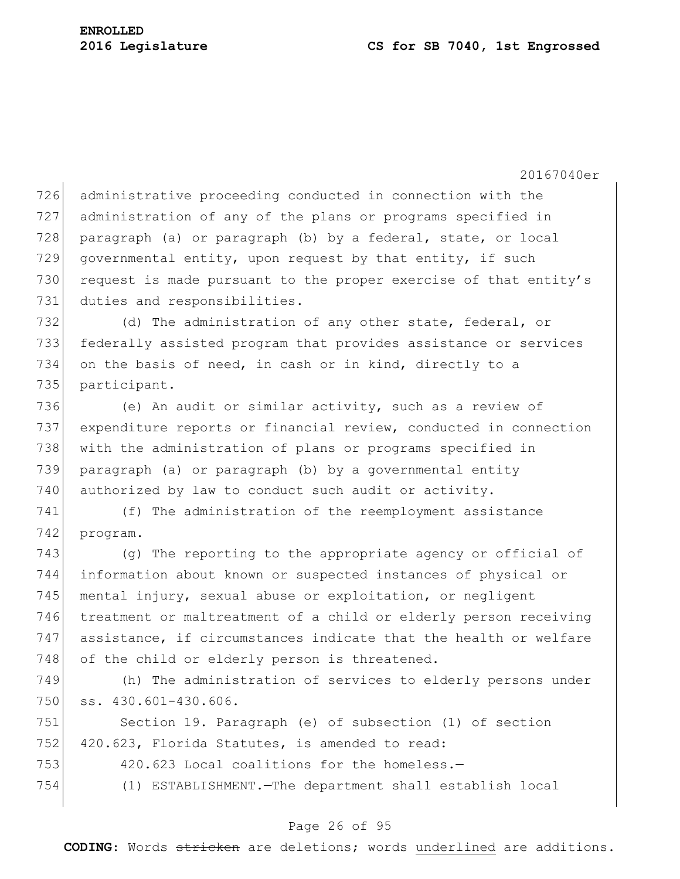administrative proceeding conducted in connection with the administration of any of the plans or programs specified in 728 paragraph (a) or paragraph (b) by a federal, state, or local 729 governmental entity, upon request by that entity, if such 730 request is made pursuant to the proper exercise of that entity's 731 duties and responsibilities.

 (d) The administration of any other state, federal, or federally assisted program that provides assistance or services on the basis of need, in cash or in kind, directly to a participant.

736 (e) An audit or similar activity, such as a review of expenditure reports or financial review, conducted in connection with the administration of plans or programs specified in paragraph (a) or paragraph (b) by a governmental entity 740 authorized by law to conduct such audit or activity.

 (f) The administration of the reemployment assistance 742 program.

 (g) The reporting to the appropriate agency or official of information about known or suspected instances of physical or mental injury, sexual abuse or exploitation, or negligent treatment or maltreatment of a child or elderly person receiving assistance, if circumstances indicate that the health or welfare 748 of the child or elderly person is threatened.

 (h) The administration of services to elderly persons under ss. 430.601-430.606.

 Section 19. Paragraph (e) of subsection (1) of section 752 420.623, Florida Statutes, is amended to read:

420.623 Local coalitions for the homeless.—

(1) ESTABLISHMENT.—The department shall establish local

### Page 26 of 95

**CODING**: Words stricken are deletions; words underlined are additions.

20167040er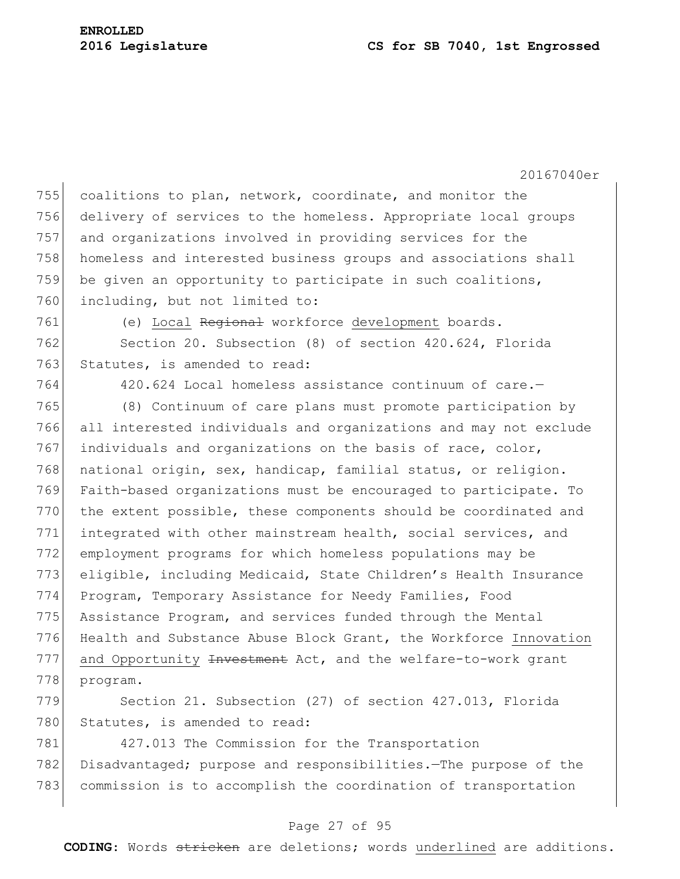20167040er

 coalitions to plan, network, coordinate, and monitor the delivery of services to the homeless. Appropriate local groups and organizations involved in providing services for the homeless and interested business groups and associations shall be given an opportunity to participate in such coalitions, 760 including, but not limited to:

761 (e) Local Regional workforce development boards. 762 Section 20. Subsection (8) of section 420.624, Florida 763 Statutes, is amended to read:

764 420.624 Local homeless assistance continuum of care.-

765 (8) Continuum of care plans must promote participation by 766 all interested individuals and organizations and may not exclude 767 individuals and organizations on the basis of race,  $color$ 768 national origin, sex, handicap, familial status, or religion. 769 Faith-based organizations must be encouraged to participate. To 770 the extent possible, these components should be coordinated and 771 integrated with other mainstream health, social services, and 772 employment programs for which homeless populations may be 773 eligible, including Medicaid, State Children's Health Insurance 774 Program, Temporary Assistance for Needy Families, Food 775 Assistance Program, and services funded through the Mental 776 Health and Substance Abuse Block Grant, the Workforce Innovation 777 and Opportunity Investment Act, and the welfare-to-work grant 778 program.

779 Section 21. Subsection (27) of section 427.013, Florida 780 Statutes, is amended to read:

781 427.013 The Commission for the Transportation 782 Disadvantaged; purpose and responsibilities.—The purpose of the 783 commission is to accomplish the coordination of transportation

### Page 27 of 95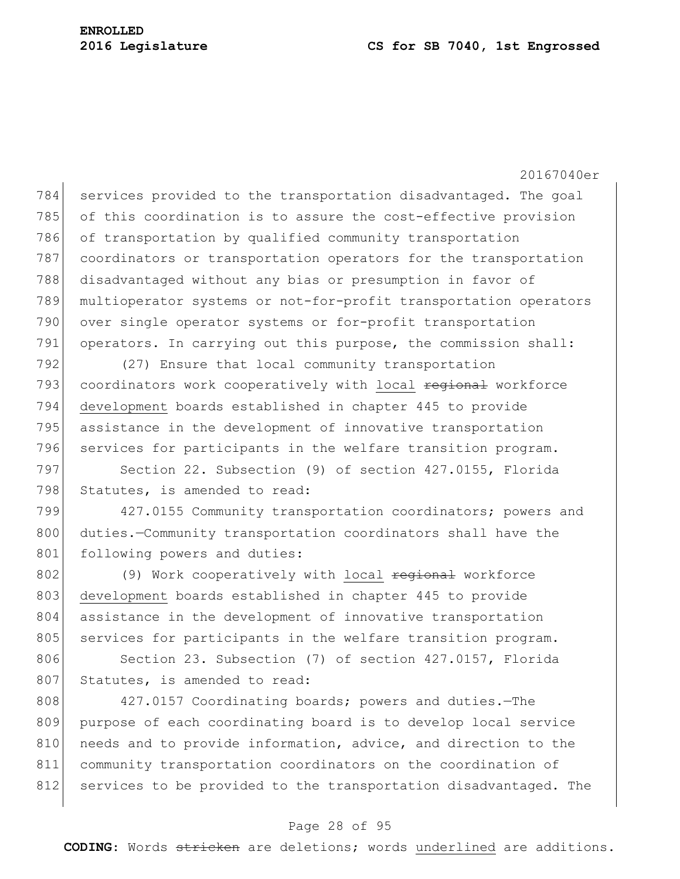784 services provided to the transportation disadvantaged. The goal 785 of this coordination is to assure the cost-effective provision 786 of transportation by qualified community transportation 787 coordinators or transportation operators for the transportation 788 disadvantaged without any bias or presumption in favor of 789 multioperator systems or not-for-profit transportation operators 790 over single operator systems or for-profit transportation 791 operators. In carrying out this purpose, the commission shall:

792 (27) Ensure that local community transportation 793 coordinators work cooperatively with local regional workforce 794 development boards established in chapter 445 to provide 795 assistance in the development of innovative transportation 796 services for participants in the welfare transition program.

797 Section 22. Subsection (9) of section 427.0155, Florida 798 Statutes, is amended to read:

799 427.0155 Community transportation coordinators; powers and 800 duties.—Community transportation coordinators shall have the 801 following powers and duties:

802 (9) Work cooperatively with local regional workforce 803 development boards established in chapter 445 to provide 804 assistance in the development of innovative transportation 805 services for participants in the welfare transition program.

806 Section 23. Subsection (7) of section 427.0157, Florida 807 Statutes, is amended to read:

808 427.0157 Coordinating boards; powers and duties. - The 809 purpose of each coordinating board is to develop local service 810 needs and to provide information, advice, and direction to the 811 community transportation coordinators on the coordination of 812 services to be provided to the transportation disadvantaged. The

### Page 28 of 95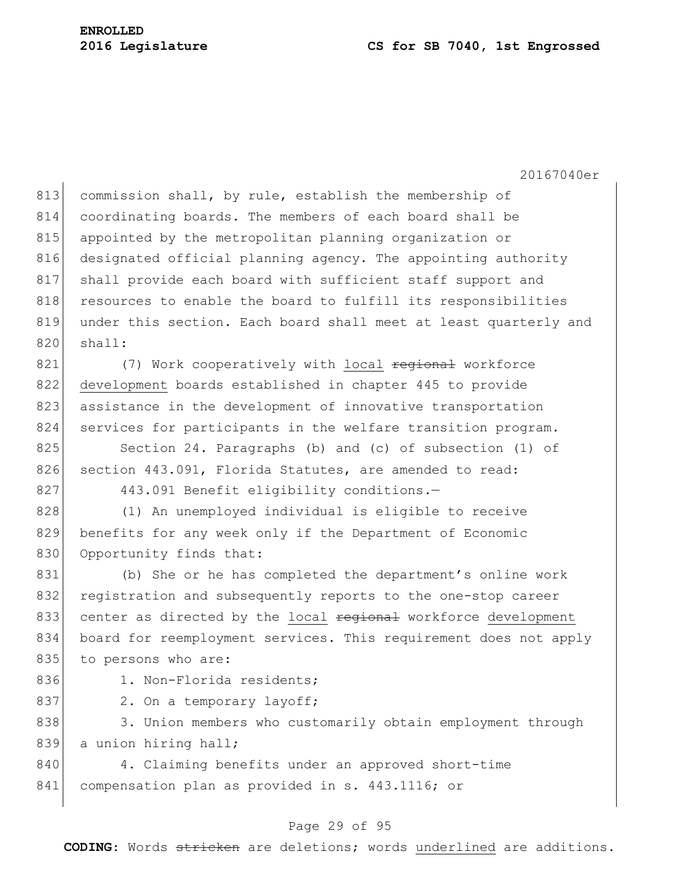20167040er

813 commission shall, by rule, establish the membership of 814 coordinating boards. The members of each board shall be 815 appointed by the metropolitan planning organization or 816 designated official planning agency. The appointing authority 817 shall provide each board with sufficient staff support and 818 resources to enable the board to fulfill its responsibilities 819 under this section. Each board shall meet at least quarterly and 820 shall:

821 (7) Work cooperatively with local <del>regional</del> workforce 822 development boards established in chapter 445 to provide 823 assistance in the development of innovative transportation 824 services for participants in the welfare transition program.

825 Section 24. Paragraphs (b) and (c) of subsection (1) of 826 section 443.091, Florida Statutes, are amended to read: 827 443.091 Benefit eligibility conditions.-

828 (1) An unemployed individual is eligible to receive 829 benefits for any week only if the Department of Economic 830 Opportunity finds that:

831 (b) She or he has completed the department's online work 832 registration and subsequently reports to the one-stop career 833 center as directed by the local regional workforce development 834 board for reemployment services. This requirement does not apply 835 to persons who are:

836 1. Non-Florida residents:

837 2. On a temporary layoff;

838 3. Union members who customarily obtain employment through 839 a union hiring hall;

840 4. Claiming benefits under an approved short-time 841 compensation plan as provided in s. 443.1116; or

### Page 29 of 95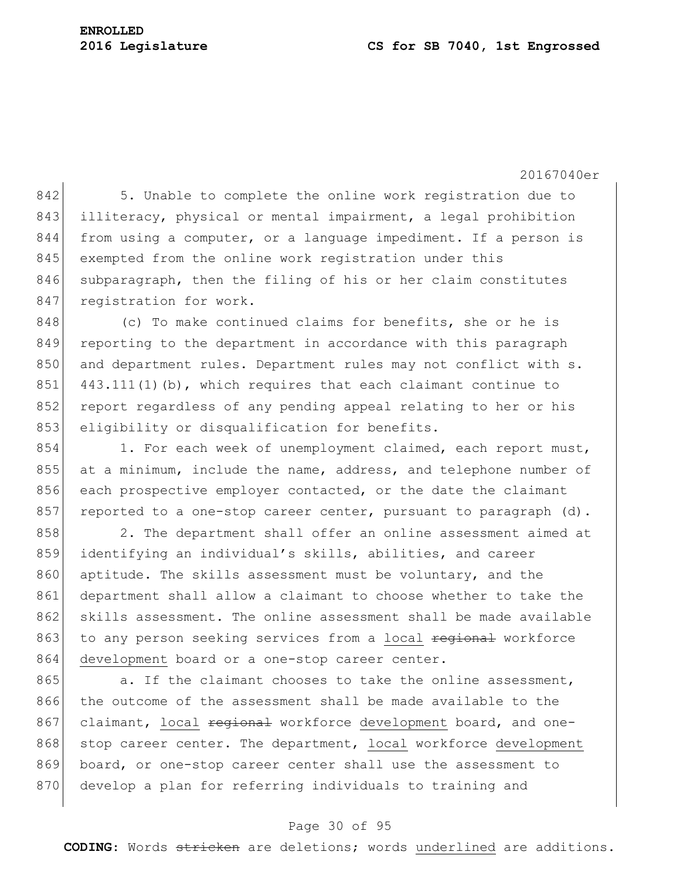842 5. Unable to complete the online work registration due to 843 illiteracy, physical or mental impairment, a legal prohibition 844 from using a computer, or a language impediment. If a person is 845 exempted from the online work registration under this 846 subparagraph, then the filing of his or her claim constitutes 847 registration for work.

 $848$  (c) To make continued claims for benefits, she or he is 849 reporting to the department in accordance with this paragraph 850 and department rules. Department rules may not conflict with s. 851  $443.111(1)(b)$ , which requires that each claimant continue to 852 report regardless of any pending appeal relating to her or his 853 eligibility or disqualification for benefits.

854 1. For each week of unemployment claimed, each report must, 855 at a minimum, include the name, address, and telephone number of 856 each prospective employer contacted, or the date the claimant 857 reported to a one-stop career center, pursuant to paragraph  $(d)$ .

858 2. The department shall offer an online assessment aimed at 859 identifying an individual's skills, abilities, and career 860 aptitude. The skills assessment must be voluntary, and the 861 department shall allow a claimant to choose whether to take the 862 skills assessment. The online assessment shall be made available 863 to any person seeking services from a local regional workforce 864 development board or a one-stop career center.

 $865$  a. If the claimant chooses to take the online assessment, 866 the outcome of the assessment shall be made available to the 867 claimant, local regional workforce development board, and one-868 stop career center. The department, local workforce development 869 board, or one-stop career center shall use the assessment to 870 develop a plan for referring individuals to training and

### Page 30 of 95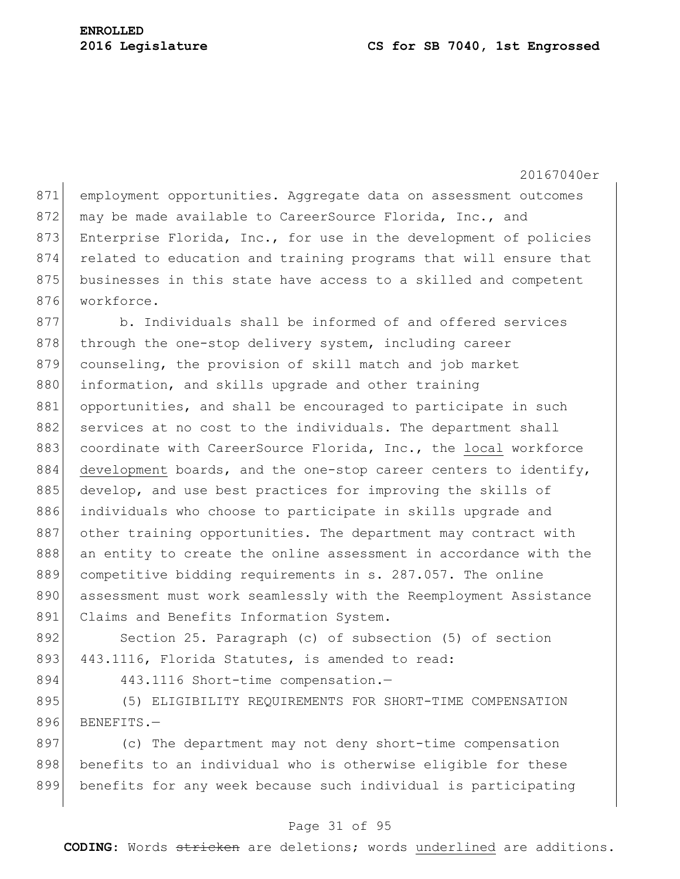871 employment opportunities. Aggregate data on assessment outcomes 872 may be made available to CareerSource Florida, Inc., and 873 Enterprise Florida, Inc., for use in the development of policies 874 related to education and training programs that will ensure that 875 businesses in this state have access to a skilled and competent 876 workforce.

877 b. Individuals shall be informed of and offered services 878 through the one-stop delivery system, including career 879 counseling, the provision of skill match and job market 880 information, and skills upgrade and other training 881 opportunities, and shall be encouraged to participate in such 882 services at no cost to the individuals. The department shall 883 coordinate with CareerSource Florida, Inc., the local workforce 884 development boards, and the one-stop career centers to identify, 885 develop, and use best practices for improving the skills of 886 individuals who choose to participate in skills upgrade and 887 other training opportunities. The department may contract with 888 an entity to create the online assessment in accordance with the 889 competitive bidding requirements in s. 287.057. The online 890 assessment must work seamlessly with the Reemployment Assistance 891 Claims and Benefits Information System.

892 Section 25. Paragraph (c) of subsection (5) of section 893 443.1116, Florida Statutes, is amended to read:

894 443.1116 Short-time compensation.-

895 (5) ELIGIBILITY REQUIREMENTS FOR SHORT-TIME COMPENSATION 896 BENEFITS.-

897 (c) The department may not deny short-time compensation 898 benefits to an individual who is otherwise eligible for these 899 benefits for any week because such individual is participating

### Page 31 of 95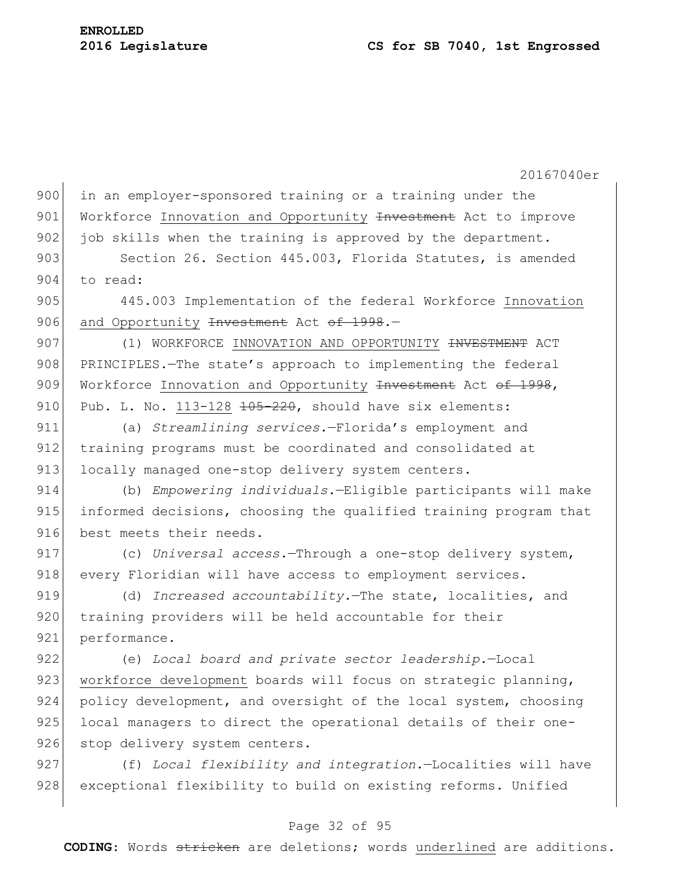20167040er 900 in an employer-sponsored training or a training under the 901 Workforce Innovation and Opportunity <del>Investment</del> Act to improve 902 job skills when the training is approved by the department. 903 Section 26. Section 445.003, Florida Statutes, is amended 904 to read: 905 445.003 Implementation of the federal Workforce Innovation 906 and Opportunity Investment Act of 1998.-907 (1) WORKFORCE INNOVATION AND OPPORTUNITY <del>INVESTMENT</del> ACT 908 PRINCIPLES. - The state's approach to implementing the federal 909 Workforce Innovation and Opportunity Investment Act of 1998, 910 Pub. L. No. 113-128  $\frac{105-220}{100}$ , should have six elements: 911 (a) *Streamlining services.*—Florida's employment and 912 training programs must be coordinated and consolidated at 913 locally managed one-stop delivery system centers. 914 (b) *Empowering individuals.*—Eligible participants will make 915 informed decisions, choosing the qualified training program that 916 best meets their needs. 917 (c) *Universal access.*—Through a one-stop delivery system, 918 every Floridian will have access to employment services. 919 (d) *Increased accountability.*—The state, localities, and 920 training providers will be held accountable for their 921 performance. 922 (e) *Local board and private sector leadership.*—Local 923 workforce development boards will focus on strategic planning, 924 policy development, and oversight of the local system, choosing 925 local managers to direct the operational details of their one-926 stop delivery system centers. 927 (f) *Local flexibility and integration.*—Localities will have 928 exceptional flexibility to build on existing reforms. Unified

### Page 32 of 95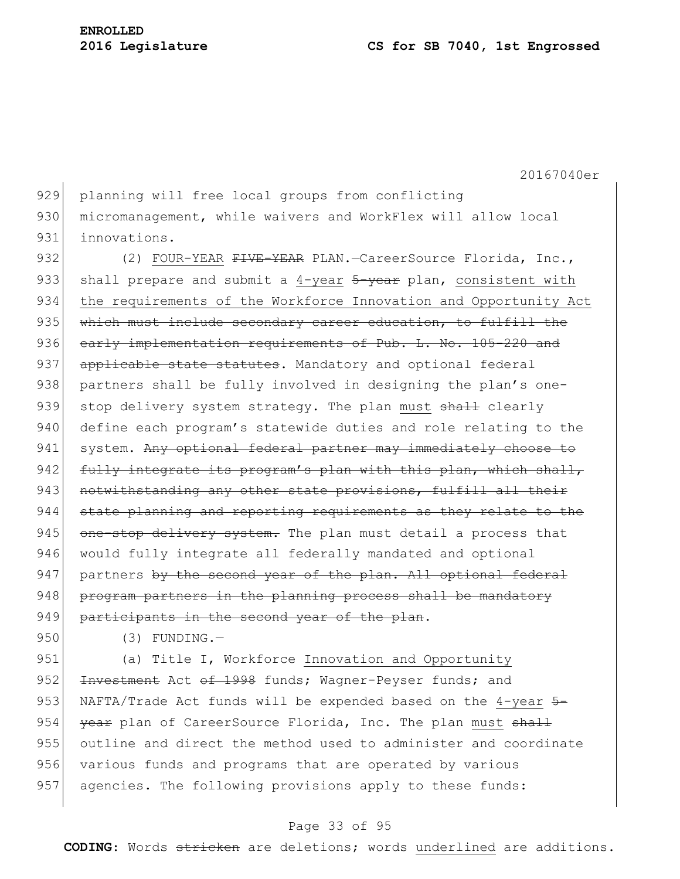929 planning will free local groups from conflicting 930 micromanagement, while waivers and WorkFlex will allow local 931 innovations.

932 (2) FOUR-YEAR FIVE-YEAR PLAN.-CareerSource Florida, Inc., 933 shall prepare and submit a 4-year 5-year plan, consistent with 934 the requirements of the Workforce Innovation and Opportunity Act 935 which must include secondary career education, to fulfill the 936 early implementation requirements of Pub. L. No. 105-220 and 937 applicable state statutes. Mandatory and optional federal 938 partners shall be fully involved in designing the plan's one-939 stop delivery system strategy. The plan must shall clearly 940 define each program's statewide duties and role relating to the 941 system. Any optional federal partner may immediately choose to 942  $\left| \right|$  fully integrate its program's plan with this plan, which shall, 943 | notwithstanding any other state provisions, fulfill all their 944 state planning and reporting requirements as they relate to the  $945$  one-stop delivery system. The plan must detail a process that 946 would fully integrate all federally mandated and optional  $947$  partners by the second year of the plan. All optional federal 948 program partners in the planning process shall be mandatory 949 participants in the second year of the plan.

950 (3) FUNDING.

951 (a) Title I, Workforce Innovation and Opportunity 952 Investment Act of 1998 funds; Wagner-Peyser funds; and 953 NAFTA/Trade Act funds will be expended based on the 4-year  $5-$ 954 year plan of CareerSource Florida, Inc. The plan must shall 955 outline and direct the method used to administer and coordinate 956 various funds and programs that are operated by various 957 agencies. The following provisions apply to these funds:

### Page 33 of 95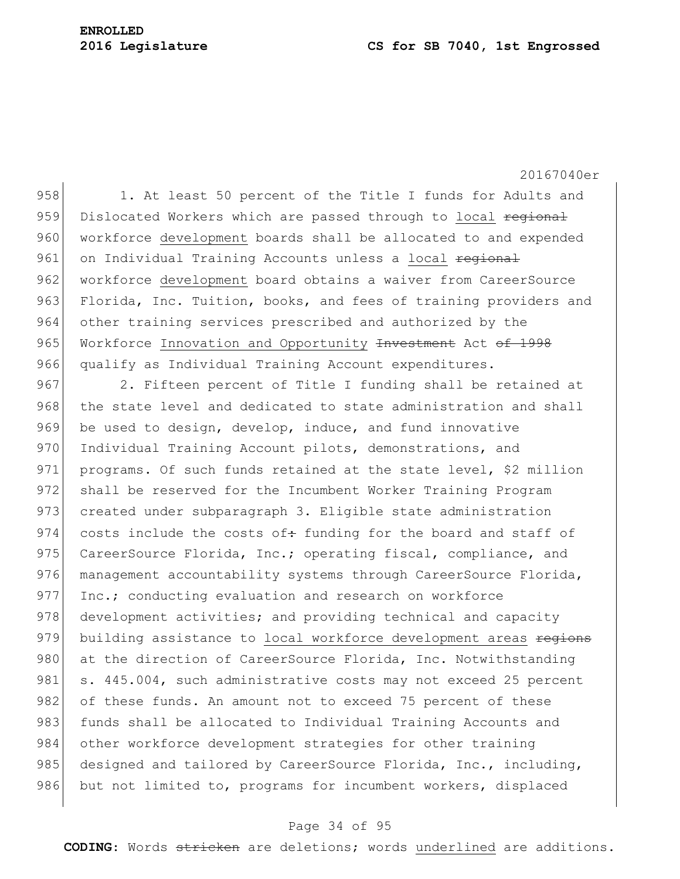20167040er

958 1. At least 50 percent of the Title I funds for Adults and 959 Dislocated Workers which are passed through to local regional 960 workforce development boards shall be allocated to and expended 961 on Individual Training Accounts unless a local regional 962 workforce development board obtains a waiver from CareerSource 963 Florida, Inc. Tuition, books, and fees of training providers and 964 other training services prescribed and authorized by the 965 Workforce Innovation and Opportunity Investment Act of 1998 966 qualify as Individual Training Account expenditures.

967 2. Fifteen percent of Title I funding shall be retained at 968 the state level and dedicated to state administration and shall 969 be used to design, develop, induce, and fund innovative 970 Individual Training Account pilots, demonstrations, and 971 programs. Of such funds retained at the state level, \$2 million 972 shall be reserved for the Incumbent Worker Training Program 973 created under subparagraph 3. Eligible state administration 974 costs include the costs of: funding for the board and staff of 975 CareerSource Florida, Inc.; operating fiscal, compliance, and 976 management accountability systems through CareerSource Florida, 977 Inc.; conducting evaluation and research on workforce 978 development activities; and providing technical and capacity 979 building assistance to local workforce development areas regions 980 at the direction of CareerSource Florida, Inc. Notwithstanding 981 s. 445.004, such administrative costs may not exceed 25 percent 982 of these funds. An amount not to exceed 75 percent of these 983 funds shall be allocated to Individual Training Accounts and 984 other workforce development strategies for other training 985 designed and tailored by CareerSource Florida, Inc., including, 986 but not limited to, programs for incumbent workers, displaced

### Page 34 of 95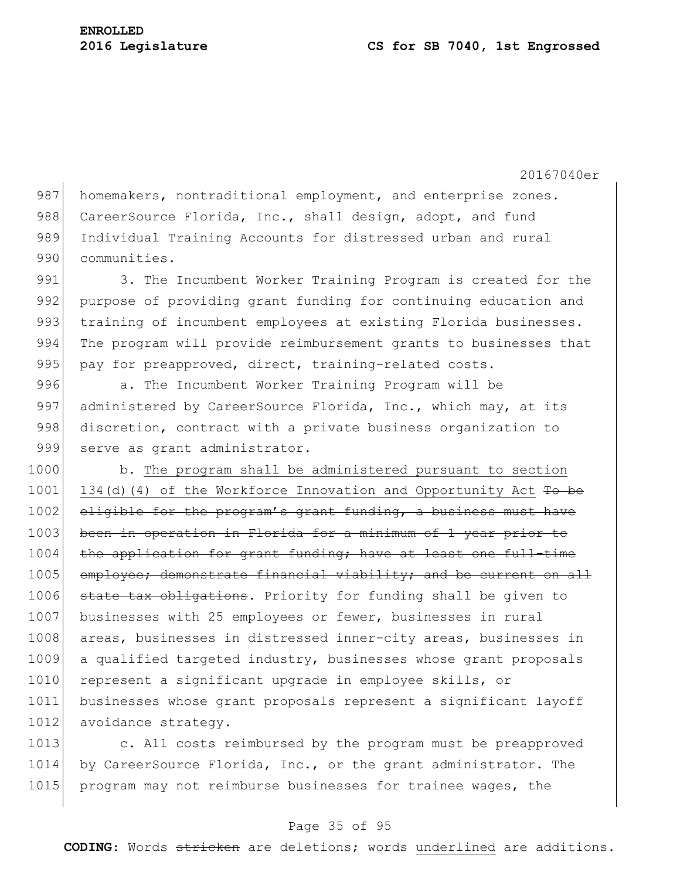987 homemakers, nontraditional employment, and enterprise zones. 988 CareerSource Florida, Inc., shall design, adopt, and fund 989 Individual Training Accounts for distressed urban and rural 990 communities.

991 3. The Incumbent Worker Training Program is created for the 992 purpose of providing grant funding for continuing education and 993 training of incumbent employees at existing Florida businesses. 994 The program will provide reimbursement grants to businesses that 995 pay for preapproved, direct, training-related costs.

996 a. The Incumbent Worker Training Program will be 997 administered by CareerSource Florida, Inc., which may, at its 998 discretion, contract with a private business organization to 999 serve as grant administrator.

1000 b. The program shall be administered pursuant to section 1001 134(d)(4) of the Workforce Innovation and Opportunity Act  $T<sub>o</sub>$  be 1002 eligible for the program's grant funding, a business must have 1003 been in operation in Florida for a minimum of 1 year prior to 1004 the application for grant funding; have at least one full-time 1005 employee; demonstrate financial viability; and be current on all 1006 state tax obligations. Priority for funding shall be given to 1007 businesses with 25 employees or fewer, businesses in rural 1008 areas, businesses in distressed inner-city areas, businesses in 1009 a qualified targeted industry, businesses whose grant proposals 1010 represent a significant upgrade in employee skills, or 1011 businesses whose grant proposals represent a significant layoff 1012 avoidance strategy.

1013 c. All costs reimbursed by the program must be preapproved 1014 by CareerSource Florida, Inc., or the grant administrator. The 1015 program may not reimburse businesses for trainee wages, the

### Page 35 of 95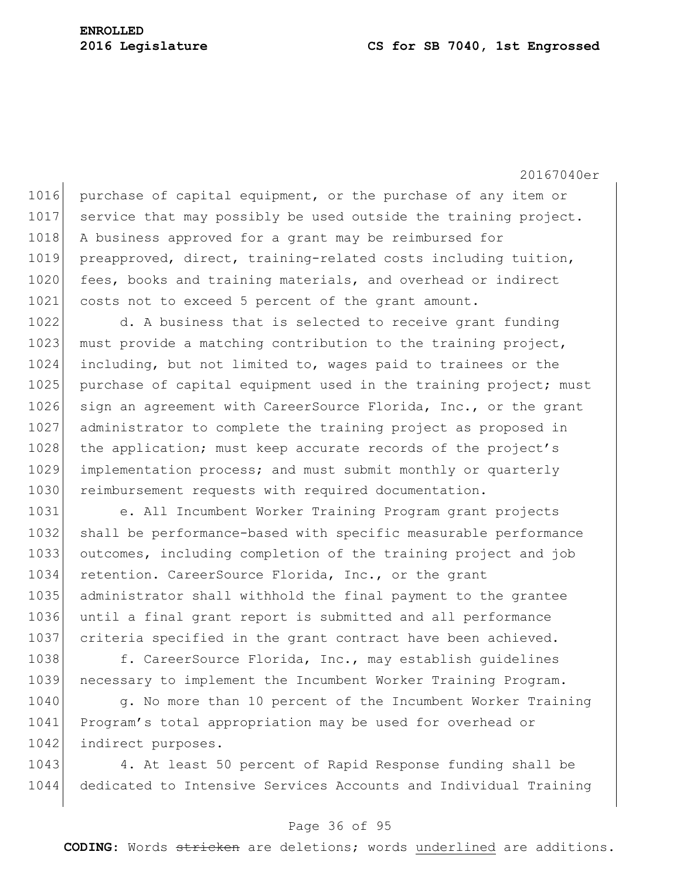1016 purchase of capital equipment, or the purchase of any item or 1017 service that may possibly be used outside the training project. 1018 A business approved for a grant may be reimbursed for 1019 preapproved, direct, training-related costs including tuition, 1020 fees, books and training materials, and overhead or indirect 1021 costs not to exceed 5 percent of the grant amount.

1022 d. A business that is selected to receive grant funding 1023 must provide a matching contribution to the training project, 1024 including, but not limited to, wages paid to trainees or the 1025 purchase of capital equipment used in the training project; must 1026 sign an agreement with CareerSource Florida, Inc., or the grant 1027 administrator to complete the training project as proposed in 1028 the application; must keep accurate records of the project's 1029 implementation process; and must submit monthly or quarterly 1030 reimbursement requests with required documentation.

 e. All Incumbent Worker Training Program grant projects shall be performance-based with specific measurable performance outcomes, including completion of the training project and job 1034 retention. CareerSource Florida, Inc., or the grant administrator shall withhold the final payment to the grantee until a final grant report is submitted and all performance 1037 criteria specified in the grant contract have been achieved.

1038 f. CareerSource Florida, Inc., may establish quidelines 1039 necessary to implement the Incumbent Worker Training Program.

1040 g. No more than 10 percent of the Incumbent Worker Training 1041 Program's total appropriation may be used for overhead or 1042 indirect purposes.

1043 4. At least 50 percent of Rapid Response funding shall be 1044 dedicated to Intensive Services Accounts and Individual Training

### Page 36 of 95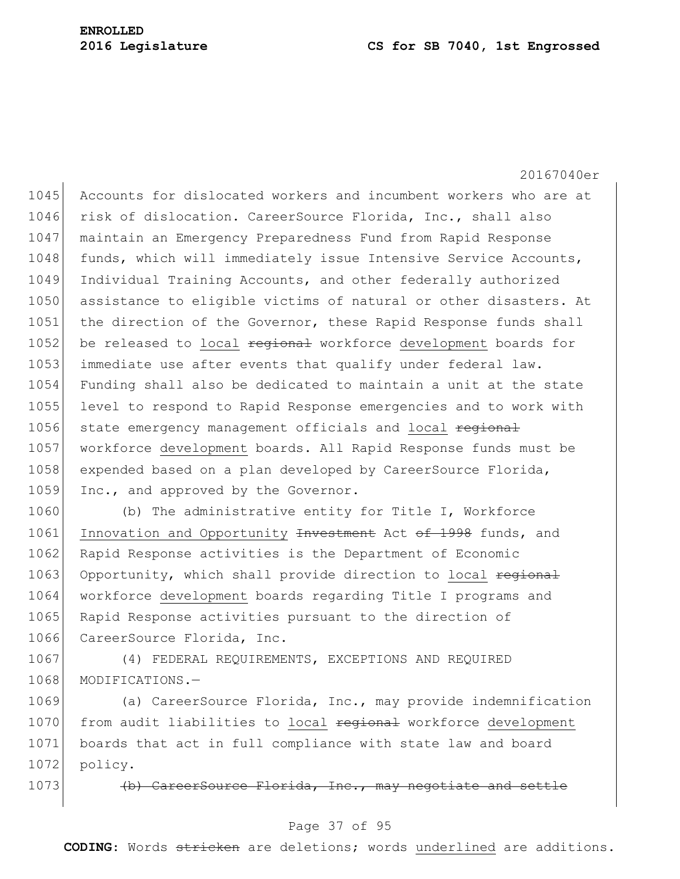20167040er 1045 Accounts for dislocated workers and incumbent workers who are at 1046 risk of dislocation. CareerSource Florida, Inc., shall also 1047 maintain an Emergency Preparedness Fund from Rapid Response 1048 funds, which will immediately issue Intensive Service Accounts, 1049 Individual Training Accounts, and other federally authorized 1050 assistance to eligible victims of natural or other disasters. At 1051 the direction of the Governor, these Rapid Response funds shall 1052 be released to local regional workforce development boards for 1053 immediate use after events that qualify under federal law. 1054 Funding shall also be dedicated to maintain a unit at the state 1055 level to respond to Rapid Response emergencies and to work with 1056 state emergency management officials and local regional 1057 workforce development boards. All Rapid Response funds must be 1058 expended based on a plan developed by CareerSource Florida, 1059 Inc., and approved by the Governor.

1060 (b) The administrative entity for Title I, Workforce 1061 Innovation and Opportunity <del>Investment</del> Act of 1998 funds, and 1062 Rapid Response activities is the Department of Economic 1063 Opportunity, which shall provide direction to local regional 1064 workforce development boards regarding Title I programs and 1065 Rapid Response activities pursuant to the direction of 1066 CareerSource Florida, Inc.

1067 (4) FEDERAL REQUIREMENTS, EXCEPTIONS AND REQUIRED 1068 MODIFICATIONS.—

1069 (a) CareerSource Florida, Inc., may provide indemnification 1070 from audit liabilities to local regional workforce development 1071 boards that act in full compliance with state law and board 1072 policy.

1073 (b) CareerSource Florida, Inc., may negotiate and

#### Page 37 of 95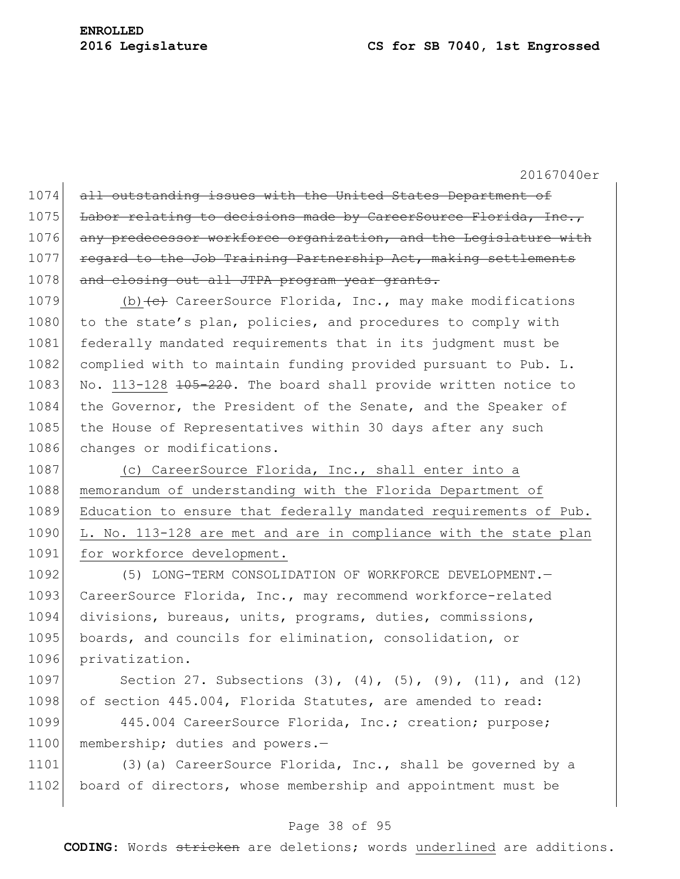1074 all outstanding issues with the United States Department of 1075 Labor relating to decisions made by CareerSource Florida, Inc., 1076 any predecessor workforce organization, and the Legislature with 1077 regard to the Job Training Partnership Act, making settlements 1078 and closing out all JTPA program year grants. 1079  $(b)$  (b) (e) CareerSource Florida, Inc., may make modifications 1080 to the state's plan, policies, and procedures to comply with 1081 federally mandated requirements that in its judgment must be 1082 complied with to maintain funding provided pursuant to Pub. L. 1083 No. 113-128 105-220. The board shall provide written notice to 1084 the Governor, the President of the Senate, and the Speaker of 1085 the House of Representatives within 30 days after any such 1086 changes or modifications. 1087 (c) CareerSource Florida, Inc., shall enter into a 1088 | memorandum of understanding with the Florida Department of

1089 Education to ensure that federally mandated requirements of Pub. 1090 L. No. 113-128 are met and are in compliance with the state plan 1091 for workforce development.

1092 (5) LONG-TERM CONSOLIDATION OF WORKFORCE DEVELOPMENT. 1093 CareerSource Florida, Inc., may recommend workforce-related 1094 divisions, bureaus, units, programs, duties, commissions, 1095 boards, and councils for elimination, consolidation, or 1096 privatization.

1097 Section 27. Subsections (3), (4), (5), (9), (11), and (12) 1098 of section 445.004, Florida Statutes, are amended to read:

1099 445.004 CareerSource Florida, Inc.; creation; purpose; 1100 membership; duties and powers.-

1101 (3)(a) CareerSource Florida, Inc., shall be governed by a 1102 board of directors, whose membership and appointment must be

#### Page 38 of 95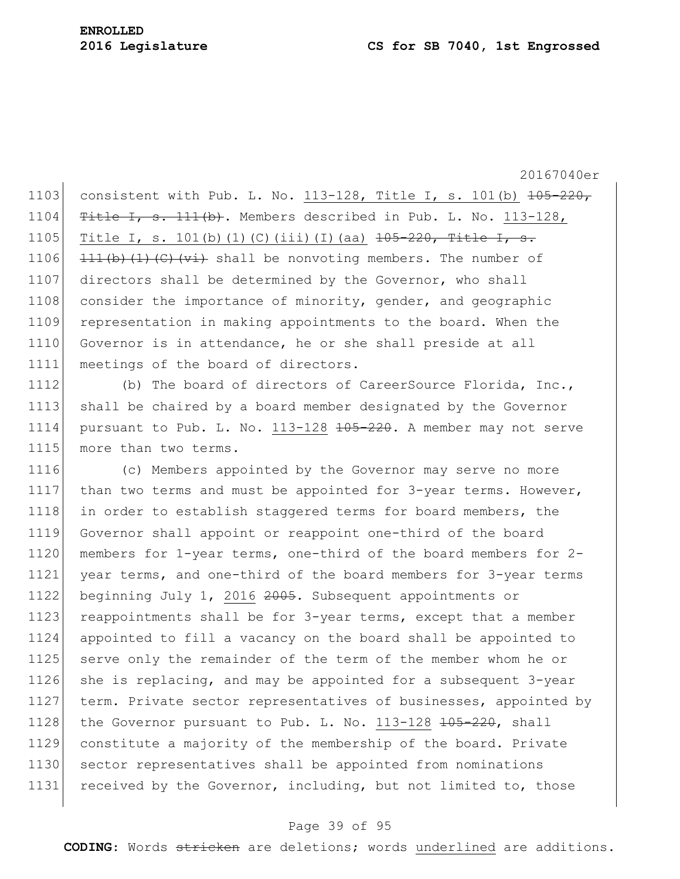20167040er 1103 consistent with Pub. L. No. 113-128, Title I, s. 101(b)  $\frac{105-220}{7}$ 1104  $T$ itle I, s. 111(b). Members described in Pub. L. No. 113-128, 1105 Title I, s. 101(b)(1)(C)(iii)(I)(aa)  $\frac{105-220}{1000}$ , Title I, s. 1106  $111(b)$  (1) (C) (vi) shall be nonvoting members. The number of 1107 directors shall be determined by the Governor, who shall 1108 consider the importance of minority, gender, and geographic 1109 representation in making appointments to the board. When the 1110 Governor is in attendance, he or she shall preside at all 1111 meetings of the board of directors.

1112 (b) The board of directors of CareerSource Florida, Inc., 1113 shall be chaired by a board member designated by the Governor 1114 pursuant to Pub. L. No. 113-128  $\frac{105-220}{105}$ . A member may not serve 1115 more than two terms.

1116 (c) Members appointed by the Governor may serve no more 1117 than two terms and must be appointed for 3-year terms. However, 1118 in order to establish staggered terms for board members, the 1119 Governor shall appoint or reappoint one-third of the board 1120 members for 1-year terms, one-third of the board members for 2-1121 year terms, and one-third of the board members for 3-year terms 1122 beginning July 1, 2016 2005. Subsequent appointments or 1123 reappointments shall be for 3-year terms, except that a member 1124 appointed to fill a vacancy on the board shall be appointed to 1125 serve only the remainder of the term of the member whom he or 1126 she is replacing, and may be appointed for a subsequent 3-year 1127 term. Private sector representatives of businesses, appointed by 1128 the Governor pursuant to Pub. L. No.  $113-128$   $\overline{105-220}$ , shall 1129 constitute a majority of the membership of the board. Private 1130 sector representatives shall be appointed from nominations 1131 received by the Governor, including, but not limited to, those

#### Page 39 of 95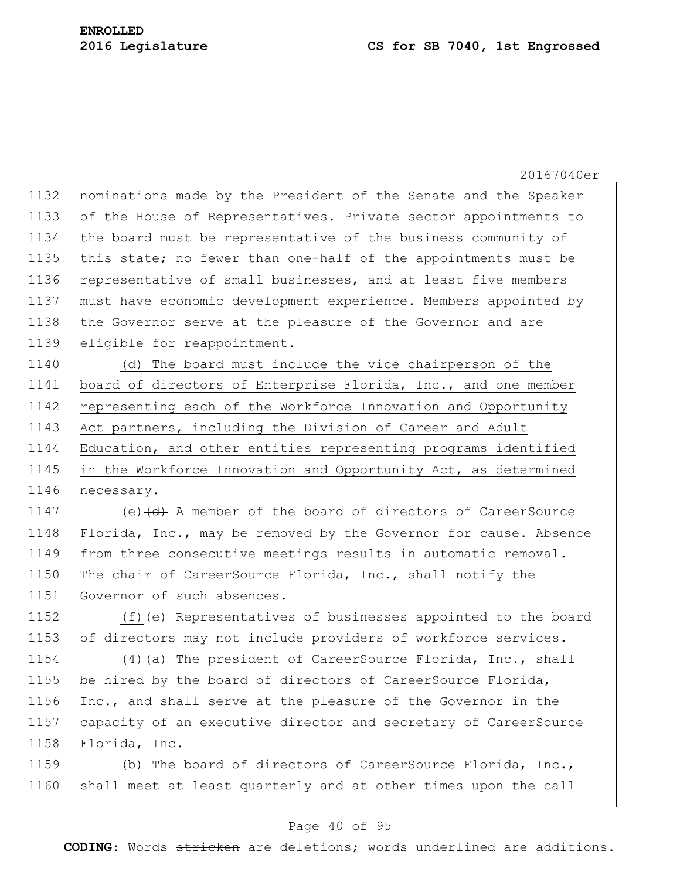20167040er 1132 nominations made by the President of the Senate and the Speaker 1133 of the House of Representatives. Private sector appointments to 1134 the board must be representative of the business community of 1135 this state; no fewer than one-half of the appointments must be 1136 representative of small businesses, and at least five members 1137 must have economic development experience. Members appointed by 1138 the Governor serve at the pleasure of the Governor and are 1139 eligible for reappointment. 1140 (d) The board must include the vice chairperson of the 1141 board of directors of Enterprise Florida, Inc., and one member 1142 representing each of the Workforce Innovation and Opportunity 1143 Act partners, including the Division of Career and Adult 1144 Education, and other entities representing programs identified 1145 | in the Workforce Innovation and Opportunity Act, as determined 1146 necessary.

1147 (e) (d) A member of the board of directors of CareerSource 1148 Florida, Inc., may be removed by the Governor for cause. Absence 1149 from three consecutive meetings results in automatic removal. 1150 The chair of CareerSource Florida, Inc., shall notify the 1151 Governor of such absences.

1152 (f)(e) Representatives of businesses appointed to the board 1153 of directors may not include providers of workforce services.

 (4)(a) The president of CareerSource Florida, Inc., shall be hired by the board of directors of CareerSource Florida, Inc., and shall serve at the pleasure of the Governor in the capacity of an executive director and secretary of CareerSource 1158 Florida, Inc.

1159 (b) The board of directors of CareerSource Florida, Inc., 1160 shall meet at least quarterly and at other times upon the call

#### Page 40 of 95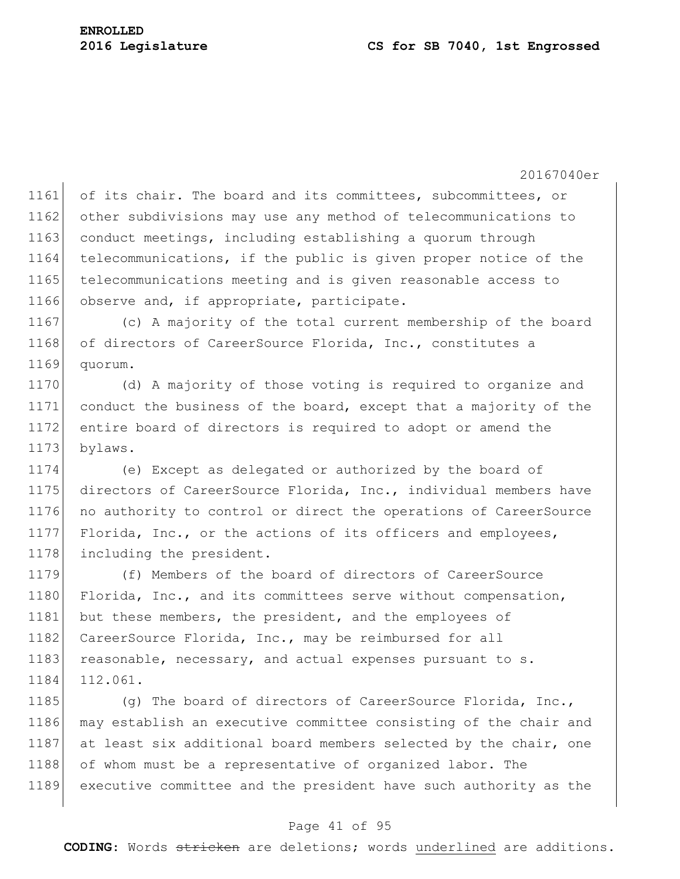1161 of its chair. The board and its committees, subcommittees, or 1162 other subdivisions may use any method of telecommunications to 1163 conduct meetings, including establishing a quorum through 1164 telecommunications, if the public is given proper notice of the 1165 telecommunications meeting and is given reasonable access to 1166 observe and, if appropriate, participate.

1167 (c) A majority of the total current membership of the board 1168 of directors of CareerSource Florida, Inc., constitutes a 1169 quorum.

1170 (d) A majority of those voting is required to organize and 1171 conduct the business of the board, except that a majority of the 1172 entire board of directors is required to adopt or amend the 1173 bylaws.

 (e) Except as delegated or authorized by the board of directors of CareerSource Florida, Inc., individual members have no authority to control or direct the operations of CareerSource Florida, Inc., or the actions of its officers and employees, 1178 including the president.

1179 (f) Members of the board of directors of CareerSource 1180 Florida, Inc., and its committees serve without compensation, 1181 but these members, the president, and the employees of 1182 CareerSource Florida, Inc., may be reimbursed for all 1183 reasonable, necessary, and actual expenses pursuant to  $s$ . 1184 112.061.

1185 (g) The board of directors of CareerSource Florida, Inc., 1186 may establish an executive committee consisting of the chair and 1187 at least six additional board members selected by the chair, one 1188 of whom must be a representative of organized labor. The 1189 executive committee and the president have such authority as the

#### Page 41 of 95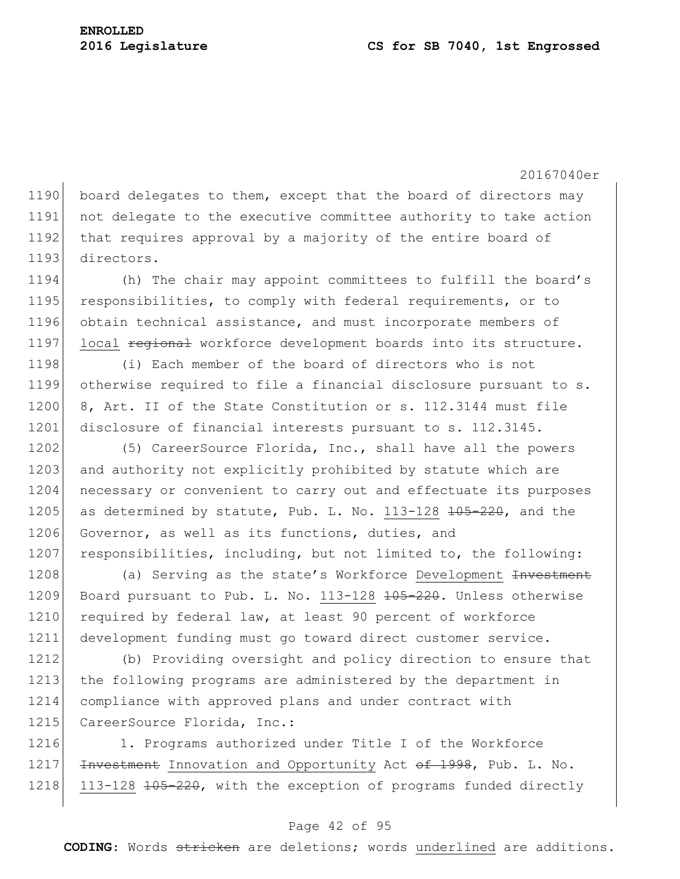1190 board delegates to them, except that the board of directors may 1191 not delegate to the executive committee authority to take action 1192 that requires approval by a majority of the entire board of 1193 directors.

1194 (h) The chair may appoint committees to fulfill the board's 1195 responsibilities, to comply with federal requirements, or to 1196 obtain technical assistance, and must incorporate members of 1197 local regional workforce development boards into its structure.

1198 (i) Each member of the board of directors who is not 1199 otherwise required to file a financial disclosure pursuant to s. 1200 8, Art. II of the State Constitution or s. 112.3144 must file 1201 disclosure of financial interests pursuant to s. 112.3145.

1202 (5) CareerSource Florida, Inc., shall have all the powers 1203 and authority not explicitly prohibited by statute which are 1204 necessary or convenient to carry out and effectuate its purposes 1205 as determined by statute, Pub. L. No.  $113-128$   $\overline{105-220}$ , and the 1206 Governor, as well as its functions, duties, and 1207 responsibilities, including, but not limited to, the following:

1208 (a) Serving as the state's Workforce Development <del>Investment</del> 1209 Board pursuant to Pub. L. No.  $113-128$   $\overline{+05-220}$ . Unless otherwise 1210 required by federal law, at least 90 percent of workforce 1211 development funding must go toward direct customer service.

1212 (b) Providing oversight and policy direction to ensure that 1213 the following programs are administered by the department in 1214 compliance with approved plans and under contract with 1215 CareerSource Florida, Inc.:

1216 1. Programs authorized under Title I of the Workforce 1217 Investment Innovation and Opportunity Act of 1998, Pub. L. No. 1218 113-128 <del>105-220</del>, with the exception of programs funded directly

#### Page 42 of 95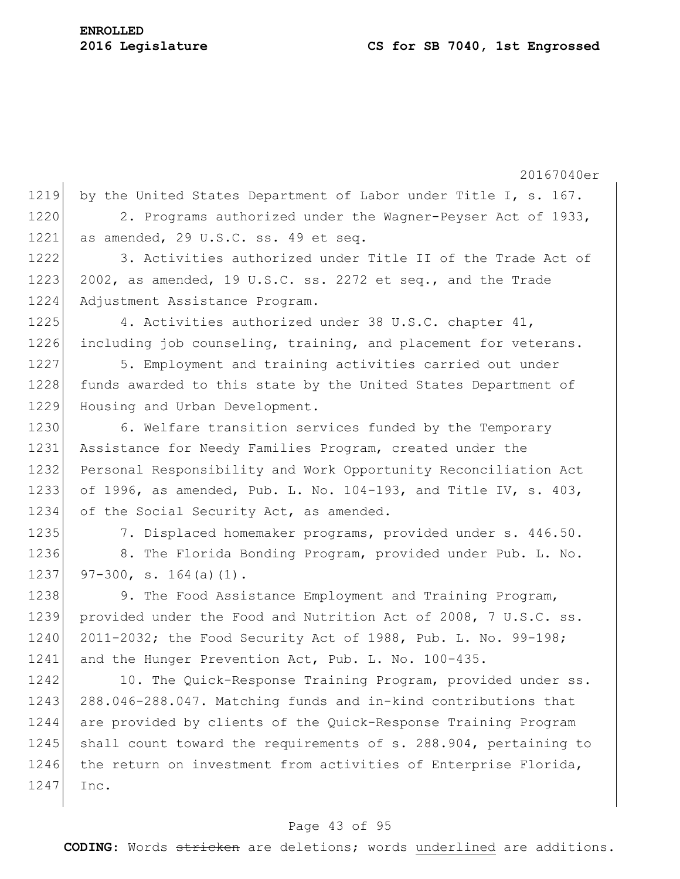20167040er 1219 by the United States Department of Labor under Title I, s. 167. 1220 2. Programs authorized under the Wagner-Peyser Act of 1933, 1221 as amended, 29 U.S.C. ss. 49 et seq. 1222 3. Activities authorized under Title II of the Trade Act of 1223  $2002$ , as amended, 19 U.S.C. ss. 2272 et seq., and the Trade 1224 Adjustment Assistance Program. 1225 4. Activities authorized under 38 U.S.C. chapter 41, 1226 including job counseling, training, and placement for veterans. 1227 5. Employment and training activities carried out under 1228 funds awarded to this state by the United States Department of 1229 Housing and Urban Development. 1230 6. Welfare transition services funded by the Temporary 1231 Assistance for Needy Families Program, created under the 1232 Personal Responsibility and Work Opportunity Reconciliation Act 1233 of 1996, as amended, Pub. L. No. 104-193, and Title IV, s. 403, 1234 of the Social Security Act, as amended. 1235 7. Displaced homemaker programs, provided under s. 446.50. 1236 8. The Florida Bonding Program, provided under Pub. L. No.  $1237$  97-300, s. 164(a)(1). 1238 9. The Food Assistance Employment and Training Program, 1239 provided under the Food and Nutrition Act of 2008, 7 U.S.C. ss. 1240 2011-2032; the Food Security Act of 1988, Pub. L. No. 99-198; 1241 and the Hunger Prevention Act, Pub. L. No. 100-435. 1242 10. The Quick-Response Training Program, provided under ss. 1243 288.046-288.047. Matching funds and in-kind contributions that 1244 are provided by clients of the Quick-Response Training Program 1245 shall count toward the requirements of s. 288.904, pertaining to 1246 the return on investment from activities of Enterprise Florida, 1247 Inc.

#### Page 43 of 95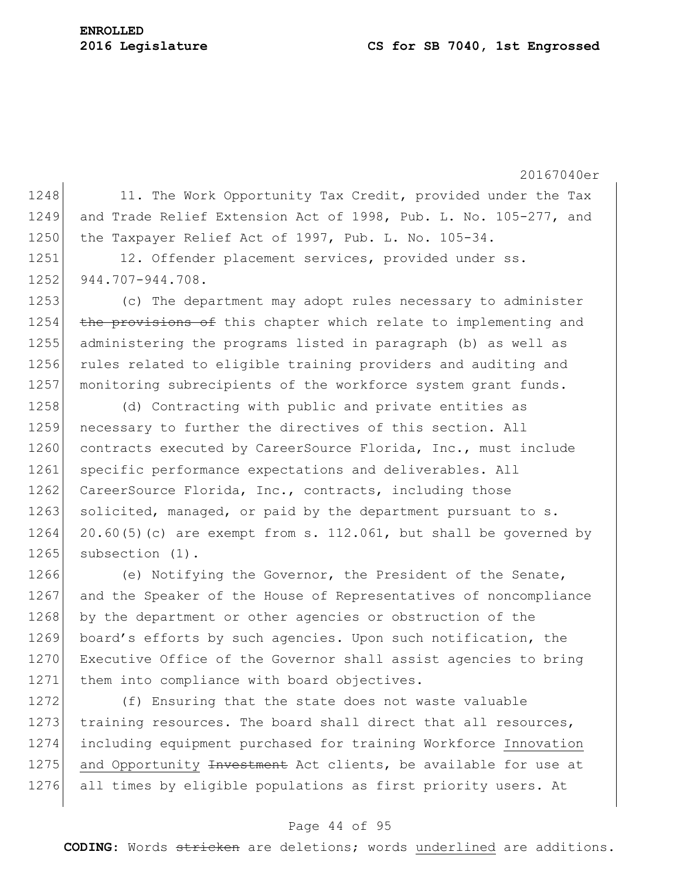20167040er 1248 1248 11. The Work Opportunity Tax Credit, provided under the Tax 1249 and Trade Relief Extension Act of 1998, Pub. L. No. 105-277, and 1250 the Taxpayer Relief Act of 1997, Pub. L. No. 105-34. 1251 12. Offender placement services, provided under ss. 1252 944.707-944.708. 1253 (c) The department may adopt rules necessary to administer 1254 the provisions of this chapter which relate to implementing and 1255 administering the programs listed in paragraph (b) as well as 1256 rules related to eligible training providers and auditing and 1257 monitoring subrecipients of the workforce system grant funds. 1258 (d) Contracting with public and private entities as 1259 necessary to further the directives of this section. All 1260 contracts executed by CareerSource Florida, Inc., must include 1261 specific performance expectations and deliverables. All 1262 CareerSource Florida, Inc., contracts, including those 1263 solicited, managed, or paid by the department pursuant to  $s$ . 1264 20.60(5)(c) are exempt from s. 112.061, but shall be governed by 1265 subsection (1). 1266 (e) Notifying the Governor, the President of the Senate, 1267 and the Speaker of the House of Representatives of noncompliance 1268 by the department or other agencies or obstruction of the 1269 board's efforts by such agencies. Upon such notification, the 1270 Executive Office of the Governor shall assist agencies to bring

1272 (f) Ensuring that the state does not waste valuable 1273 training resources. The board shall direct that all resources, 1274 including equipment purchased for training Workforce Innovation 1275 and Opportunity <del>Investment</del> Act clients, be available for use at 1276 all times by eligible populations as first priority users. At

1271 them into compliance with board objectives.

#### Page 44 of 95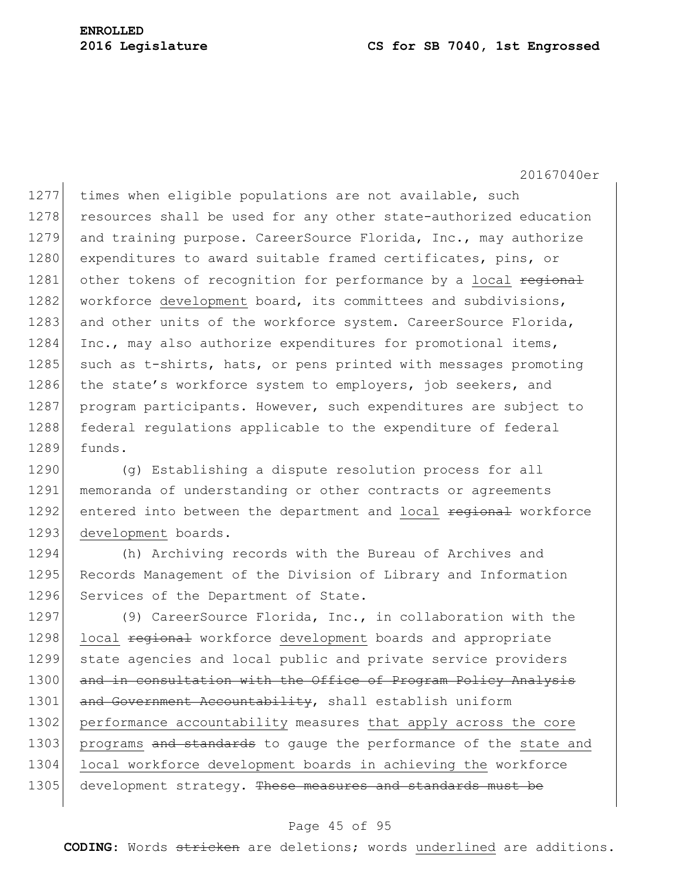#### **2016 Legislature CS for SB 7040, 1st Engrossed**

20167040er

 $1277$  times when eligible populations are not available, such 1278 resources shall be used for any other state-authorized education 1279 and training purpose. CareerSource Florida, Inc., may authorize 1280 expenditures to award suitable framed certificates, pins, or 1281 other tokens of recognition for performance by a local regional 1282 workforce development board, its committees and subdivisions, 1283 and other units of the workforce system. CareerSource Florida, 1284 Inc., may also authorize expenditures for promotional items, 1285 such as t-shirts, hats, or pens printed with messages promoting 1286 the state's workforce system to employers, job seekers, and 1287 program participants. However, such expenditures are subject to 1288 federal regulations applicable to the expenditure of federal  $1289$  funds.

1290 (g) Establishing a dispute resolution process for all 1291 memoranda of understanding or other contracts or agreements 1292 entered into between the department and local regional workforce 1293 development boards.

1294 (h) Archiving records with the Bureau of Archives and 1295 Records Management of the Division of Library and Information 1296 Services of the Department of State.

1297 (9) CareerSource Florida, Inc., in collaboration with the 1298 local regional workforce development boards and appropriate 1299 state agencies and local public and private service providers 1300 and in consultation with the Office of Program Policy Analysis 1301 and Government Accountability, shall establish uniform 1302 performance accountability measures that apply across the core 1303 programs and standards to gauge the performance of the state and 1304 local workforce development boards in achieving the workforce 1305 development strategy. These measures and standards must be

#### Page 45 of 95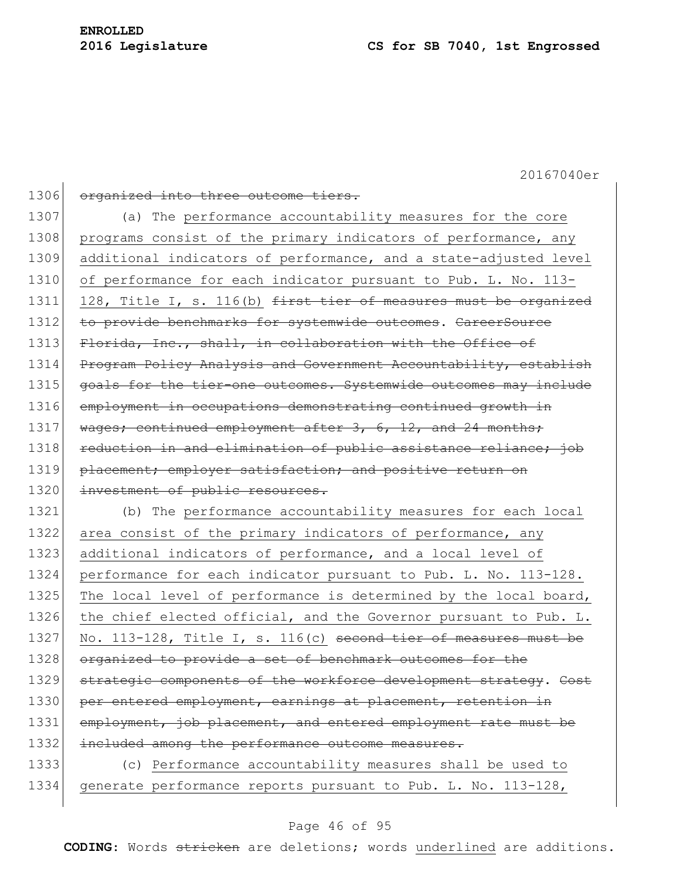| 1306 | organized into three outcome tiers.                              |
|------|------------------------------------------------------------------|
| 1307 | (a) The performance accountability measures for the core         |
| 1308 | programs consist of the primary indicators of performance, any   |
| 1309 | additional indicators of performance, and a state-adjusted level |
| 1310 | of performance for each indicator pursuant to Pub. L. No. 113-   |
| 1311 | 128, Title I, s. 116(b) first tier of measures must be organized |
| 1312 | to provide benchmarks for systemwide outcomes. CareerSource      |
| 1313 | Florida, Inc., shall, in collaboration with the Office of        |
| 1314 | Program Policy Analysis and Government Accountability, establish |
| 1315 | goals for the tier-one outcomes. Systemwide outcomes may include |
| 1316 | employment in occupations demonstrating continued growth in      |
| 1317 | wages; continued employment after 3, 6, 12, and 24 months;       |
| 1318 | reduction in and elimination of public assistance reliance; job  |
| 1319 | placement; employer satisfaction; and positive return on         |
| 1320 | investment of public resources.                                  |
| 1321 | (b) The performance accountability measures for each local       |
| 1322 | area consist of the primary indicators of performance, any       |
| 1323 | additional indicators of performance, and a local level of       |
| 1324 | performance for each indicator pursuant to Pub. L. No. 113-128.  |
| 1325 | The local level of performance is determined by the local board, |
| 1326 | the chief elected official, and the Governor pursuant to Pub. L. |
| 1327 | No. 113-128, Title I, s. 116(c) second tier of measures must be  |
| 1328 | organized to provide a set of benchmark outcomes for the         |
| 1329 | strategic components of the workforce development strategy. Cost |
| 1330 | per entered employment, earnings at placement, retention in      |
| 1331 | employment, job placement, and entered employment rate must be   |
| 1332 | included among the performance outcome measures.                 |
| 1333 | (c) Performance accountability measures shall be used to         |
| 1334 | generate performance reports pursuant to Pub. L. No. 113-128,    |
|      |                                                                  |

## Page 46 of 95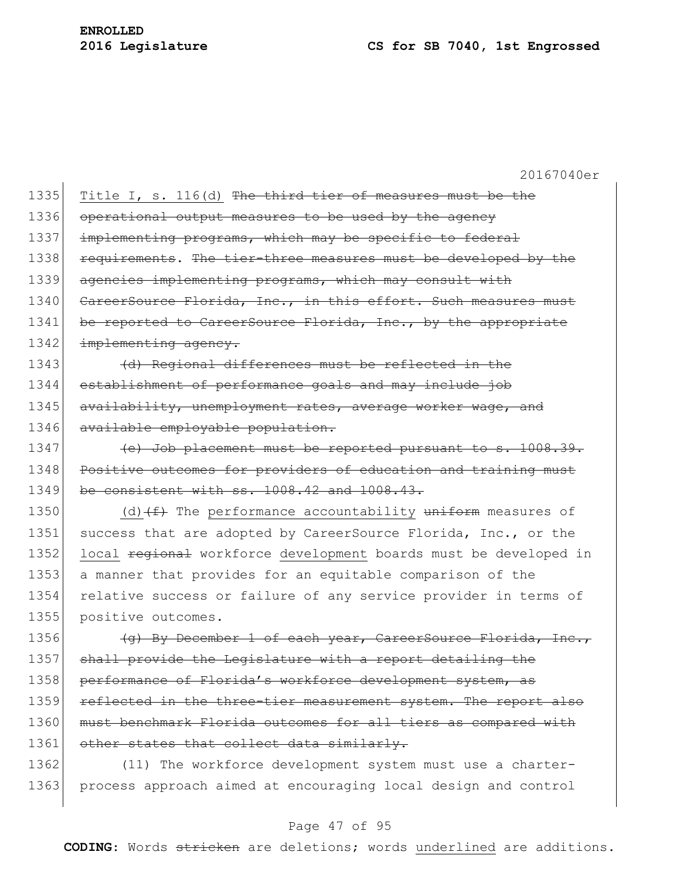| 1335 | Title I, s. 116(d) <del>The third tier of measures must be the</del> |
|------|----------------------------------------------------------------------|
| 1336 | operational output measures to be used by the agency                 |
| 1337 | implementing programs, which may be specific to federal              |
| 1338 | requirements. The tier-three measures must be developed by the       |
| 1339 | agencies implementing programs, which may consult with               |
| 1340 | CareerSource Florida, Inc., in this effort. Such measures must       |
| 1341 | be reported to CareerSource Florida, Inc., by the appropriate        |
| 1342 | implementing agency.                                                 |
| 1343 | (d) Regional differences must be reflected in the                    |
| 1344 | establishment of performance goals and may include job               |
| 1345 | availability, unemployment rates, average worker wage, and           |
| 1346 | available employable population.                                     |
| 1347 | (e) Job placement must be reported pursuant to s. 1008.39.           |
| 1348 | Positive outcomes for providers of education and training must       |
| 1349 | be consistent with ss. 1008.42 and 1008.43.                          |
| 1350 | (d) $(f)$ The performance accountability uniform measures of         |
| 1351 | success that are adopted by CareerSource Florida, Inc., or the       |
| 1352 | local regional workforce development boards must be developed in     |
| 1353 | a manner that provides for an equitable comparison of the            |
| 1354 | relative success or failure of any service provider in terms of      |
| 1355 | positive outcomes.                                                   |
| 1356 | (g) By December 1 of each year, CareerSource Florida, Inc.,          |
| 1357 | shall provide the Legislature with a report detailing the            |
| 1358 | performance of Florida's workforce development system, as            |
| 1359 | reflected in the three-tier measurement system. The report also      |
| 1360 | must benchmark Florida outcomes for all tiers as compared with       |
| 1361 | other states that collect data similarly.                            |
| 1362 | (11) The workforce development system must use a charter-            |
| 1363 | process approach aimed at encouraging local design and control       |
|      |                                                                      |

## Page 47 of 95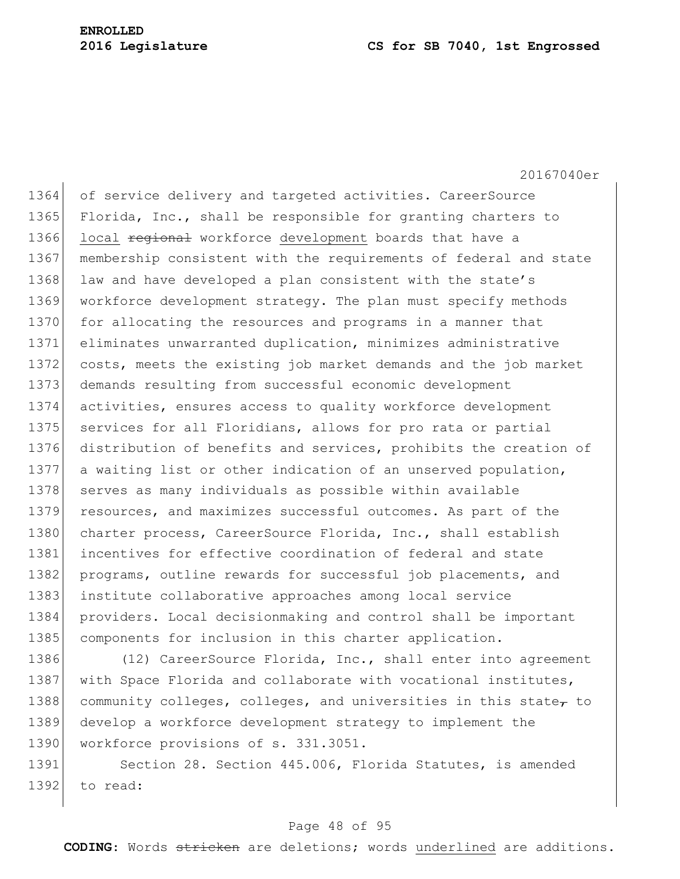#### **2016 Legislature CS for SB 7040, 1st Engrossed**

20167040er

1364 of service delivery and targeted activities. CareerSource 1365 Florida, Inc., shall be responsible for granting charters to 1366 local regional workforce development boards that have a 1367 membership consistent with the requirements of federal and state 1368 law and have developed a plan consistent with the state's 1369 workforce development strategy. The plan must specify methods 1370 for allocating the resources and programs in a manner that 1371 eliminates unwarranted duplication, minimizes administrative 1372 costs, meets the existing job market demands and the job market 1373 demands resulting from successful economic development 1374 activities, ensures access to quality workforce development 1375 services for all Floridians, allows for pro rata or partial 1376 distribution of benefits and services, prohibits the creation of 1377 a waiting list or other indication of an unserved population, 1378 serves as many individuals as possible within available 1379 resources, and maximizes successful outcomes. As part of the 1380 charter process, CareerSource Florida, Inc., shall establish 1381 incentives for effective coordination of federal and state 1382 programs, outline rewards for successful job placements, and 1383 institute collaborative approaches among local service 1384 providers. Local decisionmaking and control shall be important 1385 components for inclusion in this charter application.

1386 (12) CareerSource Florida, Inc., shall enter into agreement 1387 with Space Florida and collaborate with vocational institutes, 1388 community colleges, colleges, and universities in this state, to 1389 develop a workforce development strategy to implement the 1390 workforce provisions of s. 331.3051.

1391 Section 28. Section 445.006, Florida Statutes, is amended 1392 to read:

#### Page 48 of 95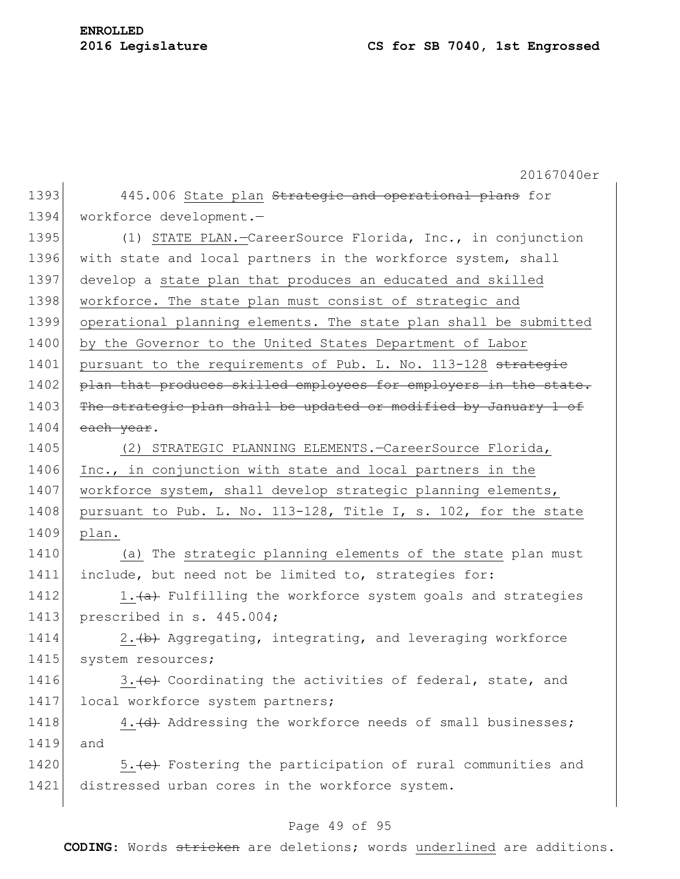# **ENROLLED**

## **2016 Legislature CS for SB 7040, 1st Engrossed**

|      | 20167040er                                                       |
|------|------------------------------------------------------------------|
| 1393 | 445.006 State plan Strategic and operational plans for           |
| 1394 | workforce development.-                                          |
| 1395 | (1) STATE PLAN.-CareerSource Florida, Inc., in conjunction       |
| 1396 | with state and local partners in the workforce system, shall     |
| 1397 | develop a state plan that produces an educated and skilled       |
| 1398 | workforce. The state plan must consist of strategic and          |
| 1399 | operational planning elements. The state plan shall be submitted |
| 1400 | by the Governor to the United States Department of Labor         |
| 1401 | pursuant to the requirements of Pub. L. No. 113-128 strategie    |
| 1402 | plan that produces skilled employees for employers in the state. |
| 1403 | The strategic plan shall be updated or modified by January 1 of  |
| 1404 | each year.                                                       |
| 1405 | (2) STRATEGIC PLANNING ELEMENTS.-CareerSource Florida,           |
| 1406 | Inc., in conjunction with state and local partners in the        |
| 1407 | workforce system, shall develop strategic planning elements,     |
| 1408 | pursuant to Pub. L. No. 113-128, Title I, s. 102, for the state  |
| 1409 | plan.                                                            |
| 1410 | (a) The strategic planning elements of the state plan must       |
| 1411 | include, but need not be limited to, strategies for:             |
| 1412 | 1. (a) Fulfilling the workforce system goals and strategies      |
| 1413 | prescribed in s. 445.004;                                        |
| 1414 | 2. (b) Aggregating, integrating, and leveraging workforce        |
| 1415 | system resources;                                                |
| 1416 | 3. (e) Coordinating the activities of federal, state, and        |
| 1417 | local workforce system partners;                                 |
| 1418 | 4. (d) Addressing the workforce needs of small businesses;       |
| 1419 | and                                                              |
| 1420 | 5. (e) Fostering the participation of rural communities and      |
| 1421 | distressed urban cores in the workforce system.                  |

## Page 49 of 95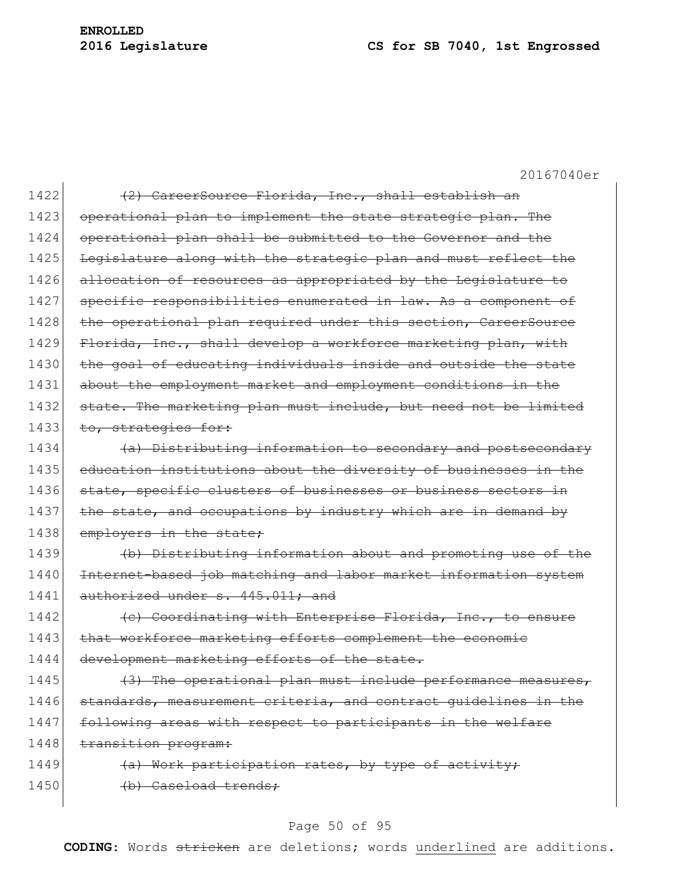| 1422 | (2) CareerSource Florida, Inc., shall establish an              |
|------|-----------------------------------------------------------------|
| 1423 | operational plan to implement the state strategic plan. The     |
| 1424 | operational plan shall be submitted to the Governor and the     |
| 1425 | Legislature along with the strategic plan and must reflect the  |
| 1426 | allocation of resources as appropriated by the Legislature to   |
| 1427 | specific responsibilities enumerated in law. As a component of  |
| 1428 | the operational plan required under this section, CareerSource  |
| 1429 | Florida, Inc., shall develop a workforce marketing plan, with   |
| 1430 | the goal of educating individuals inside and outside the state  |
| 1431 | about the employment market and employment conditions in the    |
| 1432 | state. The marketing plan must include, but need not be limited |
| 1433 | to, strategies for:                                             |
| 1434 | (a) Distributing information to secondary and postsecondary     |
| 1435 | education institutions about the diversity of businesses in the |
| 1436 | state, specific clusters of businesses or business sectors in   |
| 1437 | the state, and occupations by industry which are in demand by   |
| 1438 | employers in the state;                                         |
| 1439 | (b) Distributing information about and promoting use of the     |
| 1440 | Internet-based job matching and labor market information system |
| 1441 | authorized under s. 445.011; and                                |
| 1442 | (c) Coordinating with Enterprise Florida, Inc., to ensure       |
| 1443 | that workforce marketing efforts complement the economic        |
| 1444 | development marketing efforts of the state.                     |
| 1445 | (3) The operational plan must include performance measures,     |
| 1446 | standards, measurement criteria, and contract quidelines in the |
| 1447 | following areas with respect to participants in the welfare     |
| 1448 | transition program:                                             |
| 1449 | (a) Work participation rates, by type of activity;              |
| 1450 | (b) Caseload trends;                                            |
|      |                                                                 |

## Page 50 of 95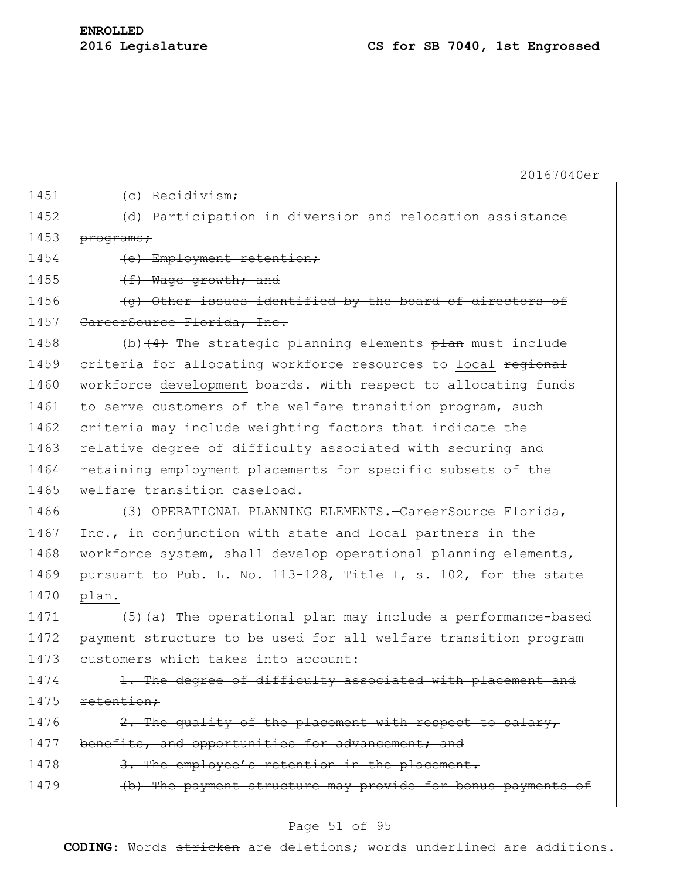| 1451 | (c) Recidivism;                                                 |
|------|-----------------------------------------------------------------|
| 1452 | (d) Participation in diversion and relocation assistance        |
| 1453 | programs;                                                       |
| 1454 | (e) Employment retention;                                       |
| 1455 | (f) Wage growth; and                                            |
| 1456 | (g) Other issues identified by the board of directors of        |
| 1457 | CareerSource Florida, Inc.                                      |
| 1458 | (b) $(4)$ The strategic planning elements $p$ lan must include  |
| 1459 | criteria for allocating workforce resources to local regional   |
| 1460 | workforce development boards. With respect to allocating funds  |
| 1461 | to serve customers of the welfare transition program, such      |
| 1462 | criteria may include weighting factors that indicate the        |
| 1463 | relative degree of difficulty associated with securing and      |
| 1464 | retaining employment placements for specific subsets of the     |
| 1465 | welfare transition caseload.                                    |
| 1466 | (3) OPERATIONAL PLANNING ELEMENTS.-CareerSource Florida,        |
| 1467 | Inc., in conjunction with state and local partners in the       |
| 1468 | workforce system, shall develop operational planning elements,  |
| 1469 | pursuant to Pub. L. No. 113-128, Title I, s. 102, for the state |
| 1470 | plan.                                                           |
| 1471 | (5) (a) The operational plan may include a performance-based    |
| 1472 | payment structure to be used for all welfare transition program |
| 1473 | eustomers which takes into account:                             |
| 1474 | 1. The degree of difficulty associated with placement and       |
| 1475 | retention;                                                      |
| 1476 | 2. The quality of the placement with respect to salary,         |
| 1477 | benefits, and opportunities for advancement; and                |
| 1478 | The employee's retention in the placement.                      |
| 1479 | (b) The payment structure may provide for bonus payments of     |
|      |                                                                 |

## Page 51 of 95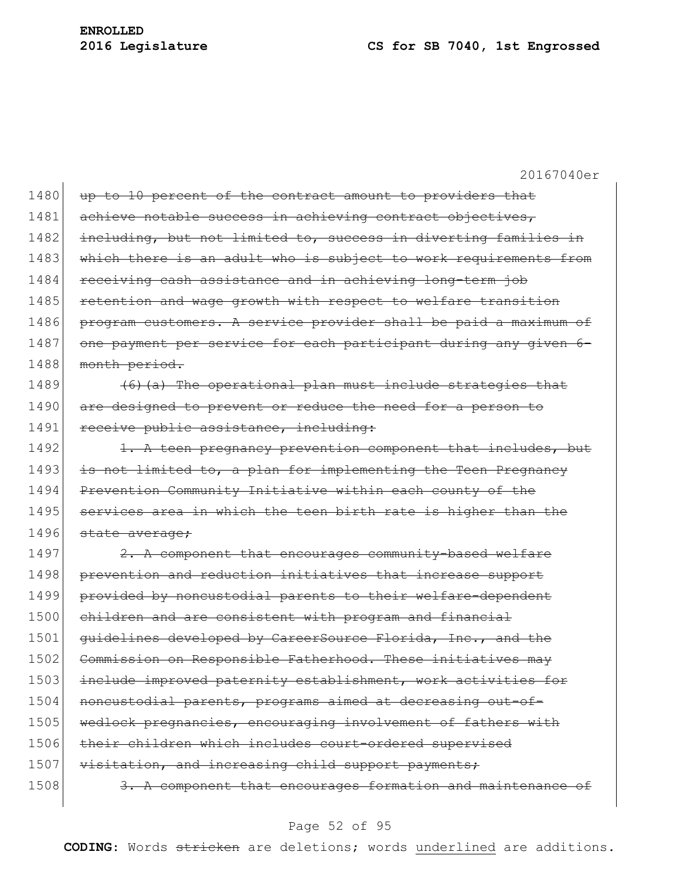| 1480 | up to 10 percent of the contract amount to providers that        |
|------|------------------------------------------------------------------|
| 1481 | achieve notable success in achieving contract objectives,        |
| 1482 | including, but not limited to, success in diverting families in  |
| 1483 | which there is an adult who is subject to work requirements from |
| 1484 | receiving cash assistance and in achieving long-term job         |
| 1485 | retention and wage growth with respect to welfare transition     |
| 1486 | program customers. A service provider shall be paid a maximum of |
| 1487 | one payment per service for each participant during any given 6- |
| 1488 | month period.                                                    |
| 1489 | (6) (a) The operational plan must include strategies that        |
| 1490 | are designed to prevent or reduce the need for a person to       |
| 1491 | receive public assistance, including:                            |
| 1492 | 1. A teen pregnancy prevention component that includes, but      |
| 1493 | is not limited to, a plan for implementing the Teen Pregnancy    |
| 1494 | Prevention Community Initiative within each county of the        |
| 1495 | services area in which the teen birth rate is higher than the    |
| 1496 | state average;                                                   |
| 1497 | 2. A component that encourages community-based welfare           |
| 1498 | prevention and reduction initiatives that increase support       |
| 1499 | provided by noncustodial parents to their welfare-dependent      |
| 1500 | children and are consistent with program and financial           |
| 1501 | guidelines developed by CareerSource Florida, Inc., and the      |
| 1502 | Commission on Responsible Fatherhood. These initiatives mav      |
| 1503 | include improved paternity establishment, work activities for    |
| 1504 | noncustodial parents, programs aimed at decreasing out-of-       |
| 1505 | wedlock pregnancies, encouraging involvement of fathers with     |
| 1506 | their children which includes court-ordered supervised           |
| 1507 | visitation, and increasing child support payments;               |
| 1508 | component that encourages formation and maintenance<br>Θ£        |
|      |                                                                  |

## Page 52 of 95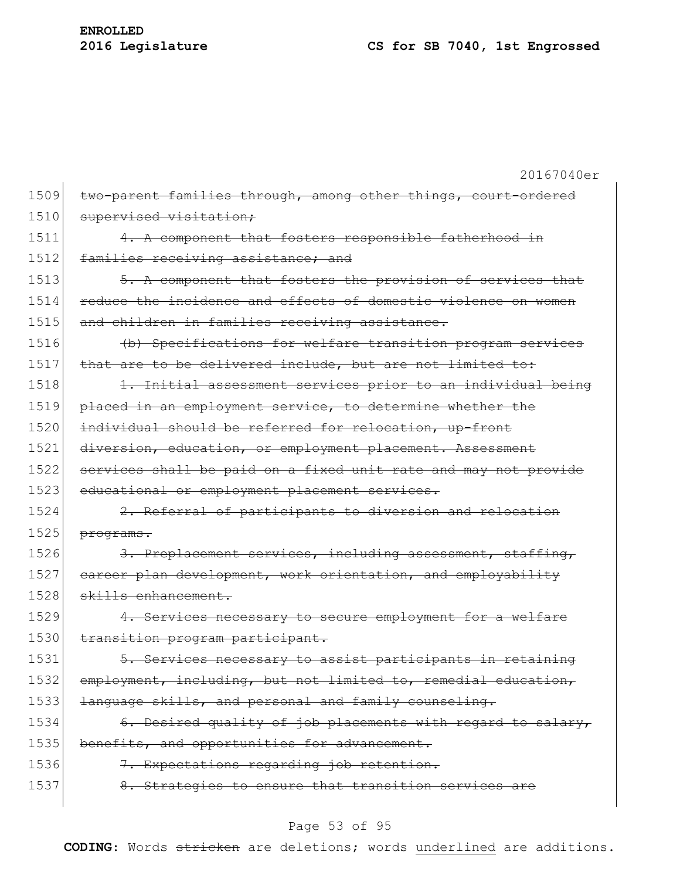|      | 20167040er                                                      |
|------|-----------------------------------------------------------------|
| 1509 | two-parent families through, among other things, court-ordered  |
| 1510 | supervised visitation;                                          |
| 1511 | 4. A component that fosters responsible fatherhood in           |
| 1512 | families receiving assistance; and                              |
| 1513 | 5. A component that fosters the provision of services that      |
| 1514 | reduce the incidence and effects of domestic violence on women  |
| 1515 | and children in families receiving assistance.                  |
| 1516 | (b) Specifications for welfare transition program services      |
| 1517 | that are to be delivered include, but are not limited to:       |
| 1518 | 1. Initial assessment services prior to an individual being     |
| 1519 | placed in an employment service, to determine whether the       |
| 1520 | individual should be referred for relocation, up-front          |
| 1521 | diversion, education, or employment placement. Assessment       |
| 1522 | services shall be paid on a fixed unit rate and may not provide |
| 1523 | educational or employment placement services.                   |
| 1524 | 2. Referral of participants to diversion and relocation         |
| 1525 | programs.                                                       |
| 1526 | 3. Preplacement services, including assessment, staffing,       |
| 1527 | eareer plan development, work orientation, and employability    |
| 1528 | skills enhancement.                                             |
| 1529 | 4. Services necessary to secure employment for a welfare        |
| 1530 | transition program participant.                                 |
| 1531 | 5. Services necessary to assist participants in retaining       |
| 1532 | employment, including, but not limited to, remedial education,  |
| 1533 | language skills, and personal and family counseling.            |
| 1534 | 6. Desired quality of job placements with regard to salary,     |
| 1535 | benefits, and opportunities for advancement.                    |
| 1536 | 7. Expectations regarding job retention.                        |
| 1537 | 8. Strategies to ensure that transition services are            |
|      |                                                                 |

## Page 53 of 95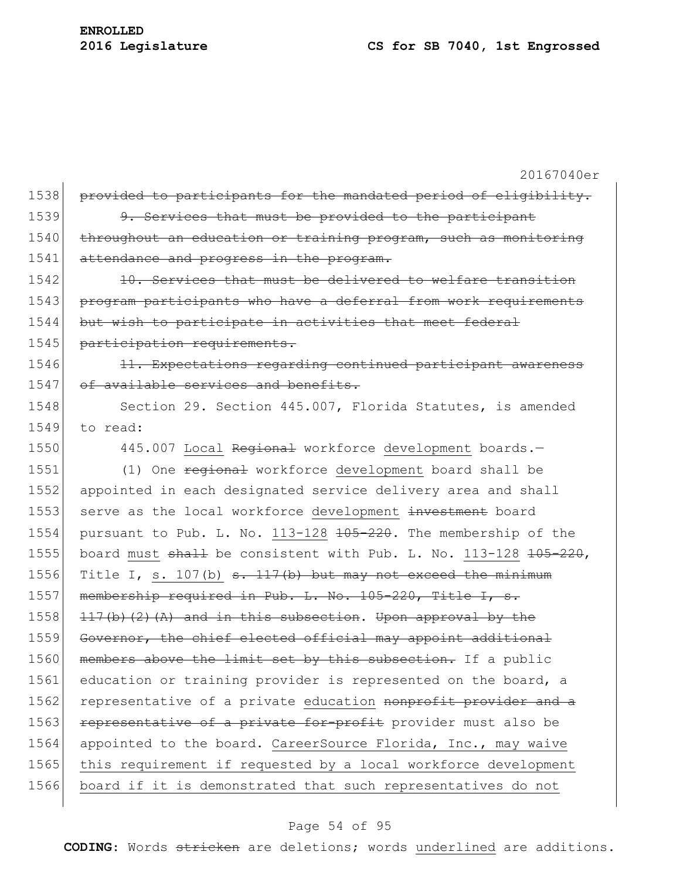1538 provided to participants for the mandated period of eligibility. 1539 9. Services that must be provided to the participant 1540 throughout an education or training program, such as monitoring 1541 attendance and progress in the program.  $1542$  10. Services that must be delivered to welfare transition 1543 program participants who have a deferral from work requirements  $1544$  but wish to participate in activities that meet federal 1545 participation requirements. 1546 11. Expectations regarding continued participant awareness 1547 of available services and benefits. 1548 Section 29. Section 445.007, Florida Statutes, is amended 1549 to read: 1550 445.007 Local Regional workforce development boards. 1551 (1) One regional workforce development board shall be 1552 appointed in each designated service delivery area and shall 1553 serve as the local workforce development investment board 1554 pursuant to Pub. L. No. 113-128 <del>105-220</del>. The membership of the 1555 board must  $\frac{1}{2}$  be consistent with Pub. L. No. 113-128  $\frac{105-220}{200}$ 1556 Title I, s. 107(b)  $s. 117(b)$  but may not exceed the minimum 1557 | membership required in Pub. L. No. 105-220, Title I, s. 1558  $|$  117(b)(2)(A) and in this subsection. Upon approval by the 1559 Governor, the chief elected official may appoint additional 1560 members above the limit set by this subsection. If a public 1561 education or training provider is represented on the board, a 1562 representative of a private education nonprofit provider and a 1563 representative of a private for-profit provider must also be 1564 appointed to the board. CareerSource Florida, Inc., may waive 1565 this requirement if requested by a local workforce development 1566 board if it is demonstrated that such representatives do not

#### Page 54 of 95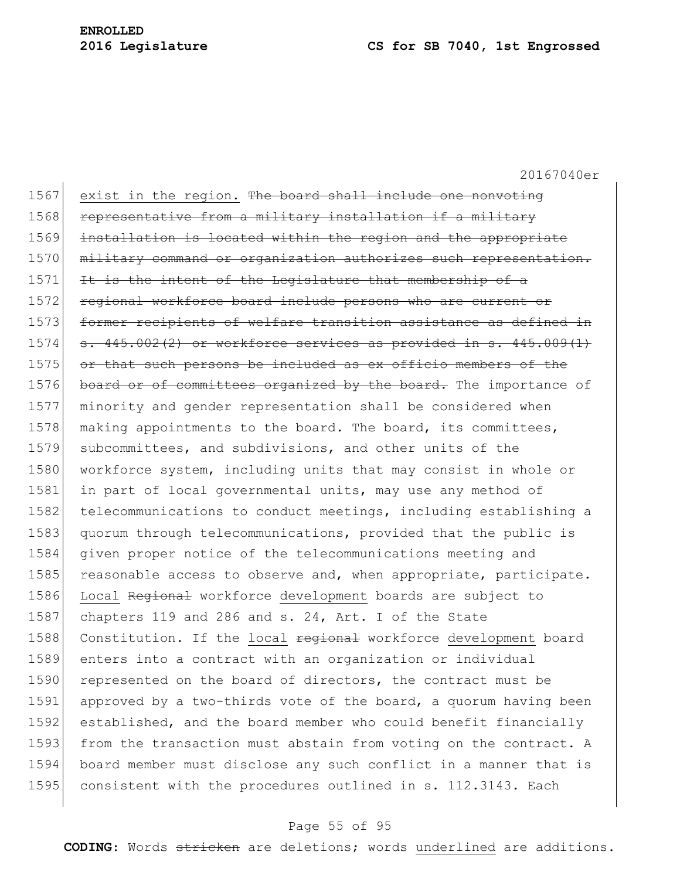1567 exist in the region. The board shall include one nonvoting 1568 representative from a military installation if a military 1569 installation is located within the region and the appropriate 1570 military command or organization authorizes such representation. 1571 It is the intent of the Legislature that membership of a 1572 regional workforce board include persons who are current or 1573 former recipients of welfare transition assistance as defined in  $1574$  s.  $445.002(2)$  or workforce services as provided in s.  $445.009(1)$ 1575 or that such persons be included as ex officio members of the 1576 board or of committees organized by the board. The importance of 1577 minority and gender representation shall be considered when 1578 making appointments to the board. The board, its committees, 1579 subcommittees, and subdivisions, and other units of the 1580 workforce system, including units that may consist in whole or 1581 in part of local governmental units, may use any method of 1582 telecommunications to conduct meetings, including establishing a 1583 quorum through telecommunications, provided that the public is 1584 given proper notice of the telecommunications meeting and 1585 reasonable access to observe and, when appropriate, participate. 1586 Local Regional workforce development boards are subject to 1587 chapters 119 and 286 and s. 24, Art. I of the State 1588 Constitution. If the local regional workforce development board 1589 enters into a contract with an organization or individual 1590 represented on the board of directors, the contract must be 1591 approved by a two-thirds vote of the board, a quorum having been 1592 established, and the board member who could benefit financially 1593 from the transaction must abstain from voting on the contract. A 1594 board member must disclose any such conflict in a manner that is 1595 consistent with the procedures outlined in s. 112.3143. Each

#### Page 55 of 95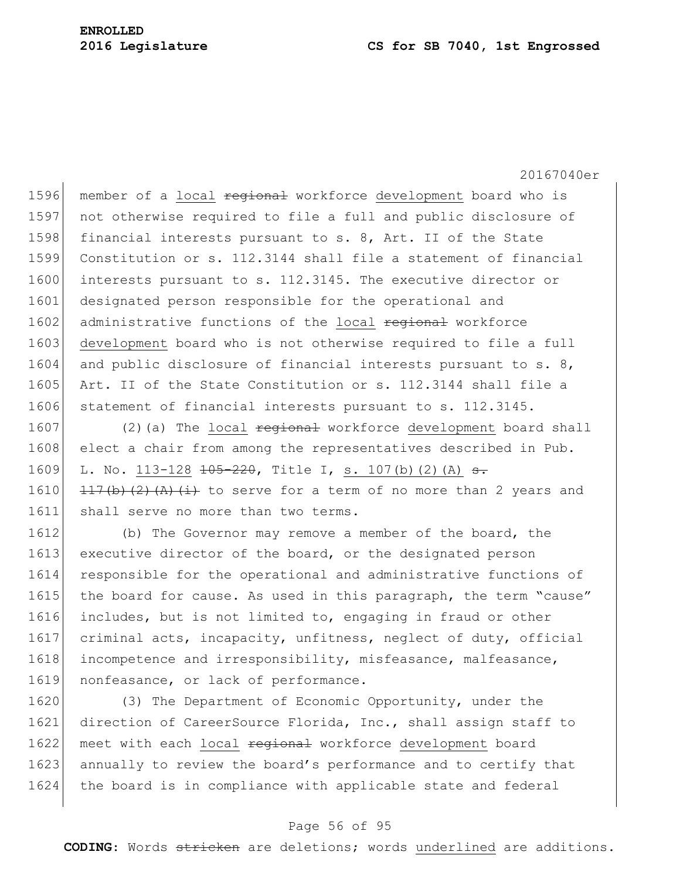20167040er 1596 member of a local regional workforce development board who is 1597 not otherwise required to file a full and public disclosure of 1598 financial interests pursuant to s. 8, Art. II of the State 1599 Constitution or s. 112.3144 shall file a statement of financial 1600 interests pursuant to s. 112.3145. The executive director or 1601 designated person responsible for the operational and 1602 administrative functions of the local regional workforce 1603 development board who is not otherwise required to file a full 1604 and public disclosure of financial interests pursuant to  $s. 8$ , 1605 Art. II of the State Constitution or s. 112.3144 shall file a 1606 statement of financial interests pursuant to s. 112.3145.

 $1607$  (2)(a) The local  $\frac{1607}{1600}$  workforce development board shall 1608 elect a chair from among the representatives described in Pub. 1609 L. No. 113-128 <del>105-220</del>, Title I, s. 107(b)(2)(A) <del>s.</del> 1610  $\left| \frac{117(k)}{2(k)} \right|$  (2)  $\left| \frac{1}{1} \right\rangle$  to serve for a term of no more than 2 years and 1611 shall serve no more than two terms.

1612 (b) The Governor may remove a member of the board, the 1613 executive director of the board, or the designated person 1614 responsible for the operational and administrative functions of 1615 the board for cause. As used in this paragraph, the term "cause" 1616 includes, but is not limited to, engaging in fraud or other 1617 criminal acts, incapacity, unfitness, neglect of duty, official 1618 incompetence and irresponsibility, misfeasance, malfeasance, 1619 nonfeasance, or lack of performance.

1620 (3) The Department of Economic Opportunity, under the 1621 direction of CareerSource Florida, Inc., shall assign staff to 1622 meet with each local regional workforce development board 1623 annually to review the board's performance and to certify that 1624 the board is in compliance with applicable state and federal

#### Page 56 of 95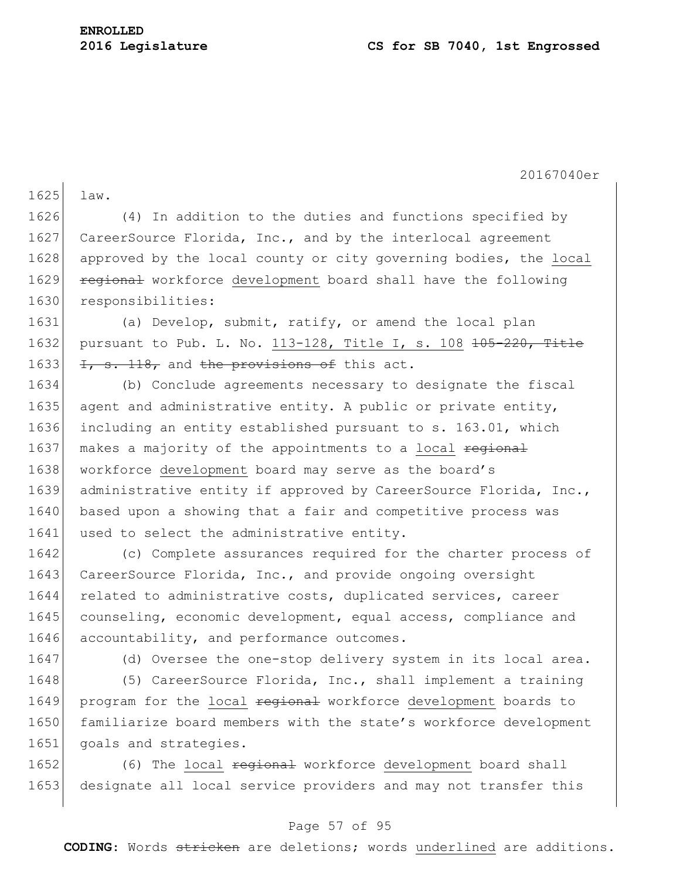20167040er 1625 law. 1626 (4) In addition to the duties and functions specified by 1627 CareerSource Florida, Inc., and by the interlocal agreement 1628 approved by the local county or city governing bodies, the local 1629 regional workforce development board shall have the following 1630 responsibilities: 1631 (a) Develop, submit, ratify, or amend the local plan 1632 pursuant to Pub. L. No. 113-128, Title I, s. 108 <del>105-220, Title</del> 1633  $\left| \frac{1}{2} \right|$ ,  $\left| \frac{1}{2} \right|$ , and the provisions of this act. 1634 (b) Conclude agreements necessary to designate the fiscal 1635 agent and administrative entity. A public or private entity, 1636 including an entity established pursuant to s. 163.01, which 1637 makes a majority of the appointments to a local regional 1638 workforce development board may serve as the board's 1639 administrative entity if approved by CareerSource Florida, Inc., 1640 based upon a showing that a fair and competitive process was 1641 used to select the administrative entity. 1642 (c) Complete assurances required for the charter process of 1643 CareerSource Florida, Inc., and provide ongoing oversight 1644 related to administrative costs, duplicated services, career 1645 counseling, economic development, equal access, compliance and 1646 accountability, and performance outcomes. 1647 (d) Oversee the one-stop delivery system in its local area. 1648 (5) CareerSource Florida, Inc., shall implement a training

1649 program for the local regional workforce development boards to 1650 familiarize board members with the state's workforce development 1651 goals and strategies.

1652 (6) The local regional workforce development board shall 1653 designate all local service providers and may not transfer this

#### Page 57 of 95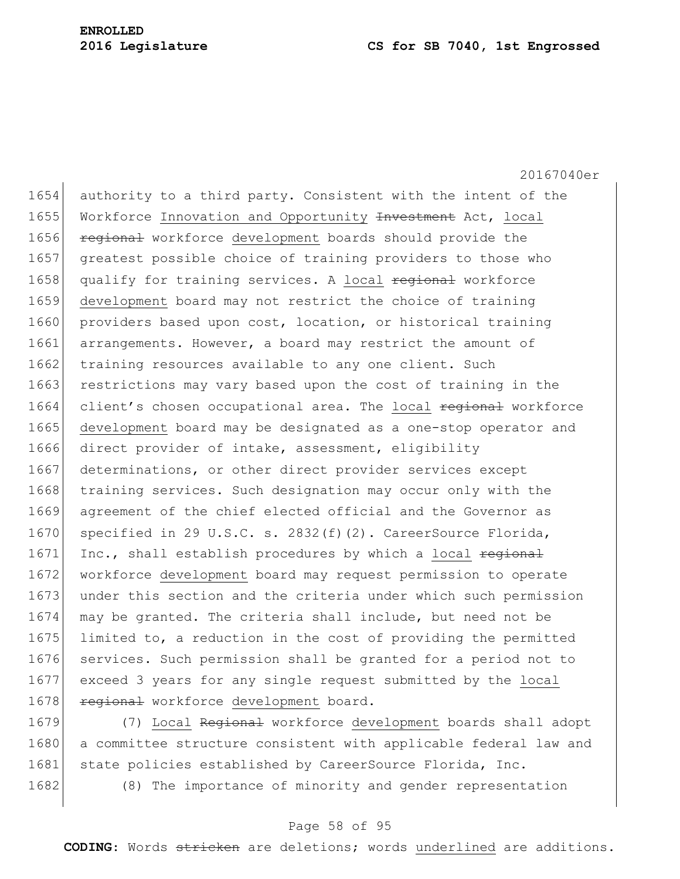#### **2016 Legislature CS for SB 7040, 1st Engrossed**

20167040er

1654 authority to a third party. Consistent with the intent of the 1655 Workforce Innovation and Opportunity Investment Act, local 1656 regional workforce development boards should provide the 1657 greatest possible choice of training providers to those who 1658 qualify for training services. A local regional workforce 1659 development board may not restrict the choice of training 1660 providers based upon cost, location, or historical training 1661 arrangements. However, a board may restrict the amount of 1662 training resources available to any one client. Such 1663 restrictions may vary based upon the cost of training in the 1664 client's chosen occupational area. The local regional workforce 1665 development board may be designated as a one-stop operator and 1666 direct provider of intake, assessment, eligibility 1667 determinations, or other direct provider services except 1668 training services. Such designation may occur only with the 1669 agreement of the chief elected official and the Governor as 1670 specified in 29 U.S.C. s. 2832(f)(2). CareerSource Florida, 1671 Inc., shall establish procedures by which a local regional 1672 workforce development board may request permission to operate 1673 under this section and the criteria under which such permission 1674 may be granted. The criteria shall include, but need not be 1675 limited to, a reduction in the cost of providing the permitted 1676 services. Such permission shall be granted for a period not to 1677 exceed 3 years for any single request submitted by the local 1678 regional workforce development board.

1679 (7) Local Regional workforce development boards shall adopt 1680 a committee structure consistent with applicable federal law and 1681 state policies established by CareerSource Florida, Inc. 1682 (8) The importance of minority and gender representation

#### Page 58 of 95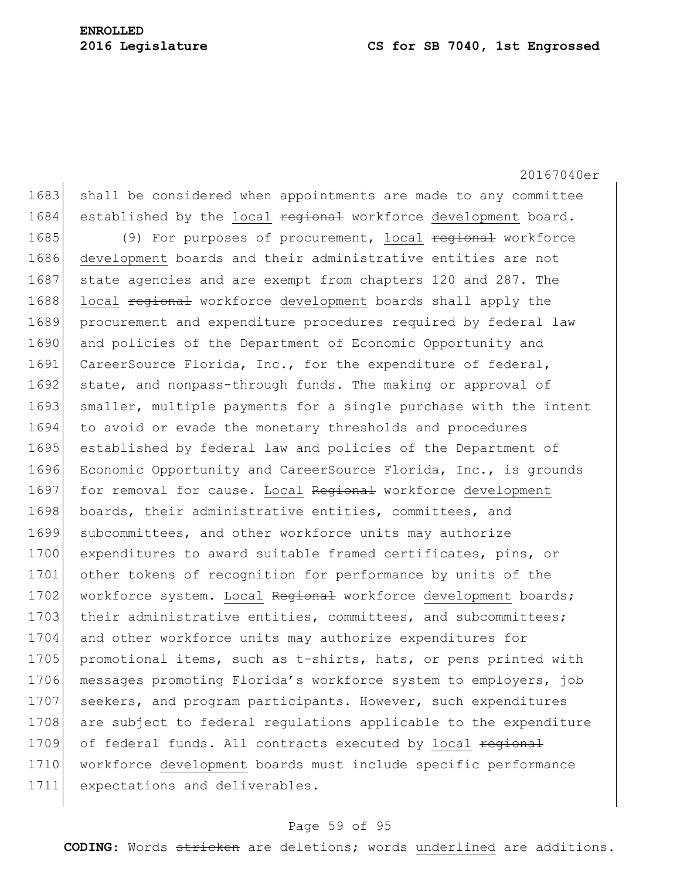1683 shall be considered when appointments are made to any committee 1684 established by the local regional workforce development board.

1685 (9) For purposes of procurement, local regional workforce 1686 development boards and their administrative entities are not 1687 state agencies and are exempt from chapters 120 and 287. The 1688 local regional workforce development boards shall apply the 1689 procurement and expenditure procedures required by federal law 1690 and policies of the Department of Economic Opportunity and 1691 CareerSource Florida, Inc., for the expenditure of federal, 1692 state, and nonpass-through funds. The making or approval of 1693 smaller, multiple payments for a single purchase with the intent 1694 to avoid or evade the monetary thresholds and procedures 1695 established by federal law and policies of the Department of 1696 Economic Opportunity and CareerSource Florida, Inc., is grounds 1697 for removal for cause. Local Regional workforce development 1698 boards, their administrative entities, committees, and 1699 subcommittees, and other workforce units may authorize 1700 expenditures to award suitable framed certificates, pins, or 1701 other tokens of recognition for performance by units of the 1702 workforce system. Local Regional workforce development boards; 1703 their administrative entities, committees, and subcommittees; 1704 and other workforce units may authorize expenditures for 1705 promotional items, such as t-shirts, hats, or pens printed with 1706 messages promoting Florida's workforce system to employers, job 1707 seekers, and program participants. However, such expenditures 1708 are subject to federal regulations applicable to the expenditure 1709 of federal funds. All contracts executed by local regional 1710 workforce development boards must include specific performance 1711 expectations and deliverables.

#### Page 59 of 95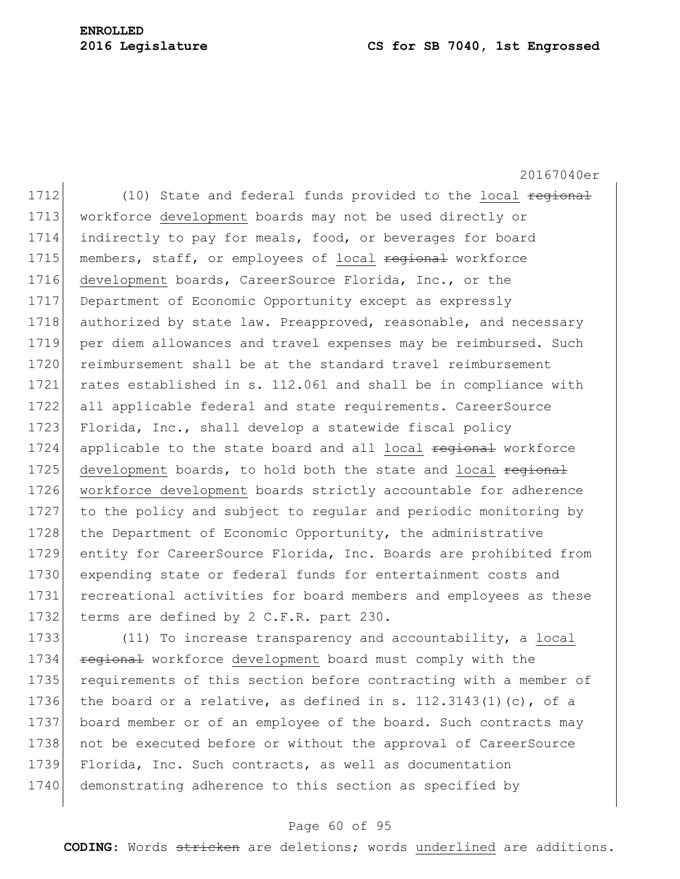#### **2016 Legislature CS for SB 7040, 1st Engrossed**

20167040er

1712 (10) State and federal funds provided to the local regional 1713 workforce development boards may not be used directly or 1714 indirectly to pay for meals, food, or beverages for board 1715 members, staff, or employees of local regional workforce 1716 development boards, CareerSource Florida, Inc., or the 1717 Department of Economic Opportunity except as expressly 1718 authorized by state law. Preapproved, reasonable, and necessary 1719 per diem allowances and travel expenses may be reimbursed. Such 1720 reimbursement shall be at the standard travel reimbursement 1721 rates established in s. 112.061 and shall be in compliance with 1722 all applicable federal and state requirements. CareerSource 1723 Florida, Inc., shall develop a statewide fiscal policy 1724 applicable to the state board and all local regional workforce 1725 development boards, to hold both the state and local  $\frac{1}{100}$ 1726 workforce development boards strictly accountable for adherence 1727 to the policy and subject to regular and periodic monitoring by 1728 the Department of Economic Opportunity, the administrative 1729 entity for CareerSource Florida, Inc. Boards are prohibited from 1730 expending state or federal funds for entertainment costs and 1731 recreational activities for board members and employees as these 1732 terms are defined by 2 C.F.R. part 230.

1733 (11) To increase transparency and accountability, a local 1734 regional workforce development board must comply with the 1735 requirements of this section before contracting with a member of 1736 the board or a relative, as defined in s.  $112.3143(1)(c)$ , of a 1737 board member or of an employee of the board. Such contracts may 1738 not be executed before or without the approval of CareerSource 1739 Florida, Inc. Such contracts, as well as documentation 1740 demonstrating adherence to this section as specified by

#### Page 60 of 95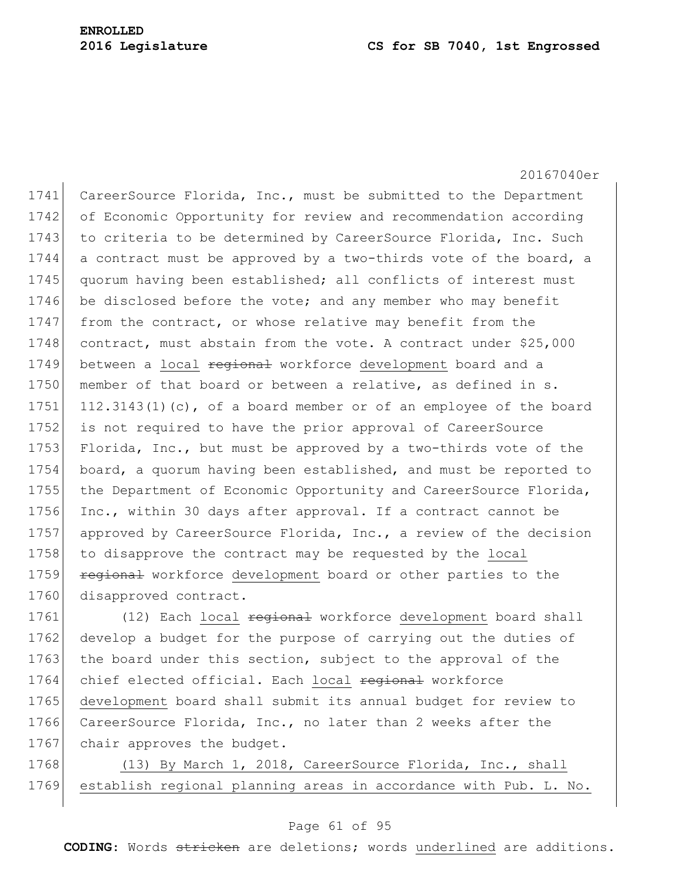20167040er 1741 CareerSource Florida, Inc., must be submitted to the Department 1742 of Economic Opportunity for review and recommendation according 1743 to criteria to be determined by CareerSource Florida, Inc. Such 1744 a contract must be approved by a two-thirds vote of the board, a 1745 quorum having been established; all conflicts of interest must 1746 be disclosed before the vote; and any member who may benefit 1747 from the contract, or whose relative may benefit from the 1748 contract, must abstain from the vote. A contract under \$25,000 1749 between a local regional workforce development board and a 1750 member of that board or between a relative, as defined in s. 1751 112.3143(1)(c), of a board member or of an employee of the board 1752 is not required to have the prior approval of CareerSource 1753 Florida, Inc., but must be approved by a two-thirds vote of the 1754 board, a quorum having been established, and must be reported to 1755 the Department of Economic Opportunity and CareerSource Florida, 1756 Inc., within 30 days after approval. If a contract cannot be 1757 approved by CareerSource Florida, Inc., a review of the decision 1758 to disapprove the contract may be requested by the local 1759 regional workforce development board or other parties to the 1760 disapproved contract.

1761 (12) Each local <del>regional</del> workforce development board shall 1762 develop a budget for the purpose of carrying out the duties of 1763 the board under this section, subject to the approval of the 1764 chief elected official. Each local regional workforce 1765 development board shall submit its annual budget for review to 1766 CareerSource Florida, Inc., no later than 2 weeks after the 1767 chair approves the budget.

1768 (13) By March 1, 2018, CareerSource Florida, Inc., shall 1769 establish regional planning areas in accordance with Pub. L. No.

#### Page 61 of 95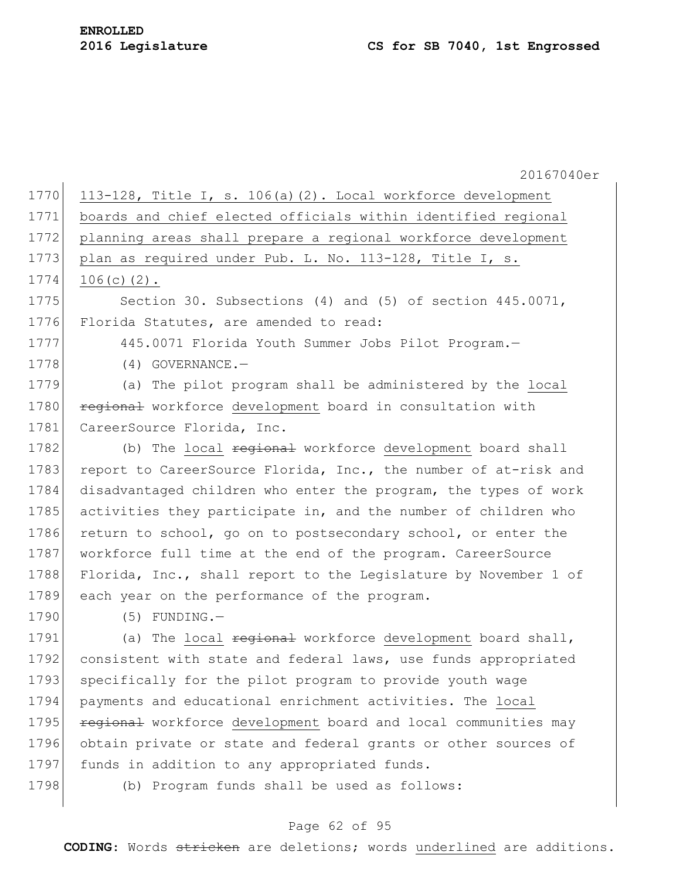20167040er 1770  $113-128$ , Title I, s. 106(a)(2). Local workforce development 1771 boards and chief elected officials within identified regional 1772 planning areas shall prepare a regional workforce development 1773 plan as required under Pub. L. No. 113-128, Title I, s.  $1774$  106(c)(2). 1775 Section 30. Subsections (4) and (5) of section 445.0071, 1776 Florida Statutes, are amended to read: 1777 445.0071 Florida Youth Summer Jobs Pilot Program.— 1778 (4) GOVERNANCE. 1779 (a) The pilot program shall be administered by the local 1780 regional workforce development board in consultation with 1781 CareerSource Florida, Inc. 1782 (b) The local regional workforce development board shall 1783 report to CareerSource Florida, Inc., the number of at-risk and 1784 disadvantaged children who enter the program, the types of work 1785 activities they participate in, and the number of children who 1786 return to school, go on to postsecondary school, or enter the 1787 workforce full time at the end of the program. CareerSource 1788 Florida, Inc., shall report to the Legislature by November 1 of 1789 each year on the performance of the program. 1790 (5) FUNDING. 1791 (a) The local regional workforce development board shall, 1792 consistent with state and federal laws, use funds appropriated 1793 specifically for the pilot program to provide youth wage 1794 payments and educational enrichment activities. The local 1795 **regional** workforce development board and local communities may 1796 obtain private or state and federal grants or other sources of 1797 funds in addition to any appropriated funds. 1798 (b) Program funds shall be used as follows:

#### Page 62 of 95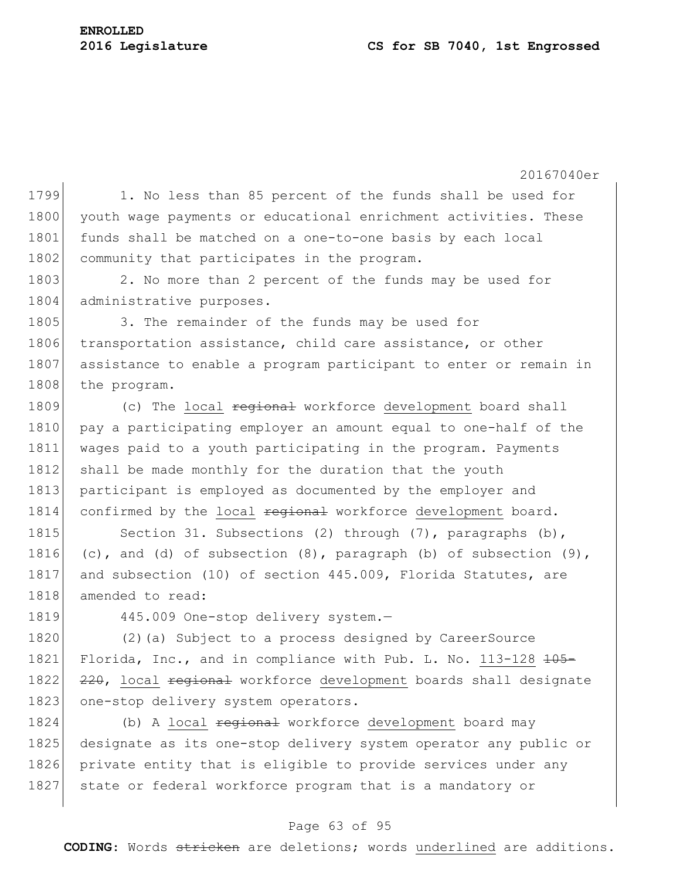## **ENROLLED**

#### **2016 Legislature CS for SB 7040, 1st Engrossed**

20167040er 1799 1. No less than 85 percent of the funds shall be used for 1800 youth wage payments or educational enrichment activities. These 1801 funds shall be matched on a one-to-one basis by each local 1802 community that participates in the program. 1803 2. No more than 2 percent of the funds may be used for 1804 administrative purposes. 1805 3. The remainder of the funds may be used for 1806 transportation assistance, child care assistance, or other 1807 assistance to enable a program participant to enter or remain in 1808 the program. 1809 (c) The local regional workforce development board shall 1810 pay a participating employer an amount equal to one-half of the 1811 wages paid to a youth participating in the program. Payments 1812 shall be made monthly for the duration that the youth 1813 participant is employed as documented by the employer and 1814 confirmed by the local regional workforce development board. 1815 Section 31. Subsections (2) through (7), paragraphs (b), 1816 (c), and (d) of subsection  $(8)$ , paragraph (b) of subsection  $(9)$ , 1817 and subsection (10) of section 445.009, Florida Statutes, are 1818 amended to read: 1819 445.009 One-stop delivery system.-1820 (2)(a) Subject to a process designed by CareerSource 1821 Florida, Inc., and in compliance with Pub. L. No. 113-128 <del>105-</del> 1822 <del>220</del>, local regional workforce development boards shall designate 1823 one-stop delivery system operators. 1824 (b) A local regional workforce development board may 1825 designate as its one-stop delivery system operator any public or 1826 private entity that is eligible to provide services under any 1827 state or federal workforce program that is a mandatory or

#### Page 63 of 95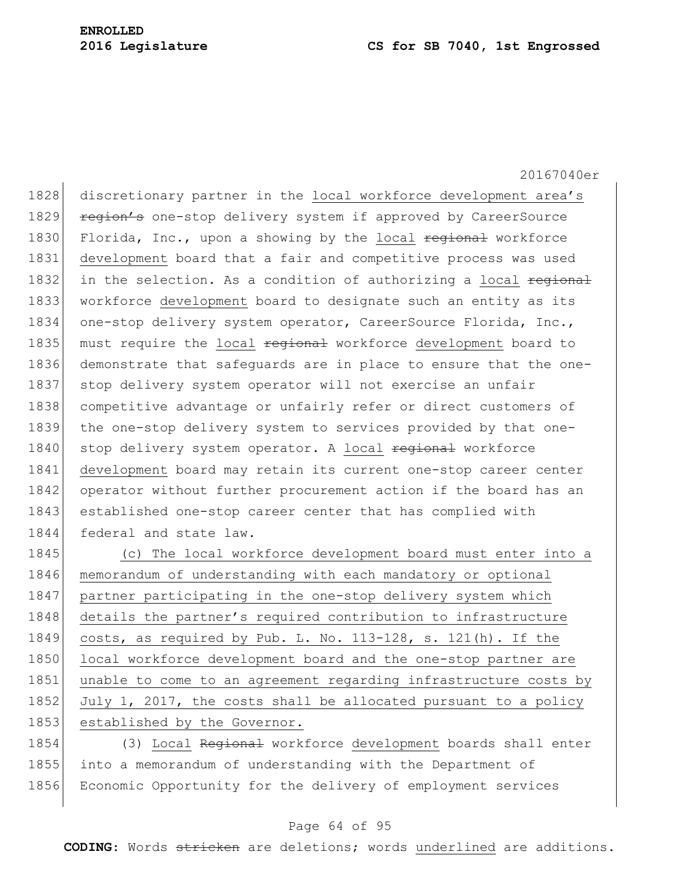20167040er 1828 discretionary partner in the local workforce development area's 1829 region's one-stop delivery system if approved by CareerSource 1830 Florida, Inc., upon a showing by the local regional workforce 1831 development board that a fair and competitive process was used 1832 in the selection. As a condition of authorizing a local regional 1833 workforce development board to designate such an entity as its 1834 one-stop delivery system operator, CareerSource Florida, Inc., 1835 must require the local regional workforce development board to 1836 demonstrate that safeguards are in place to ensure that the one-1837 stop delivery system operator will not exercise an unfair 1838 competitive advantage or unfairly refer or direct customers of 1839 the one-stop delivery system to services provided by that one-1840 stop delivery system operator. A local regional workforce 1841 development board may retain its current one-stop career center 1842 operator without further procurement action if the board has an 1843 established one-stop career center that has complied with 1844 federal and state law.

1845 (c) The local workforce development board must enter into a 1846 memorandum of understanding with each mandatory or optional 1847 partner participating in the one-stop delivery system which 1848 details the partner's required contribution to infrastructure 1849 costs, as required by Pub. L. No. 113-128, s. 121(h). If the 1850 local workforce development board and the one-stop partner are 1851 unable to come to an agreement regarding infrastructure costs by 1852 July 1, 2017, the costs shall be allocated pursuant to a policy 1853 established by the Governor.

1854 (3) Local Regional workforce development boards shall enter 1855 into a memorandum of understanding with the Department of 1856 Economic Opportunity for the delivery of employment services

#### Page 64 of 95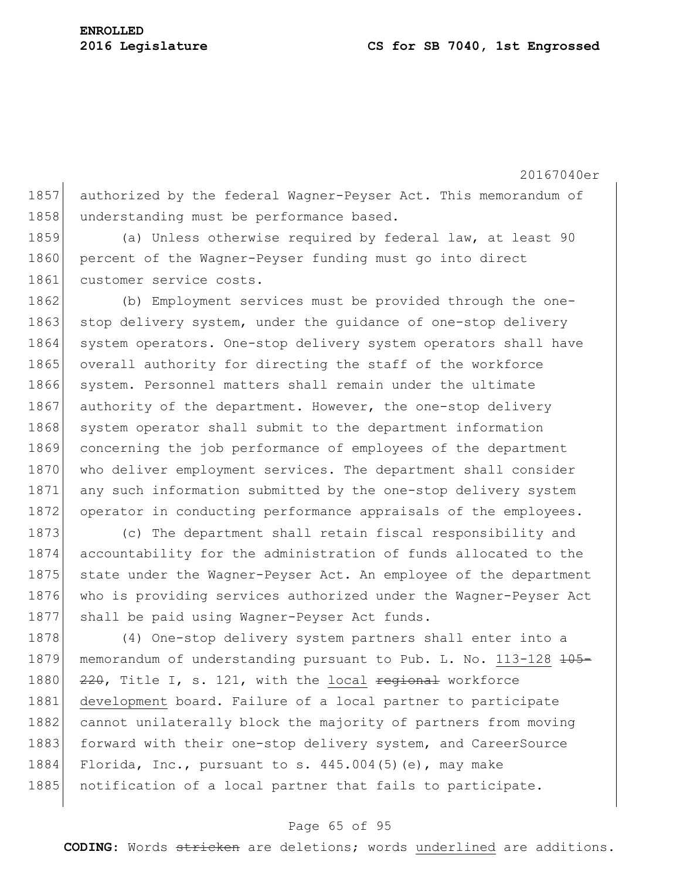20167040er 1857 authorized by the federal Wagner-Peyser Act. This memorandum of 1858 understanding must be performance based. 1859 (a) Unless otherwise required by federal law, at least 90 1860 percent of the Wagner-Peyser funding must go into direct 1861 customer service costs. 1862 (b) Employment services must be provided through the one-1863 stop delivery system, under the quidance of one-stop delivery 1864 system operators. One-stop delivery system operators shall have 1865 overall authority for directing the staff of the workforce 1866 system. Personnel matters shall remain under the ultimate 1867 authority of the department. However, the one-stop delivery 1868 system operator shall submit to the department information 1869 concerning the job performance of employees of the department 1870 who deliver employment services. The department shall consider 1871 any such information submitted by the one-stop delivery system 1872 operator in conducting performance appraisals of the employees.

1873 (c) The department shall retain fiscal responsibility and 1874 accountability for the administration of funds allocated to the 1875 state under the Wagner-Peyser Act. An employee of the department 1876 who is providing services authorized under the Wagner-Peyser Act 1877 shall be paid using Wagner-Peyser Act funds.

1878 (4) One-stop delivery system partners shall enter into a 1879 memorandum of understanding pursuant to Pub. L. No. 113-128 <del>105-</del> 1880  $220$ , Title I, s. 121, with the local regional workforce 1881 development board. Failure of a local partner to participate 1882 cannot unilaterally block the majority of partners from moving 1883 forward with their one-stop delivery system, and CareerSource 1884 Florida, Inc., pursuant to s.  $445.004(5)(e)$ , may make 1885 notification of a local partner that fails to participate.

#### Page 65 of 95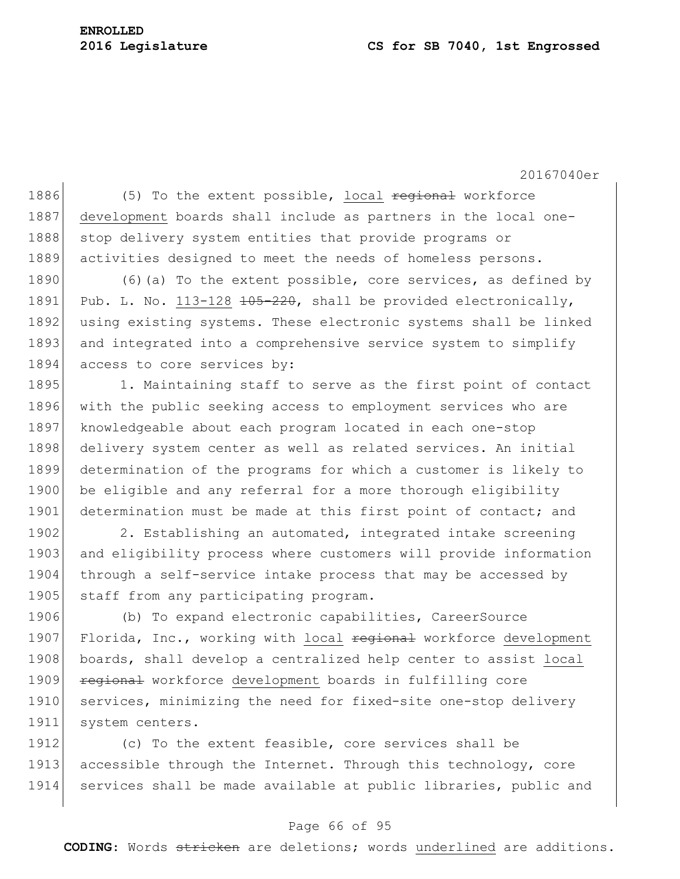#### **2016 Legislature CS for SB 7040, 1st Engrossed**

## **ENROLLED**

20167040er

1886 (5) To the extent possible, local regional workforce 1887 development boards shall include as partners in the local one-1888 stop delivery system entities that provide programs or 1889 activities designed to meet the needs of homeless persons. 1890 (6)(a) To the extent possible, core services, as defined by 1891 Pub. L. No. 113-128 105-220, shall be provided electronically, 1892 using existing systems. These electronic systems shall be linked 1893 and integrated into a comprehensive service system to simplify 1894 access to core services by: 1895 1. Maintaining staff to serve as the first point of contact 1896 with the public seeking access to employment services who are 1897 knowledgeable about each program located in each one-stop 1898 delivery system center as well as related services. An initial 1899 determination of the programs for which a customer is likely to 1900 be eligible and any referral for a more thorough eligibility 1901 determination must be made at this first point of contact; and 1902 2. Establishing an automated, integrated intake screening 1903 and eligibility process where customers will provide information 1904 through a self-service intake process that may be accessed by 1905 staff from any participating program. 1906 (b) To expand electronic capabilities, CareerSource 1907 Florida, Inc., working with local regional workforce development

1908 boards, shall develop a centralized help center to assist local 1909 regional workforce development boards in fulfilling core 1910 services, minimizing the need for fixed-site one-stop delivery 1911 system centers.

1912 (c) To the extent feasible, core services shall be 1913 accessible through the Internet. Through this technology, core 1914 services shall be made available at public libraries, public and

#### Page 66 of 95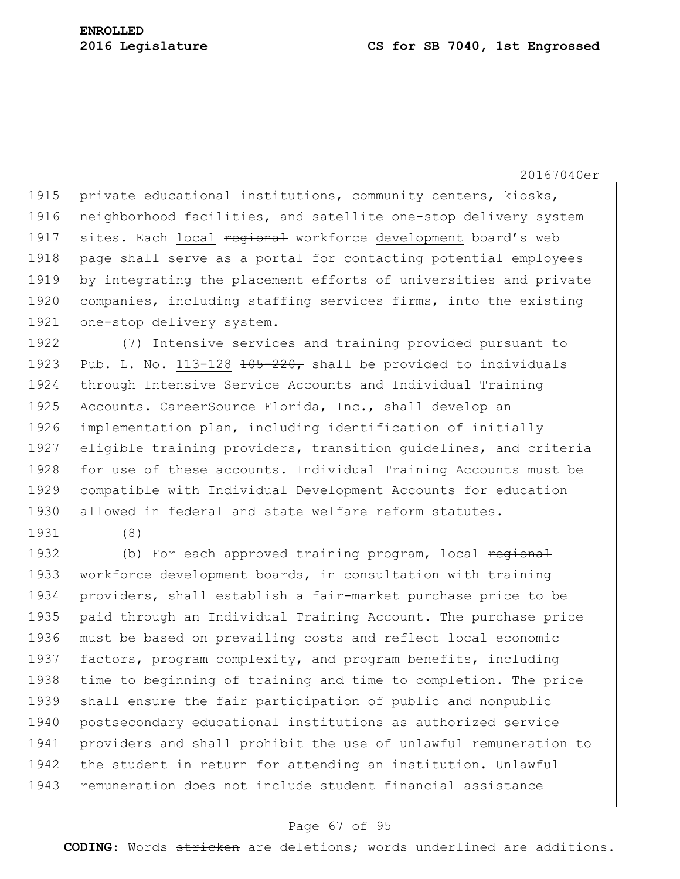1915 private educational institutions, community centers, kiosks, 1916 neighborhood facilities, and satellite one-stop delivery system 1917 sites. Each local regional workforce development board's web 1918 page shall serve as a portal for contacting potential employees 1919 by integrating the placement efforts of universities and private 1920 companies, including staffing services firms, into the existing 1921 one-stop delivery system.

 (7) Intensive services and training provided pursuant to 1923 Pub. L. No. 113-128  $\frac{105-220}{100}$  shall be provided to individuals through Intensive Service Accounts and Individual Training 1925 Accounts. CareerSource Florida, Inc., shall develop an implementation plan, including identification of initially eligible training providers, transition guidelines, and criteria 1928 for use of these accounts. Individual Training Accounts must be compatible with Individual Development Accounts for education allowed in federal and state welfare reform statutes.

1931 (8)

1932 (b) For each approved training program, local regional 1933 workforce development boards, in consultation with training 1934 providers, shall establish a fair-market purchase price to be 1935 paid through an Individual Training Account. The purchase price 1936 must be based on prevailing costs and reflect local economic 1937 factors, program complexity, and program benefits, including 1938 time to beginning of training and time to completion. The price 1939 shall ensure the fair participation of public and nonpublic 1940 postsecondary educational institutions as authorized service 1941 providers and shall prohibit the use of unlawful remuneration to 1942 the student in return for attending an institution. Unlawful 1943 remuneration does not include student financial assistance

#### Page 67 of 95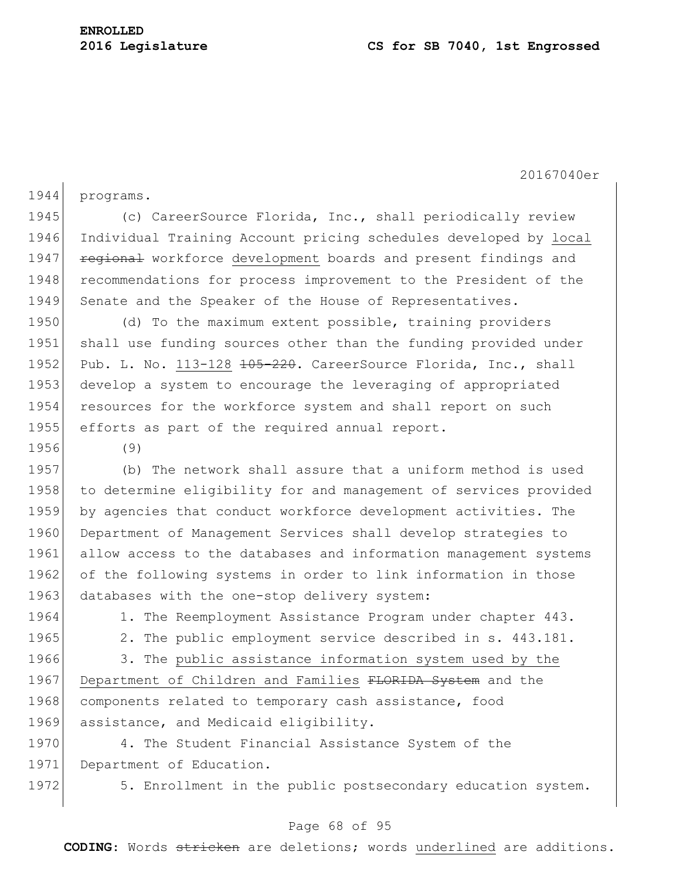1944 programs. 1945 (c) CareerSource Florida, Inc., shall periodically review 1946 Individual Training Account pricing schedules developed by local 1947 **regional** workforce development boards and present findings and 1948 recommendations for process improvement to the President of the 1949 Senate and the Speaker of the House of Representatives. 1950 (d) To the maximum extent possible, training providers 1951 shall use funding sources other than the funding provided under 1952 Pub. L. No. 113-128 <del>105-220</del>. CareerSource Florida, Inc., shall 1953 develop a system to encourage the leveraging of appropriated 1954 resources for the workforce system and shall report on such 1955 efforts as part of the required annual report. 1956 (9) 1957 (b) The network shall assure that a uniform method is used 1958 to determine eligibility for and management of services provided 1959 by agencies that conduct workforce development activities. The 1960 Department of Management Services shall develop strategies to 1961 allow access to the databases and information management systems 1962 of the following systems in order to link information in those 1963 databases with the one-stop delivery system: 1964 1. The Reemployment Assistance Program under chapter 443. 1965 2. The public employment service described in s. 443.181. 1966 3. The public assistance information system used by the 1967 Department of Children and Families FLORIDA System and the 1968 components related to temporary cash assistance, food

1970 4. The Student Financial Assistance System of the 1971 Department of Education.

1969 assistance, and Medicaid eligibility.

1972 5. Enrollment in the public postsecondary education system.

#### Page 68 of 95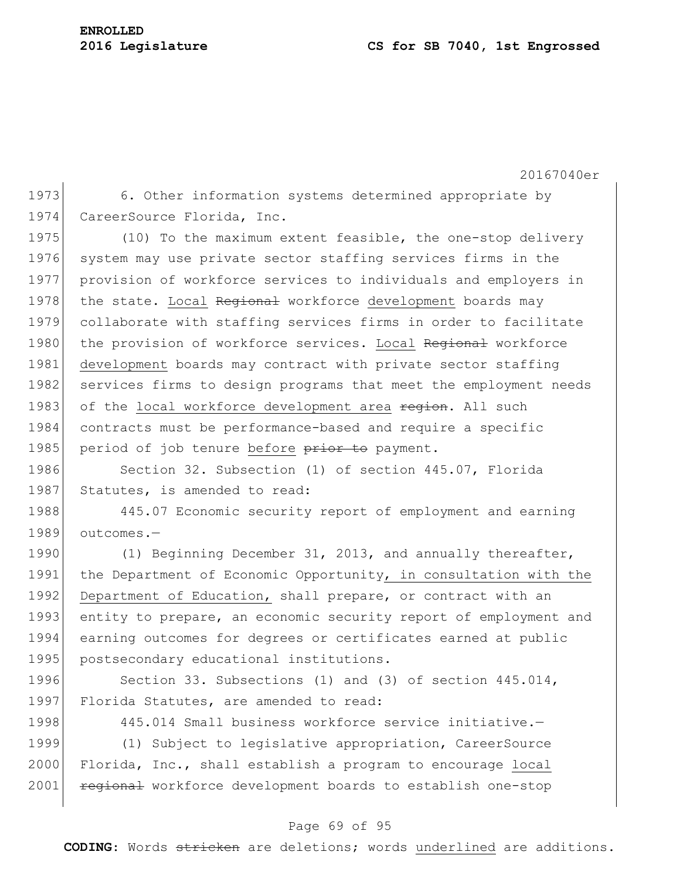20167040er 1973 6. Other information systems determined appropriate by 1974 CareerSource Florida, Inc. 1975 (10) To the maximum extent feasible, the one-stop delivery 1976 system may use private sector staffing services firms in the 1977 provision of workforce services to individuals and employers in 1978 the state. Local Regional workforce development boards may 1979 collaborate with staffing services firms in order to facilitate 1980 the provision of workforce services. Local Regional workforce 1981 development boards may contract with private sector staffing 1982 services firms to design programs that meet the employment needs 1983 of the local workforce development area region. All such 1984 contracts must be performance-based and require a specific 1985 period of job tenure before prior to payment. 1986 Section 32. Subsection (1) of section 445.07, Florida 1987 Statutes, is amended to read: 1988 445.07 Economic security report of employment and earning 1989 outcomes.—

1990 (1) Beginning December 31, 2013, and annually thereafter, 1991 the Department of Economic Opportunity, in consultation with the 1992 Department of Education, shall prepare, or contract with an 1993 entity to prepare, an economic security report of employment and 1994 earning outcomes for degrees or certificates earned at public 1995 | postsecondary educational institutions.

1996 Section 33. Subsections (1) and (3) of section 445.014, 1997 Florida Statutes, are amended to read:

1998 445.014 Small business workforce service initiative.-

1999 (1) Subject to legislative appropriation, CareerSource 2000 Florida, Inc., shall establish a program to encourage local 2001 **regional** workforce development boards to establish one-stop

#### Page 69 of 95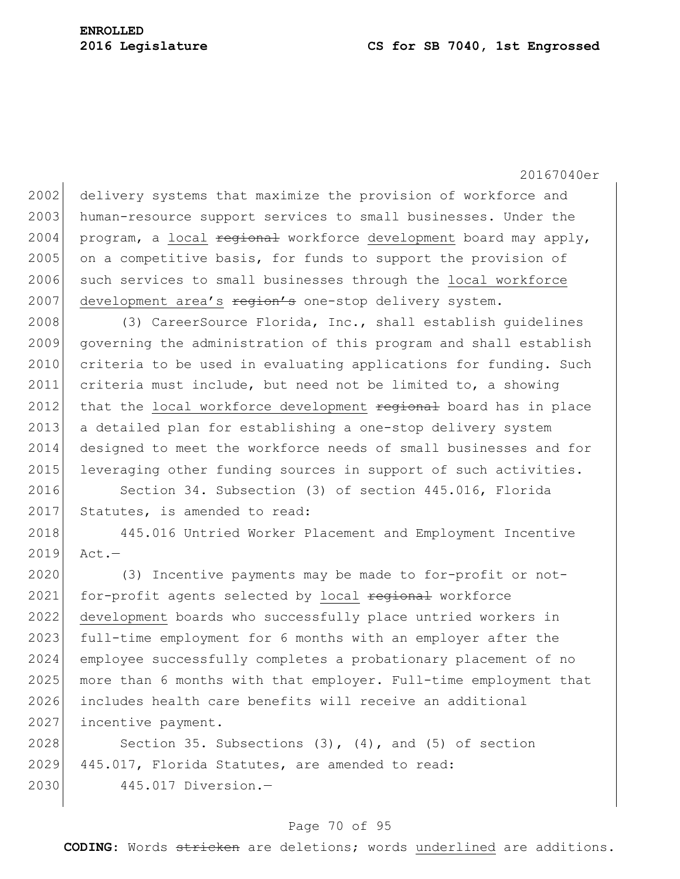20167040er 2002 delivery systems that maximize the provision of workforce and 2003 human-resource support services to small businesses. Under the 2004 program, a local  $\frac{1}{2004}$  workforce development board may apply, 2005 on a competitive basis, for funds to support the provision of 2006 such services to small businesses through the local workforce 2007 development area's region's one-stop delivery system. 2008 (3) CareerSource Florida, Inc., shall establish quidelines 2009 governing the administration of this program and shall establish 2010 criteria to be used in evaluating applications for funding. Such 2011 criteria must include, but need not be limited to, a showing 2012 that the local workforce development regional board has in place 2013 a detailed plan for establishing a one-stop delivery system 2014 designed to meet the workforce needs of small businesses and for 2015 leveraging other funding sources in support of such activities. 2016 Section 34. Subsection (3) of section 445.016, Florida 2017 Statutes, is amended to read: 2018 445.016 Untried Worker Placement and Employment Incentive 2019 Act.— 2020 (3) Incentive payments may be made to for-profit or not-2021 for-profit agents selected by local regional workforce 2022 development boards who successfully place untried workers in 2023 full-time employment for 6 months with an employer after the 2024 employee successfully completes a probationary placement of no 2025 more than 6 months with that employer. Full-time employment that 2026 includes health care benefits will receive an additional

2027 incentive payment.

2028 Section 35. Subsections  $(3)$ ,  $(4)$ , and  $(5)$  of section 2029 445.017, Florida Statutes, are amended to read: 2030 445.017 Diversion.—

#### Page 70 of 95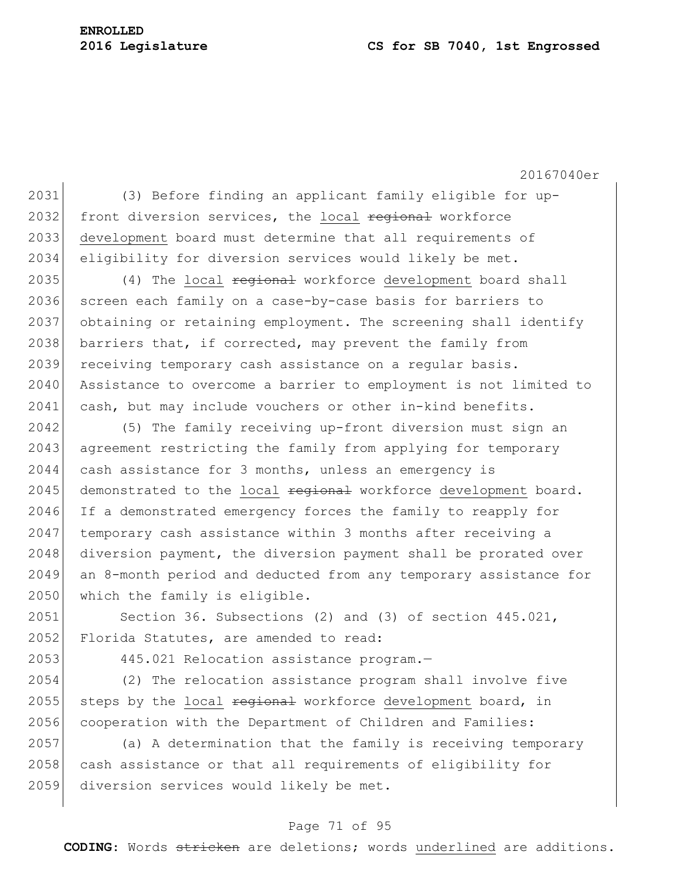## **ENROLLED**

#### **2016 Legislature CS for SB 7040, 1st Engrossed**

20167040er

 (3) Before finding an applicant family eligible for up-2032 front diversion services, the local regional workforce development board must determine that all requirements of eligibility for diversion services would likely be met.

2035 (4) The local regional workforce development board shall 2036 screen each family on a case-by-case basis for barriers to 2037 obtaining or retaining employment. The screening shall identify 2038 barriers that, if corrected, may prevent the family from 2039 receiving temporary cash assistance on a regular basis. 2040 Assistance to overcome a barrier to employment is not limited to 2041 cash, but may include vouchers or other in-kind benefits.

2042 (5) The family receiving up-front diversion must sign an 2043 agreement restricting the family from applying for temporary 2044 cash assistance for 3 months, unless an emergency is  $2045$  demonstrated to the local  $\frac{1}{2045}$  workforce development board. 2046 If a demonstrated emergency forces the family to reapply for 2047 temporary cash assistance within 3 months after receiving a 2048 diversion payment, the diversion payment shall be prorated over 2049 an 8-month period and deducted from any temporary assistance for 2050 which the family is eligible.

2051 Section 36. Subsections (2) and (3) of section 445.021, 2052 Florida Statutes, are amended to read:

2053 445.021 Relocation assistance program.—

2054 (2) The relocation assistance program shall involve five 2055 steps by the local  $\frac{1}{100}$  regional workforce development board, in 2056 cooperation with the Department of Children and Families:

2057 (a) A determination that the family is receiving temporary 2058 cash assistance or that all requirements of eligibility for 2059 diversion services would likely be met.

#### Page 71 of 95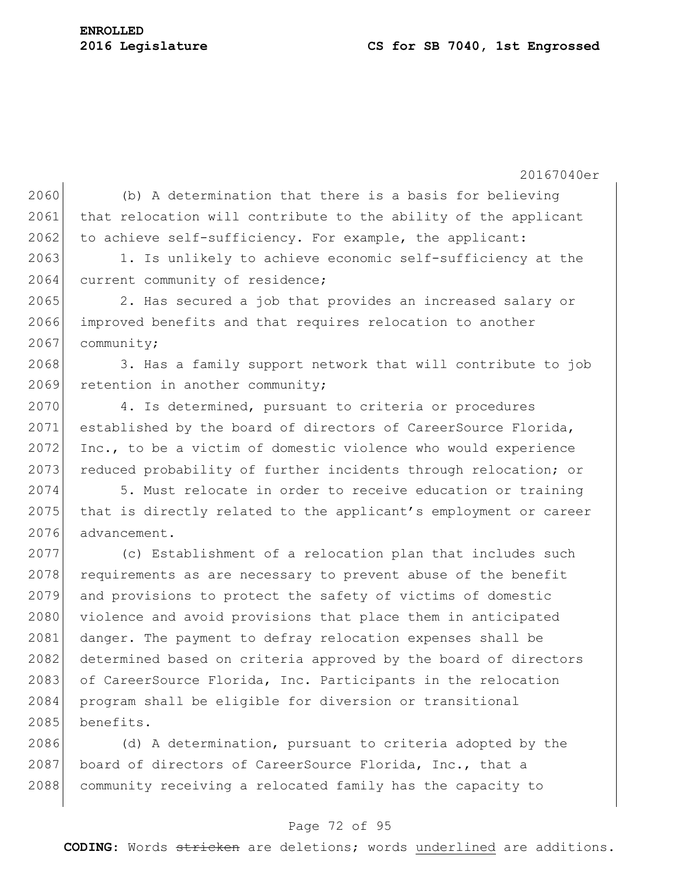$2060$  (b) A determination that there is a basis for believing 2061 that relocation will contribute to the ability of the applicant  $2062$  to achieve self-sufficiency. For example, the applicant:

2063 1. Is unlikely to achieve economic self-sufficiency at the 2064 current community of residence;

2065 2. Has secured a job that provides an increased salary or 2066 improved benefits and that requires relocation to another 2067 community;

2068 3. Has a family support network that will contribute to job  $2069$  retention in another community;

2070 4. Is determined, pursuant to criteria or procedures 2071 established by the board of directors of CareerSource Florida, 2072 Inc., to be a victim of domestic violence who would experience 2073 reduced probability of further incidents through relocation; or

2074 5. Must relocate in order to receive education or training 2075 that is directly related to the applicant's employment or career 2076 advancement.

2077 (c) Establishment of a relocation plan that includes such 2078 requirements as are necessary to prevent abuse of the benefit 2079 and provisions to protect the safety of victims of domestic 2080 violence and avoid provisions that place them in anticipated 2081 danger. The payment to defray relocation expenses shall be 2082 determined based on criteria approved by the board of directors 2083 of CareerSource Florida, Inc. Participants in the relocation 2084 program shall be eligible for diversion or transitional 2085 benefits.

2086 (d) A determination, pursuant to criteria adopted by the 2087 board of directors of CareerSource Florida, Inc., that a 2088 community receiving a relocated family has the capacity to

#### Page 72 of 95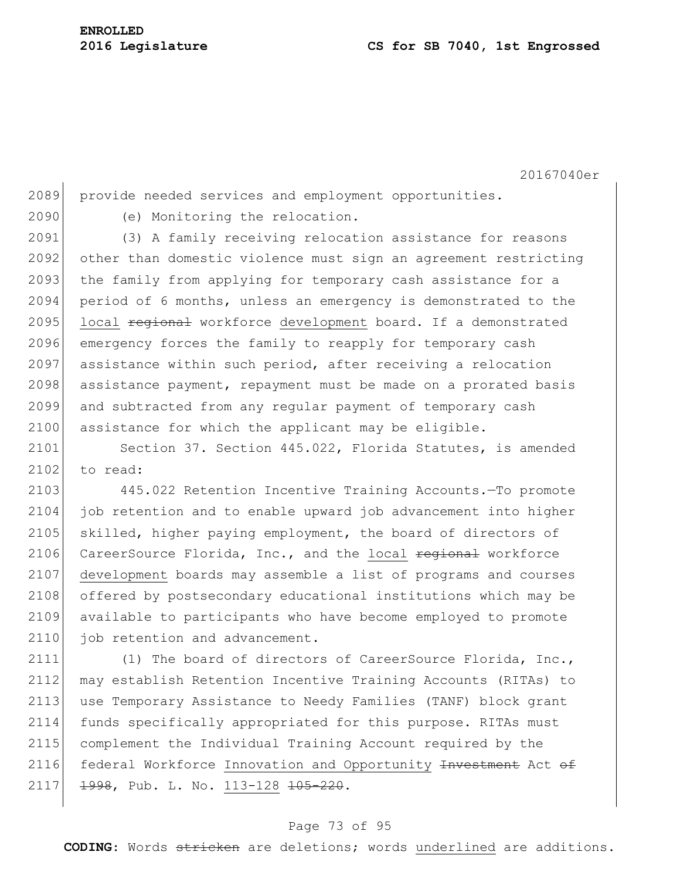2089 provide needed services and employment opportunities.

2090 (e) Monitoring the relocation.

2091 (3) A family receiving relocation assistance for reasons 2092 other than domestic violence must sign an agreement restricting 2093 the family from applying for temporary cash assistance for a 2094 period of 6 months, unless an emergency is demonstrated to the 2095 local regional workforce development board. If a demonstrated 2096 emergency forces the family to reapply for temporary cash 2097 assistance within such period, after receiving a relocation 2098 assistance payment, repayment must be made on a prorated basis 2099 and subtracted from any regular payment of temporary cash 2100 assistance for which the applicant may be eligible.

2101 Section 37. Section 445.022, Florida Statutes, is amended  $2102$  to read:

2103 445.022 Retention Incentive Training Accounts.—To promote 2104 job retention and to enable upward job advancement into higher 2105 skilled, higher paying employment, the board of directors of 2106 CareerSource Florida, Inc., and the local regional workforce 2107 development boards may assemble a list of programs and courses 2108 offered by postsecondary educational institutions which may be 2109 available to participants who have become employed to promote 2110 job retention and advancement.

2111 (1) The board of directors of CareerSource Florida, Inc., 2112 may establish Retention Incentive Training Accounts (RITAs) to 2113 use Temporary Assistance to Needy Families (TANF) block grant 2114 funds specifically appropriated for this purpose. RITAs must 2115 complement the Individual Training Account required by the 2116 federal Workforce Innovation and Opportunity Investment Act of 2117 1998, Pub. L. No. 113-128 105-220.

## Page 73 of 95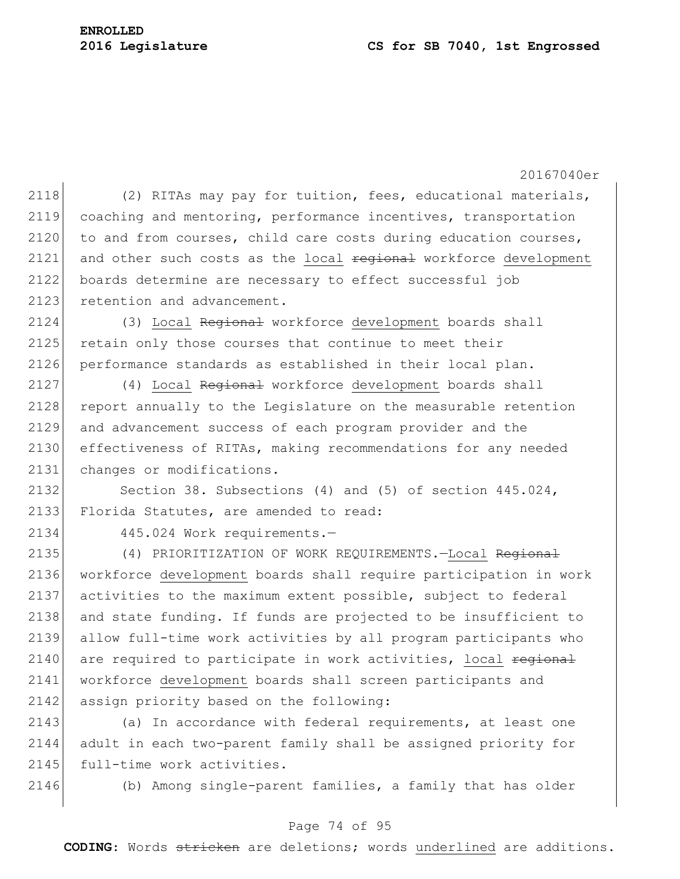20167040er 2118  $(2)$  RITAs may pay for tuition, fees, educational materials, 2119 coaching and mentoring, performance incentives, transportation 2120 to and from courses, child care costs during education courses, 2121 and other such costs as the local regional workforce development 2122 boards determine are necessary to effect successful job 2123 retention and advancement. 2124 (3) Local Regional workforce development boards shall 2125 retain only those courses that continue to meet their 2126 performance standards as established in their local plan. 2127 (4) Local Regional workforce development boards shall 2128 report annually to the Legislature on the measurable retention 2129 and advancement success of each program provider and the 2130 effectiveness of RITAs, making recommendations for any needed 2131 changes or modifications. 2132 Section 38. Subsections (4) and (5) of section 445.024, 2133 Florida Statutes, are amended to read: 2134 445.024 Work requirements.— 2135 (4) PRIORITIZATION OF WORK REQUIREMENTS. -Local Regional 2136 workforce development boards shall require participation in work 2137 activities to the maximum extent possible, subject to federal 2138 and state funding. If funds are projected to be insufficient to 2139 allow full-time work activities by all program participants who 2140 are required to participate in work activities, local  $\frac{1}{100}$ 2141 workforce development boards shall screen participants and

2143 (a) In accordance with federal requirements, at least one 2144 adult in each two-parent family shall be assigned priority for 2145 full-time work activities.

2142 assign priority based on the following:

2146 (b) Among single-parent families, a family that has older

# Page 74 of 95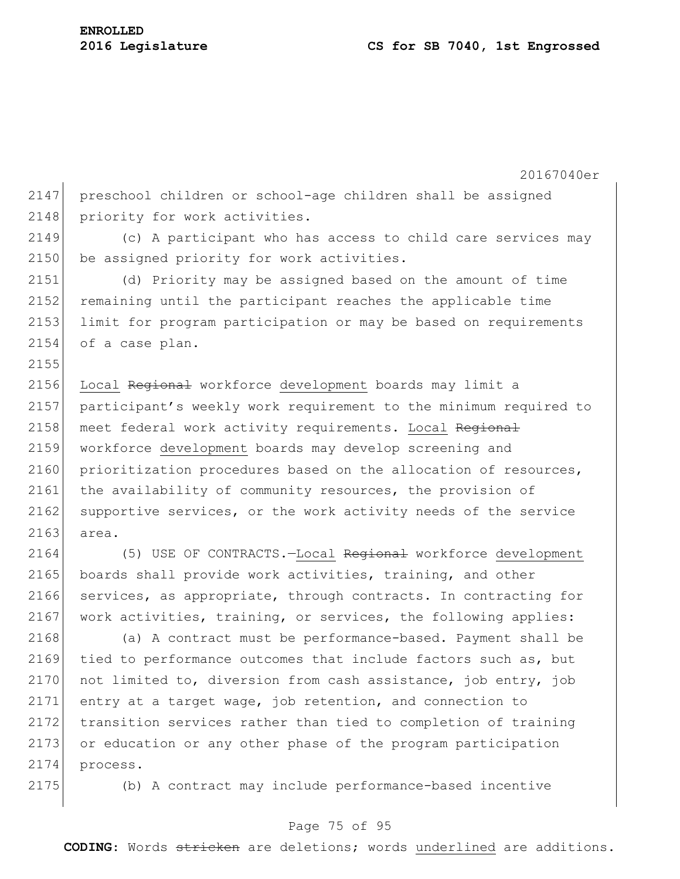2147 preschool children or school-age children shall be assigned 2148 priority for work activities.

2149 (c) A participant who has access to child care services may 2150 be assigned priority for work activities.

2151 (d) Priority may be assigned based on the amount of time 2152 remaining until the participant reaches the applicable time 2153 limit for program participation or may be based on requirements 2154 of a case plan.

2156 Local Regional workforce development boards may limit a 2157 participant's weekly work requirement to the minimum required to 2158 meet federal work activity requirements. Local Regional 2159 workforce development boards may develop screening and 2160 prioritization procedures based on the allocation of resources, 2161 the availability of community resources, the provision of 2162 supportive services, or the work activity needs of the service 2163 area.

2164 (5) USE OF CONTRACTS. -Local Regional workforce development 2165 boards shall provide work activities, training, and other 2166 services, as appropriate, through contracts. In contracting for 2167 work activities, training, or services, the following applies:

2168 (a) A contract must be performance-based. Payment shall be 2169 tied to performance outcomes that include factors such as, but 2170 not limited to, diversion from cash assistance, job entry, job 2171 entry at a target wage, job retention, and connection to 2172 transition services rather than tied to completion of training 2173 or education or any other phase of the program participation 2174 process.

2155

2175 (b) A contract may include performance-based incentive

## Page 75 of 95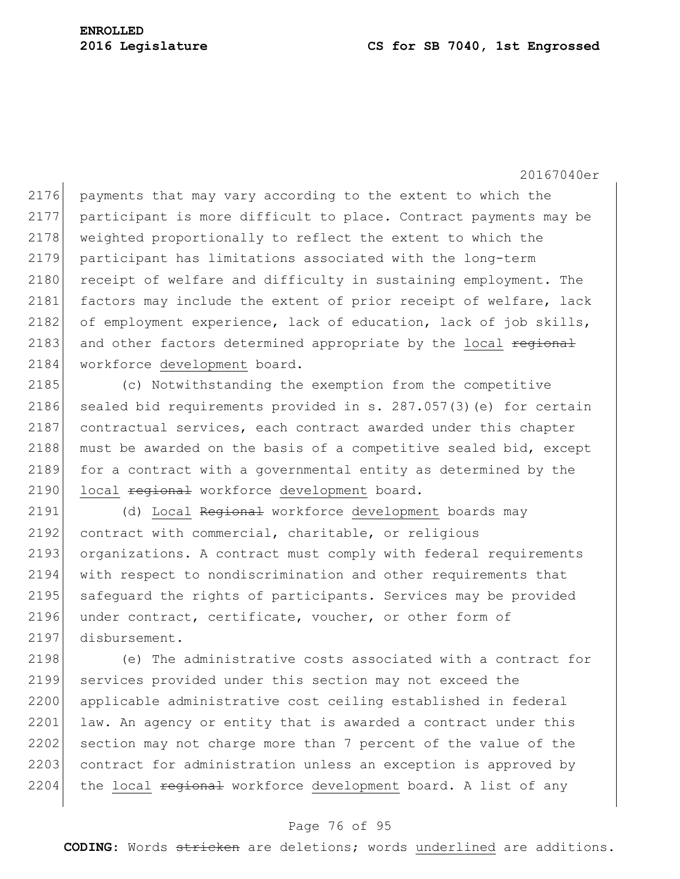$2176$  payments that may vary according to the extent to which the 2177 participant is more difficult to place. Contract payments may be 2178 weighted proportionally to reflect the extent to which the 2179 participant has limitations associated with the long-term 2180 receipt of welfare and difficulty in sustaining employment. The 2181 factors may include the extent of prior receipt of welfare, lack 2182 of employment experience, lack of education, lack of job skills, 2183 and other factors determined appropriate by the local regional 2184 workforce development board.

2185 (c) Notwithstanding the exemption from the competitive 2186 sealed bid requirements provided in s. 287.057(3) (e) for certain 2187 contractual services, each contract awarded under this chapter 2188 must be awarded on the basis of a competitive sealed bid, except 2189 for a contract with a governmental entity as determined by the 2190 local regional workforce development board.

2191 (d) Local Regional workforce development boards may 2192 contract with commercial, charitable, or religious 2193 organizations. A contract must comply with federal requirements 2194 with respect to nondiscrimination and other requirements that 2195 safequard the rights of participants. Services may be provided 2196 under contract, certificate, voucher, or other form of 2197 disbursement.

2198 (e) The administrative costs associated with a contract for 2199 services provided under this section may not exceed the 2200 applicable administrative cost ceiling established in federal  $2201$  law. An agency or entity that is awarded a contract under this 2202 section may not charge more than 7 percent of the value of the 2203 contract for administration unless an exception is approved by  $2204$  the local  $\epsilon$  regional workforce development board. A list of any

# Page 76 of 95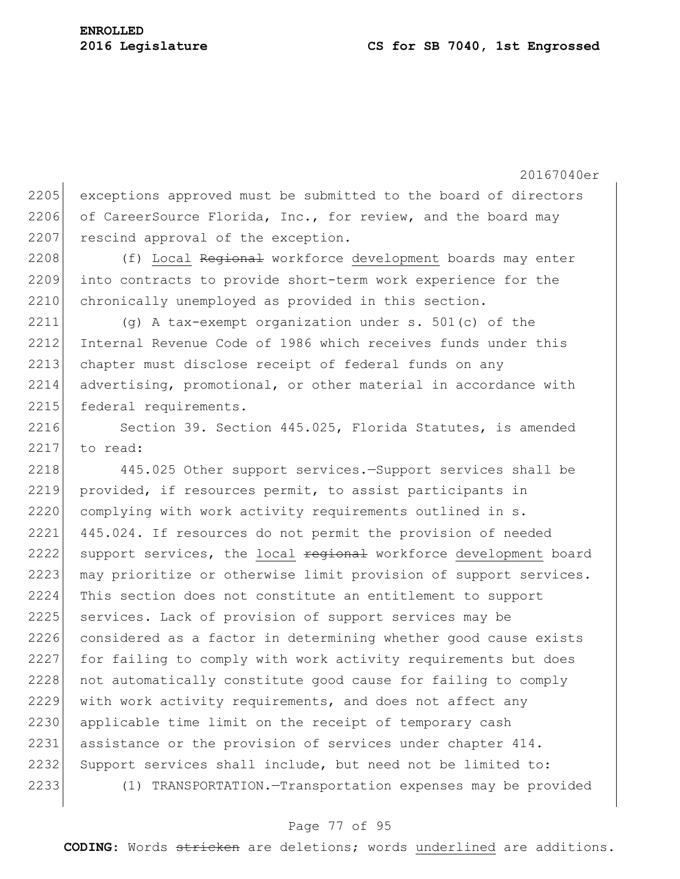2206 of CareerSource Florida, Inc., for review, and the board may 2207 rescind approval of the exception. 2208 (f) Local Regional workforce development boards may enter 2209 into contracts to provide short-term work experience for the 2210 chronically unemployed as provided in this section. 2211 (g) A tax-exempt organization under s. 501(c) of the 2212 Internal Revenue Code of 1986 which receives funds under this 2213 chapter must disclose receipt of federal funds on any 2214 advertising, promotional, or other material in accordance with 2215 federal requirements. 2216 Section 39. Section 445.025, Florida Statutes, is amended  $2217$  to read: 2218 445.025 Other support services. - Support services shall be 2219 provided, if resources permit, to assist participants in 2220 complying with work activity requirements outlined in s. 2221 445.024. If resources do not permit the provision of needed 2222 support services, the local regional workforce development board 2223 may prioritize or otherwise limit provision of support services. 2224 This section does not constitute an entitlement to support 2225 services. Lack of provision of support services may be 2226 considered as a factor in determining whether good cause exists 2227 for failing to comply with work activity requirements but does 2228 not automatically constitute good cause for failing to comply 2229 with work activity requirements, and does not affect any 2230 applicable time limit on the receipt of temporary cash 2231 assistance or the provision of services under chapter 414. 2232 Support services shall include, but need not be limited to: 2233 (1) TRANSPORTATION.—Transportation expenses may be provided

2205 exceptions approved must be submitted to the board of directors

#### Page 77 of 95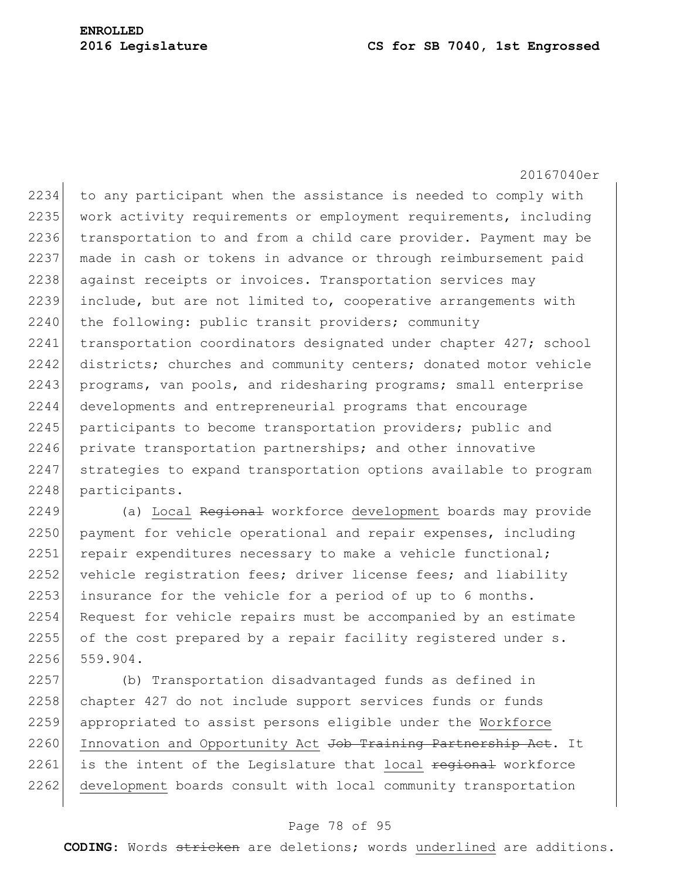2234 to any participant when the assistance is needed to comply with 2235 work activity requirements or employment requirements, including 2236 transportation to and from a child care provider. Payment may be 2237 made in cash or tokens in advance or through reimbursement paid 2238 against receipts or invoices. Transportation services may 2239 include, but are not limited to, cooperative arrangements with 2240 the following: public transit providers; community 2241 transportation coordinators designated under chapter 427; school 2242 districts; churches and community centers; donated motor vehicle 2243 programs, van pools, and ridesharing programs; small enterprise 2244 developments and entrepreneurial programs that encourage 2245 participants to become transportation providers; public and 2246 private transportation partnerships; and other innovative 2247 strategies to expand transportation options available to program 2248 participants.

2249 (a) Local Regional workforce development boards may provide 2250 payment for vehicle operational and repair expenses, including 2251 repair expenditures necessary to make a vehicle functional; 2252 vehicle registration fees; driver license fees; and liability 2253 insurance for the vehicle for a period of up to 6 months. 2254 Request for vehicle repairs must be accompanied by an estimate 2255 of the cost prepared by a repair facility reqistered under s. 2256 559.904.

2257 (b) Transportation disadvantaged funds as defined in 2258 chapter 427 do not include support services funds or funds 2259 appropriated to assist persons eligible under the Workforce 2260 Innovation and Opportunity Act Job Training Partnership Act. It 2261 is the intent of the Legislature that local regional workforce 2262 development boards consult with local community transportation

# Page 78 of 95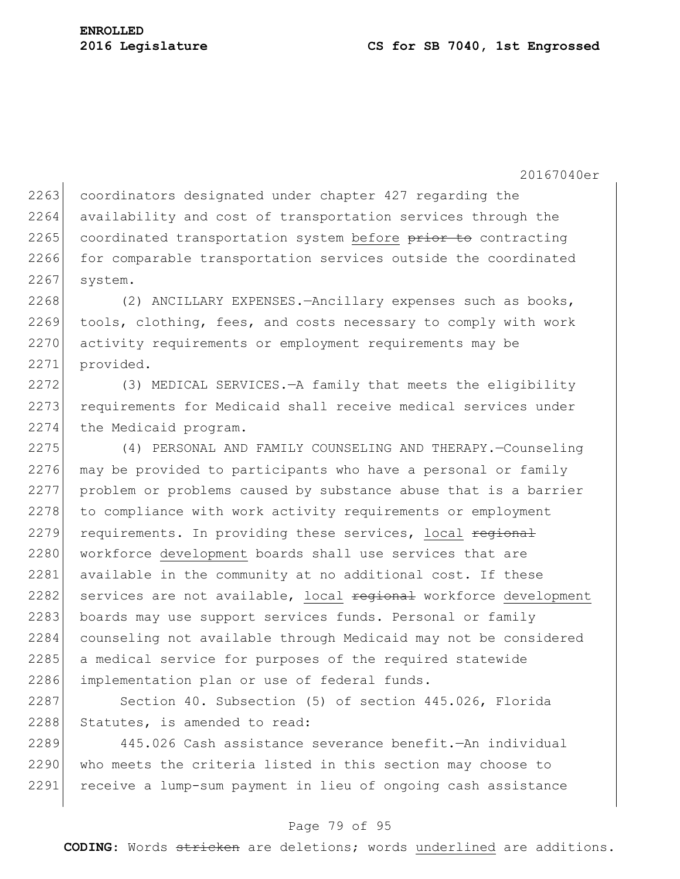2263 coordinators designated under chapter 427 regarding the 2264 availability and cost of transportation services through the 2265 coordinated transportation system before  $\frac{p}{p}$  to contracting 2266 for comparable transportation services outside the coordinated 2267 system.

2268 (2) ANCILLARY EXPENSES.—Ancillary expenses such as books, 2269 tools, clothing, fees, and costs necessary to comply with work 2270 activity requirements or employment requirements may be 2271 provided.

2272 (3) MEDICAL SERVICES.—A family that meets the eligibility 2273 requirements for Medicaid shall receive medical services under 2274 the Medicaid program.

2275 (4) PERSONAL AND FAMILY COUNSELING AND THERAPY.—Counseling 2276 may be provided to participants who have a personal or family 2277 problem or problems caused by substance abuse that is a barrier 2278 to compliance with work activity requirements or employment 2279 requirements. In providing these services, local regional 2280 workforce development boards shall use services that are 2281 available in the community at no additional cost. If these 2282 services are not available, local regional workforce development 2283 boards may use support services funds. Personal or family 2284 counseling not available through Medicaid may not be considered 2285 a medical service for purposes of the required statewide 2286 implementation plan or use of federal funds.

2287 Section 40. Subsection (5) of section 445.026, Florida 2288 Statutes, is amended to read:

2289 445.026 Cash assistance severance benefit.—An individual 2290 who meets the criteria listed in this section may choose to 2291 receive a lump-sum payment in lieu of ongoing cash assistance

# Page 79 of 95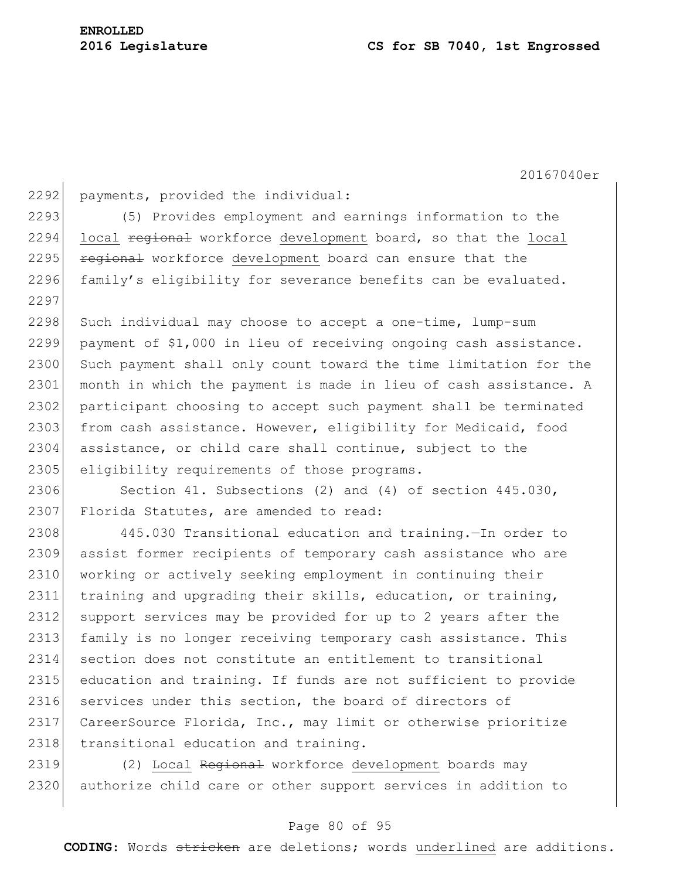2292 payments, provided the individual: 2293 (5) Provides employment and earnings information to the 2294 local regional workforce development board, so that the local 2295 **regional** workforce development board can ensure that the 2296 family's eligibility for severance benefits can be evaluated. 2297 2298 Such individual may choose to accept a one-time, lump-sum 2299 payment of \$1,000 in lieu of receiving ongoing cash assistance. 2300 Such payment shall only count toward the time limitation for the 2301 month in which the payment is made in lieu of cash assistance. A 2302 participant choosing to accept such payment shall be terminated 2303 from cash assistance. However, eligibility for Medicaid, food 2304 assistance, or child care shall continue, subject to the 2305 eligibility requirements of those programs. 2306 Section 41. Subsections (2) and (4) of section 445.030, 2307 Florida Statutes, are amended to read: 2308 445.030 Transitional education and training.—In order to 2309 assist former recipients of temporary cash assistance who are 2310 working or actively seeking employment in continuing their 2311 training and upgrading their skills, education, or training, 2312 support services may be provided for up to 2 years after the 2313 family is no longer receiving temporary cash assistance. This 2314 section does not constitute an entitlement to transitional 2315 education and training. If funds are not sufficient to provide 2316 services under this section, the board of directors of 2317 CareerSource Florida, Inc., may limit or otherwise prioritize 2318 transitional education and training.

2319 (2) Local Regional workforce development boards may 2320 authorize child care or other support services in addition to

## Page 80 of 95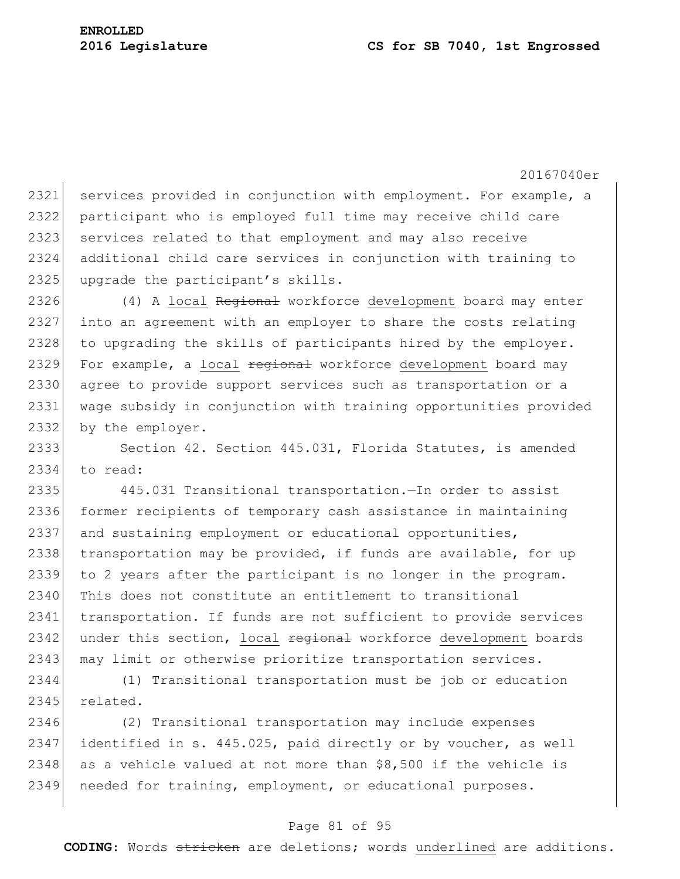20167040er 2321 services provided in conjunction with employment. For example, a 2322 participant who is employed full time may receive child care 2323 services related to that employment and may also receive 2324 additional child care services in conjunction with training to 2325 upgrade the participant's skills. 2326 (4) A local Regional workforce development board may enter 2327 into an agreement with an employer to share the costs relating 2328 to upgrading the skills of participants hired by the employer. 2329 For example, a local regional workforce development board may 2330 agree to provide support services such as transportation or a 2331 wage subsidy in conjunction with training opportunities provided 2332 by the employer. 2333 Section 42. Section 445.031, Florida Statutes, is amended 2334 to read: 2335 445.031 Transitional transportation. - In order to assist 2336 former recipients of temporary cash assistance in maintaining 2337 and sustaining employment or educational opportunities, 2338 transportation may be provided, if funds are available, for up 2339 to 2 years after the participant is no longer in the program. 2340 This does not constitute an entitlement to transitional 2341 transportation. If funds are not sufficient to provide services 2342 under this section, local regional workforce development boards

2343 may limit or otherwise prioritize transportation services. 2344 (1) Transitional transportation must be job or education

2345 related.

2346 (2) Transitional transportation may include expenses 2347 identified in s. 445.025, paid directly or by voucher, as well 2348 as a vehicle valued at not more than  $$8,500$  if the vehicle is 2349 needed for training, employment, or educational purposes.

## Page 81 of 95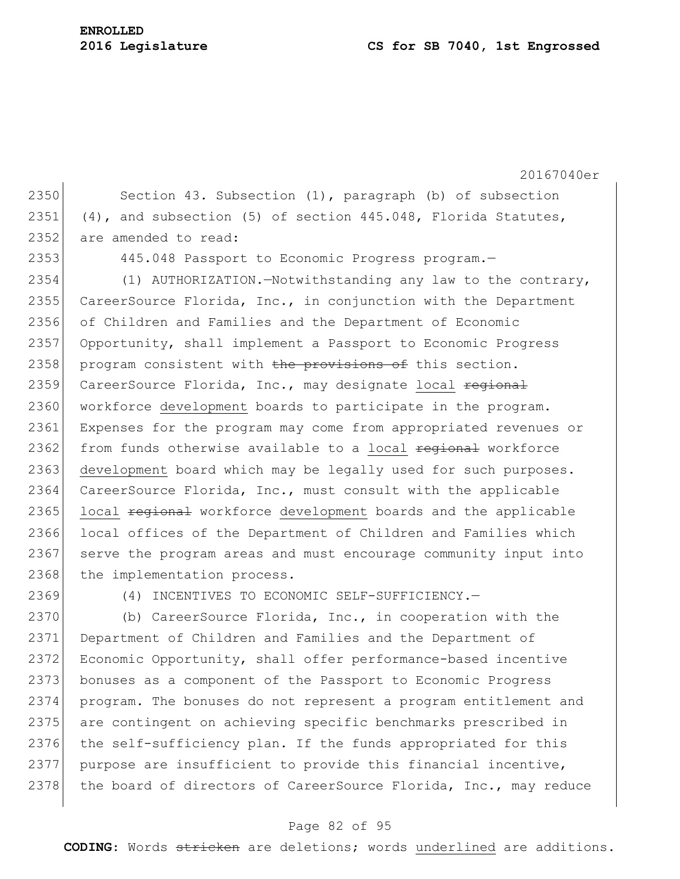# **ENROLLED**

# **2016 Legislature CS for SB 7040, 1st Engrossed**

20167040er 2350 Section 43. Subsection (1), paragraph (b) of subsection 2351 (4), and subsection (5) of section  $445.048$ , Florida Statutes, 2352 are amended to read: 2353 445.048 Passport to Economic Progress program.— 2354 (1) AUTHORIZATION.—Notwithstanding any law to the contrary, 2355 CareerSource Florida, Inc., in conjunction with the Department 2356 of Children and Families and the Department of Economic 2357 Opportunity, shall implement a Passport to Economic Progress 2358 program consistent with the provisions of this section. 2359 CareerSource Florida, Inc., may designate local regional 2360 workforce development boards to participate in the program. 2361 Expenses for the program may come from appropriated revenues or 2362 from funds otherwise available to a local regional workforce 2363 development board which may be legally used for such purposes. 2364 CareerSource Florida, Inc., must consult with the applicable 2365 local regional workforce development boards and the applicable 2366 local offices of the Department of Children and Families which 2367 serve the program areas and must encourage community input into 2368 the implementation process. 2369 (4) INCENTIVES TO ECONOMIC SELF-SUFFICIENCY.— 2370 (b) CareerSource Florida, Inc., in cooperation with the

2371 Department of Children and Families and the Department of 2372 Economic Opportunity, shall offer performance-based incentive 2373 bonuses as a component of the Passport to Economic Progress 2374 program. The bonuses do not represent a program entitlement and 2375 are contingent on achieving specific benchmarks prescribed in 2376 the self-sufficiency plan. If the funds appropriated for this 2377 purpose are insufficient to provide this financial incentive, 2378 | the board of directors of CareerSource Florida, Inc., may reduce

## Page 82 of 95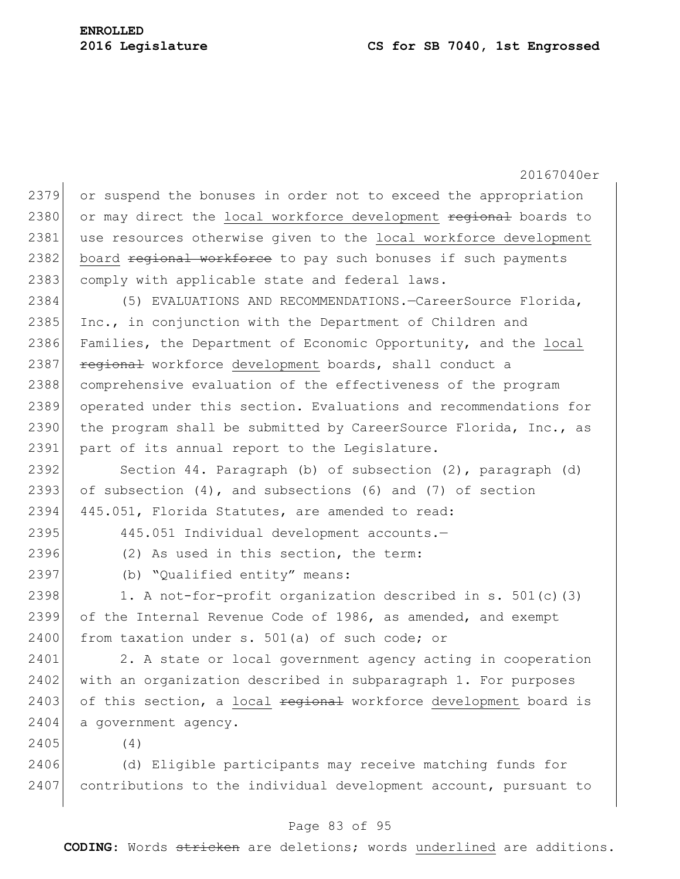20167040er 2379 or suspend the bonuses in order not to exceed the appropriation 2380 or may direct the local workforce development regional boards to 2381 use resources otherwise given to the local workforce development 2382 board regional workforce to pay such bonuses if such payments 2383 comply with applicable state and federal laws. 2384 (5) EVALUATIONS AND RECOMMENDATIONS.—CareerSource Florida, 2385 Inc., in conjunction with the Department of Children and 2386 Families, the Department of Economic Opportunity, and the local 2387 **regional** workforce development boards, shall conduct a 2388 comprehensive evaluation of the effectiveness of the program 2389 operated under this section. Evaluations and recommendations for 2390 the program shall be submitted by CareerSource Florida, Inc., as 2391 part of its annual report to the Legislature. 2392 Section 44. Paragraph (b) of subsection (2), paragraph (d) 2393 of subsection  $(4)$ , and subsections  $(6)$  and  $(7)$  of section 2394 445.051, Florida Statutes, are amended to read: 2395 445.051 Individual development accounts.— 2396 (2) As used in this section, the term: 2397 (b) "Qualified entity" means: 2398 1. A not-for-profit organization described in s. 501(c)(3) 2399 of the Internal Revenue Code of 1986, as amended, and exempt  $2400$  from taxation under s. 501(a) of such code; or 2401 2. A state or local government agency acting in cooperation 2402 with an organization described in subparagraph 1. For purposes 2403 of this section, a local  $\frac{1}{2403}$  workforce development board is 2404 a government agency. 2405 (4) 2406 (d) Eligible participants may receive matching funds for 2407 contributions to the individual development account, pursuant to

## Page 83 of 95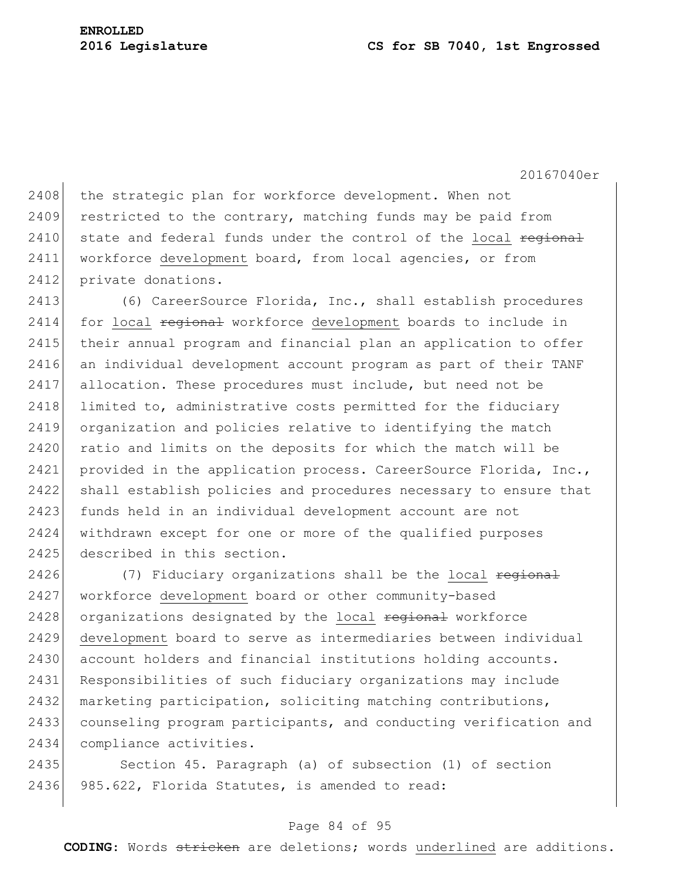2408 the strategic plan for workforce development. When not  $2409$  restricted to the contrary, matching funds may be paid from  $2410$  state and federal funds under the control of the local  $\frac{1}{2}$ 2411 workforce development board, from local agencies, or from 2412 private donations.

2413 (6) CareerSource Florida, Inc., shall establish procedures 2414 for local regional workforce development boards to include in 2415 their annual program and financial plan an application to offer 2416 an individual development account program as part of their TANF 2417 allocation. These procedures must include, but need not be 2418 limited to, administrative costs permitted for the fiduciary 2419 organization and policies relative to identifying the match 2420 ratio and limits on the deposits for which the match will be 2421 provided in the application process. CareerSource Florida, Inc., 2422 shall establish policies and procedures necessary to ensure that 2423 funds held in an individual development account are not 2424 withdrawn except for one or more of the qualified purposes 2425 described in this section.

 $(7)$  Fiduciary organizations shall be the local  $r$  regional workforce development board or other community-based 2428 organizations designated by the local regional workforce development board to serve as intermediaries between individual 2430 account holders and financial institutions holding accounts. Responsibilities of such fiduciary organizations may include 2432 marketing participation, soliciting matching contributions, counseling program participants, and conducting verification and compliance activities.

2435 Section 45. Paragraph (a) of subsection (1) of section 2436 985.622, Florida Statutes, is amended to read:

# Page 84 of 95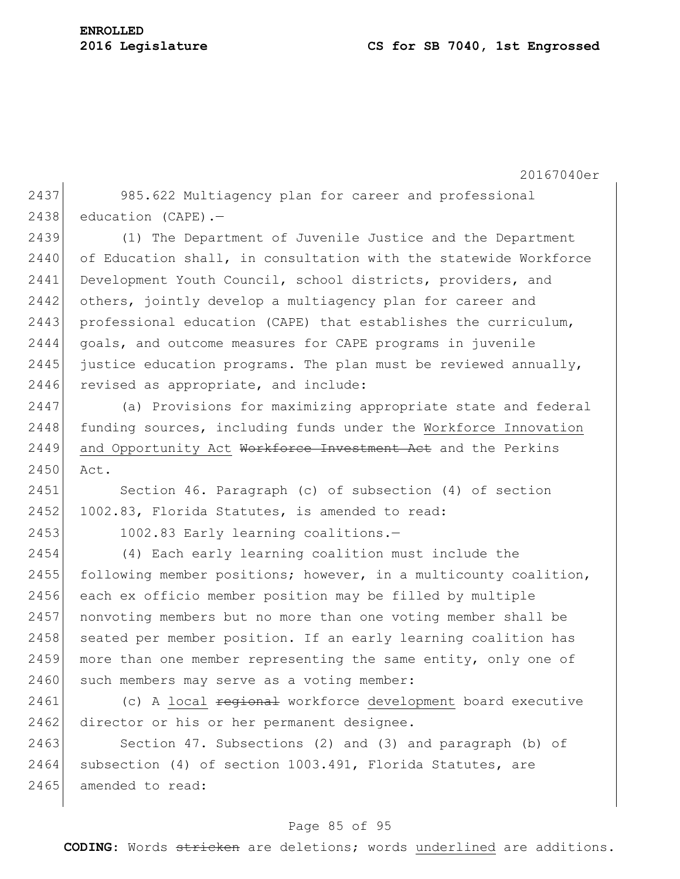2465 amended to read:

20167040er 2437 985.622 Multiagency plan for career and professional 2438 education (CAPE).-2439 (1) The Department of Juvenile Justice and the Department 2440 of Education shall, in consultation with the statewide Workforce 2441 Development Youth Council, school districts, providers, and 2442 others, jointly develop a multiagency plan for career and 2443 professional education (CAPE) that establishes the curriculum, 2444 goals, and outcome measures for CAPE programs in juvenile 2445 justice education programs. The plan must be reviewed annually, 2446 revised as appropriate, and include: 2447 (a) Provisions for maximizing appropriate state and federal 2448 funding sources, including funds under the Workforce Innovation 2449 and Opportunity Act Workforce Investment Act and the Perkins 2450 Act. 2451 Section 46. Paragraph (c) of subsection (4) of section 2452 1002.83, Florida Statutes, is amended to read: 2453 1002.83 Early learning coalitions.— 2454 (4) Each early learning coalition must include the 2455 following member positions; however, in a multicounty coalition, 2456 each ex officio member position may be filled by multiple 2457 nonvoting members but no more than one voting member shall be 2458 seated per member position. If an early learning coalition has 2459 more than one member representing the same entity, only one of 2460 such members may serve as a voting member: 2461 (c) A local regional workforce development board executive 2462 director or his or her permanent designee. 2463 Section 47. Subsections (2) and (3) and paragraph (b) of 2464 subsection (4) of section 1003.491, Florida Statutes, are

### Page 85 of 95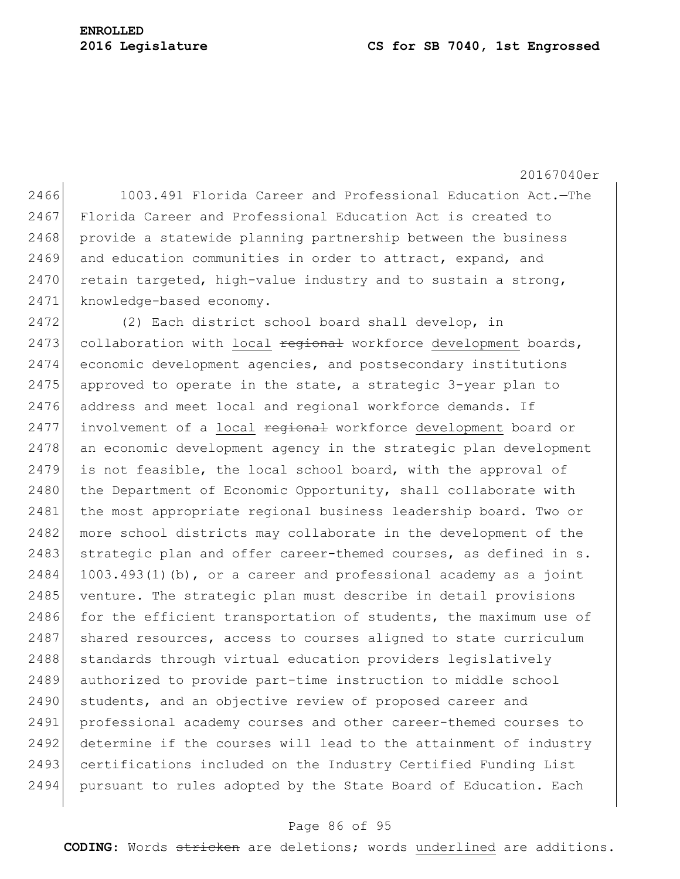20167040er 2466 1003.491 Florida Career and Professional Education Act.—The 2467 Florida Career and Professional Education Act is created to 2468 provide a statewide planning partnership between the business 2469 and education communities in order to attract, expand, and 2470 retain targeted, high-value industry and to sustain a strong, 2471 knowledge-based economy. 2472 (2) Each district school board shall develop, in 2473 collaboration with local  $\frac{1}{100}$  regional workforce development boards,

2474 economic development agencies, and postsecondary institutions 2475 approved to operate in the state, a strategic 3-year plan to 2476 address and meet local and regional workforce demands. If 2477 involvement of a local regional workforce development board or 2478 an economic development agency in the strategic plan development 2479 is not feasible, the local school board, with the approval of 2480 the Department of Economic Opportunity, shall collaborate with 2481 the most appropriate regional business leadership board. Two or 2482 more school districts may collaborate in the development of the 2483 strategic plan and offer career-themed courses, as defined in s.  $2484$  1003.493(1)(b), or a career and professional academy as a joint 2485 venture. The strategic plan must describe in detail provisions 2486 for the efficient transportation of students, the maximum use of 2487 Shared resources, access to courses aligned to state curriculum 2488 standards through virtual education providers legislatively 2489 authorized to provide part-time instruction to middle school 2490 students, and an objective review of proposed career and 2491 professional academy courses and other career-themed courses to 2492 determine if the courses will lead to the attainment of industry 2493 certifications included on the Industry Certified Funding List 2494 pursuant to rules adopted by the State Board of Education. Each

# Page 86 of 95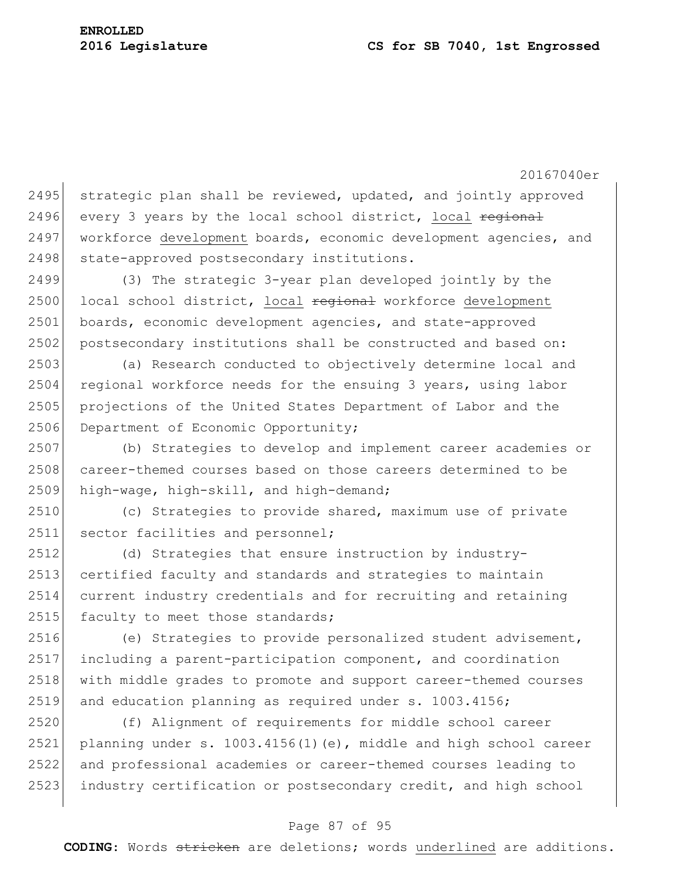2495 strategic plan shall be reviewed, updated, and jointly approved 2496 every 3 years by the local school district, local  $\frac{1}{100}$ 2497 workforce development boards, economic development agencies, and 2498 state-approved postsecondary institutions. 2499 (3) The strategic 3-year plan developed jointly by the 2500 local school district, local regional workforce development 2501 boards, economic development agencies, and state-approved 2502 postsecondary institutions shall be constructed and based on:

2503 (a) Research conducted to objectively determine local and 2504 regional workforce needs for the ensuing 3 years, using labor 2505 projections of the United States Department of Labor and the 2506 Department of Economic Opportunity;

2507 (b) Strategies to develop and implement career academies or 2508 career-themed courses based on those careers determined to be 2509 high-wage, high-skill, and high-demand;

2510 (c) Strategies to provide shared, maximum use of private 2511 sector facilities and personnel;

 (d) Strategies that ensure instruction by industry- certified faculty and standards and strategies to maintain current industry credentials and for recruiting and retaining 2515 faculty to meet those standards;

2516 (e) Strategies to provide personalized student advisement, 2517 including a parent-participation component, and coordination 2518 with middle grades to promote and support career-themed courses 2519 and education planning as required under s. 1003.4156;

 (f) Alignment of requirements for middle school career planning under s. 1003.4156(1)(e), middle and high school career and professional academies or career-themed courses leading to industry certification or postsecondary credit, and high school

## Page 87 of 95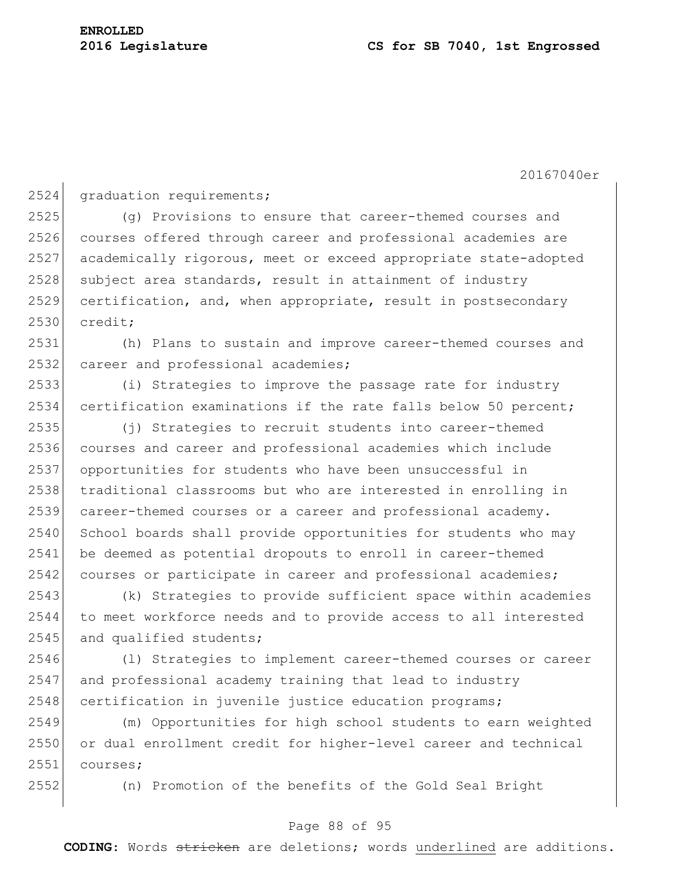2524 graduation requirements; (g) Provisions to ensure that career-themed courses and courses offered through career and professional academies are academically rigorous, meet or exceed appropriate state-adopted 2528 subject area standards, result in attainment of industry certification, and, when appropriate, result in postsecondary credit: (h) Plans to sustain and improve career-themed courses and 2532 career and professional academies; (i) Strategies to improve the passage rate for industry certification examinations if the rate falls below 50 percent; (j) Strategies to recruit students into career-themed courses and career and professional academies which include opportunities for students who have been unsuccessful in traditional classrooms but who are interested in enrolling in

 career-themed courses or a career and professional academy. 2540 School boards shall provide opportunities for students who may be deemed as potential dropouts to enroll in career-themed 2542 courses or participate in career and professional academies;

 (k) Strategies to provide sufficient space within academies to meet workforce needs and to provide access to all interested 2545 and qualified students;

 (l) Strategies to implement career-themed courses or career 2547 and professional academy training that lead to industry 2548 certification in juvenile justice education programs;

 (m) Opportunities for high school students to earn weighted or dual enrollment credit for higher-level career and technical 2551 courses:

(n) Promotion of the benefits of the Gold Seal Bright

# Page 88 of 95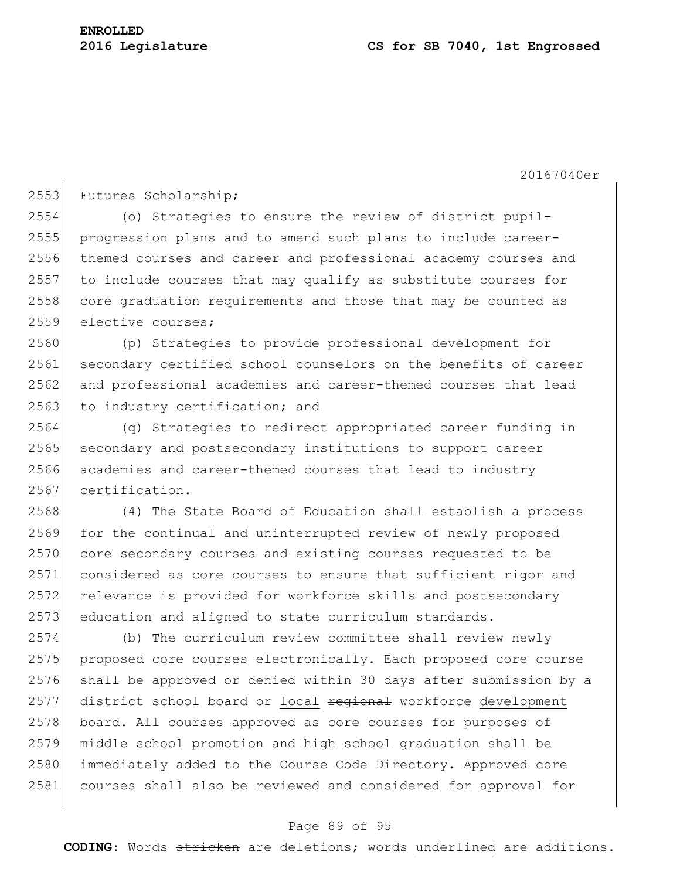2553 Futures Scholarship;

2554 (o) Strategies to ensure the review of district pupil-2555 progression plans and to amend such plans to include career-2556 themed courses and career and professional academy courses and 2557 to include courses that may qualify as substitute courses for 2558 core graduation requirements and those that may be counted as 2559 elective courses: 2560 (p) Strategies to provide professional development for 2561 secondary certified school counselors on the benefits of career 2562 and professional academies and career-themed courses that lead 2563 to industry certification; and 2564 (q) Strategies to redirect appropriated career funding in 2565 secondary and postsecondary institutions to support career 2566 academies and career-themed courses that lead to industry 2567 certification. 2568 (4) The State Board of Education shall establish a process 2569 for the continual and uninterrupted review of newly proposed 2570 core secondary courses and existing courses requested to be 2571 considered as core courses to ensure that sufficient rigor and 2572 relevance is provided for workforce skills and postsecondary 2573 education and aligned to state curriculum standards. 2574 (b) The curriculum review committee shall review newly 2575 proposed core courses electronically. Each proposed core course 2576 shall be approved or denied within 30 days after submission by a 2577 district school board or local regional workforce development 2578 board. All courses approved as core courses for purposes of 2579 middle school promotion and high school graduation shall be 2580 immediately added to the Course Code Directory. Approved core 2581 courses shall also be reviewed and considered for approval for

# Page 89 of 95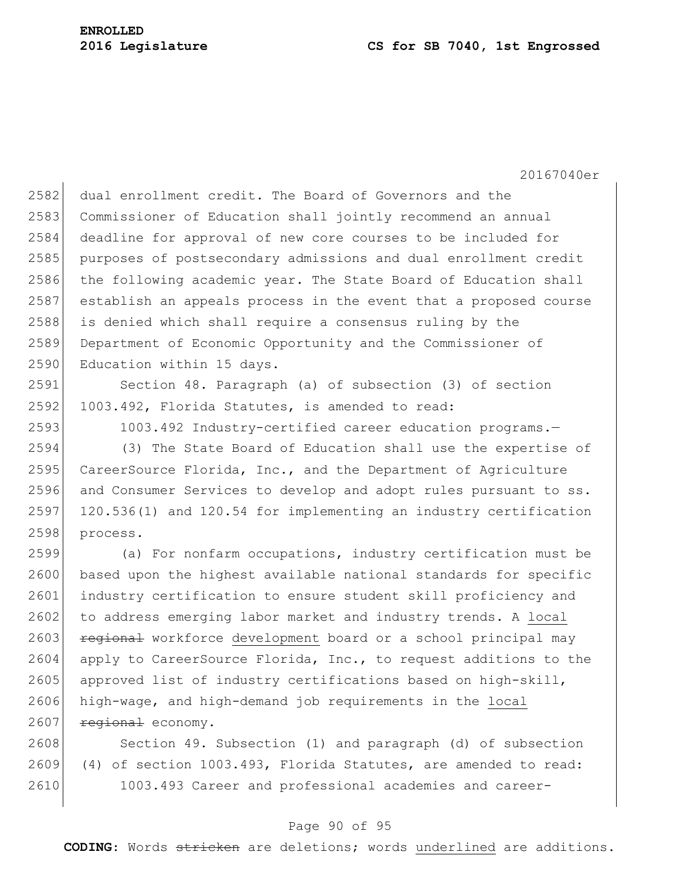#### **2016 Legislature CS for SB 7040, 1st Engrossed**

20167040er

2582 dual enrollment credit. The Board of Governors and the 2583 Commissioner of Education shall jointly recommend an annual 2584 deadline for approval of new core courses to be included for 2585 purposes of postsecondary admissions and dual enrollment credit 2586 the following academic year. The State Board of Education shall 2587 establish an appeals process in the event that a proposed course 2588 is denied which shall require a consensus ruling by the 2589 Department of Economic Opportunity and the Commissioner of 2590 Education within 15 days.

2591 Section 48. Paragraph (a) of subsection (3) of section 2592 1003.492, Florida Statutes, is amended to read:

2593 1003.492 Industry-certified career education programs.-

2594 (3) The State Board of Education shall use the expertise of 2595 CareerSource Florida, Inc., and the Department of Agriculture 2596 and Consumer Services to develop and adopt rules pursuant to ss. 2597 120.536(1) and 120.54 for implementing an industry certification 2598 process.

2599 (a) For nonfarm occupations, industry certification must be 2600 based upon the highest available national standards for specific 2601 industry certification to ensure student skill proficiency and 2602 to address emerging labor market and industry trends. A local 2603 regional workforce development board or a school principal may 2604 apply to CareerSource Florida, Inc., to request additions to the 2605 approved list of industry certifications based on high-skill, 2606 high-wage, and high-demand job requirements in the local  $2607$  regional economy.

2608 Section 49. Subsection (1) and paragraph (d) of subsection 2609 (4) of section 1003.493, Florida Statutes, are amended to read: 2610 1003.493 Career and professional academies and career-

# Page 90 of 95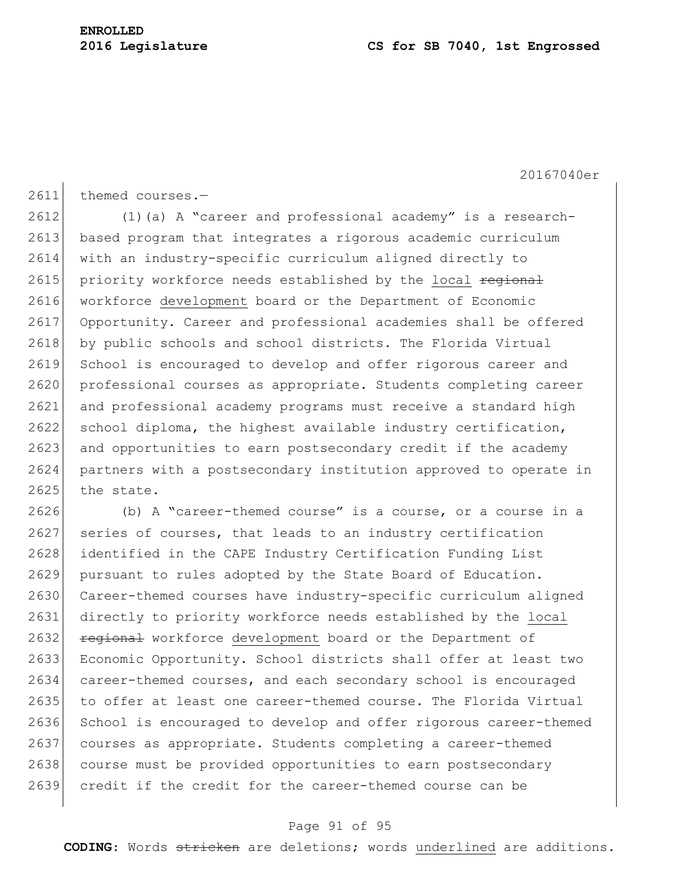2611 themed courses.—

2612 (1)(a) A "career and professional academy" is a research-2613 based program that integrates a rigorous academic curriculum 2614 with an industry-specific curriculum aligned directly to 2615 priority workforce needs established by the local regional 2616 workforce development board or the Department of Economic 2617 Opportunity. Career and professional academies shall be offered 2618 by public schools and school districts. The Florida Virtual 2619 School is encouraged to develop and offer rigorous career and 2620 professional courses as appropriate. Students completing career 2621 and professional academy programs must receive a standard high 2622 school diploma, the highest available industry certification, 2623 and opportunities to earn postsecondary credit if the academy 2624 partners with a postsecondary institution approved to operate in 2625 the state.

 (b) A "career-themed course" is a course, or a course in a 2627 series of courses, that leads to an industry certification identified in the CAPE Industry Certification Funding List pursuant to rules adopted by the State Board of Education. Career-themed courses have industry-specific curriculum aligned 2631 directly to priority workforce needs established by the local 2632 regional workforce development board or the Department of Economic Opportunity. School districts shall offer at least two career-themed courses, and each secondary school is encouraged 2635 to offer at least one career-themed course. The Florida Virtual School is encouraged to develop and offer rigorous career-themed courses as appropriate. Students completing a career-themed 2638 course must be provided opportunities to earn postsecondary credit if the credit for the career-themed course can be

# Page 91 of 95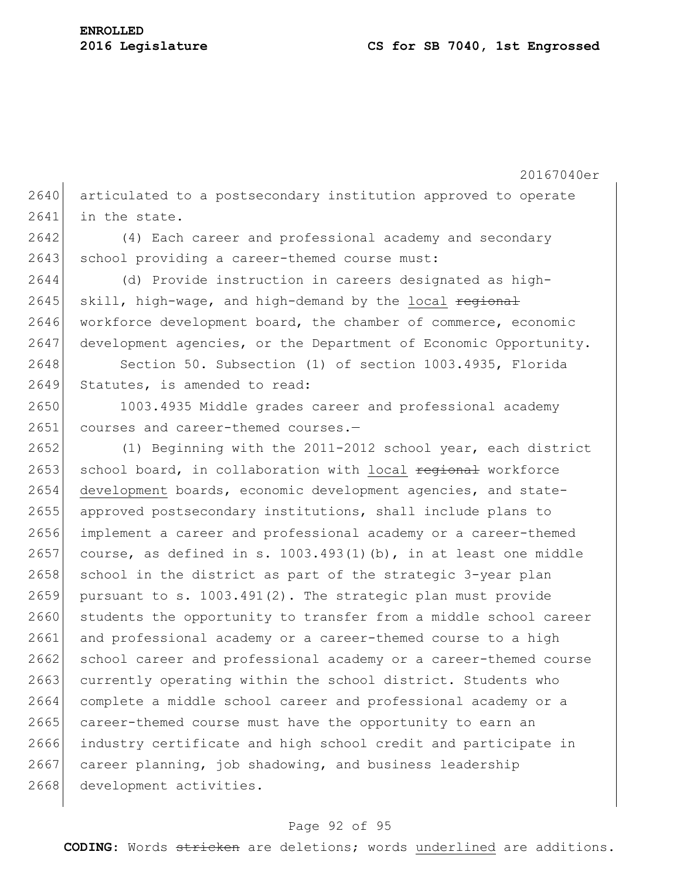20167040er 2640 articulated to a postsecondary institution approved to operate 2641 in the state. 2642 (4) Each career and professional academy and secondary 2643 school providing a career-themed course must: 2644 (d) Provide instruction in careers designated as high-2645 skill, high-wage, and high-demand by the local  $\frac{1}{100}$ 2646 workforce development board, the chamber of commerce, economic 2647 development agencies, or the Department of Economic Opportunity. 2648 Section 50. Subsection (1) of section 1003.4935, Florida 2649 Statutes, is amended to read: 2650 1003.4935 Middle grades career and professional academy 2651 courses and career-themed courses.-2652 (1) Beginning with the 2011-2012 school year, each district 2653 school board, in collaboration with local regional workforce 2654 development boards, economic development agencies, and state-2655 approved postsecondary institutions, shall include plans to 2656 implement a career and professional academy or a career-themed 2657 course, as defined in s. 1003.493(1)(b), in at least one middle 2658 school in the district as part of the strategic 3-year plan 2659 pursuant to s.  $1003.491(2)$ . The strategic plan must provide 2660 students the opportunity to transfer from a middle school career 2661 and professional academy or a career-themed course to a high 2662 school career and professional academy or a career-themed course 2663 currently operating within the school district. Students who 2664 complete a middle school career and professional academy or a 2665 career-themed course must have the opportunity to earn an 2666 industry certificate and high school credit and participate in 2667 career planning, job shadowing, and business leadership 2668 development activities.

## Page 92 of 95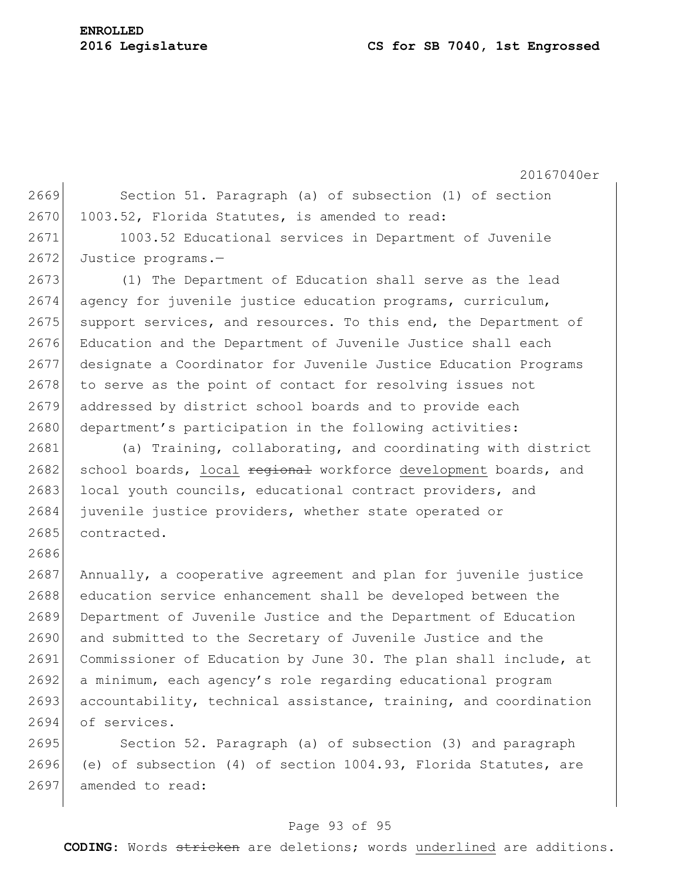2697 amended to read:

20167040er 2669 Section 51. Paragraph (a) of subsection (1) of section  $2670$  1003.52, Florida Statutes, is amended to read: 2671 1003.52 Educational services in Department of Juvenile 2672 Justice programs.-2673 (1) The Department of Education shall serve as the lead 2674 agency for juvenile justice education programs, curriculum, 2675 support services, and resources. To this end, the Department of 2676 Education and the Department of Juvenile Justice shall each 2677 designate a Coordinator for Juvenile Justice Education Programs 2678 to serve as the point of contact for resolving issues not 2679 addressed by district school boards and to provide each 2680 department's participation in the following activities: 2681 (a) Training, collaborating, and coordinating with district 2682 school boards, local regional workforce development boards, and 2683 local youth councils, educational contract providers, and 2684 juvenile justice providers, whether state operated or 2685 contracted. 2686 2687 Annually, a cooperative agreement and plan for juvenile justice 2688 education service enhancement shall be developed between the 2689 Department of Juvenile Justice and the Department of Education 2690 and submitted to the Secretary of Juvenile Justice and the 2691 Commissioner of Education by June 30. The plan shall include, at 2692 a minimum, each agency's role regarding educational program 2693 accountability, technical assistance, training, and coordination 2694 of services. 2695 Section 52. Paragraph (a) of subsection (3) and paragraph 2696 (e) of subsection (4) of section 1004.93, Florida Statutes, are

### Page 93 of 95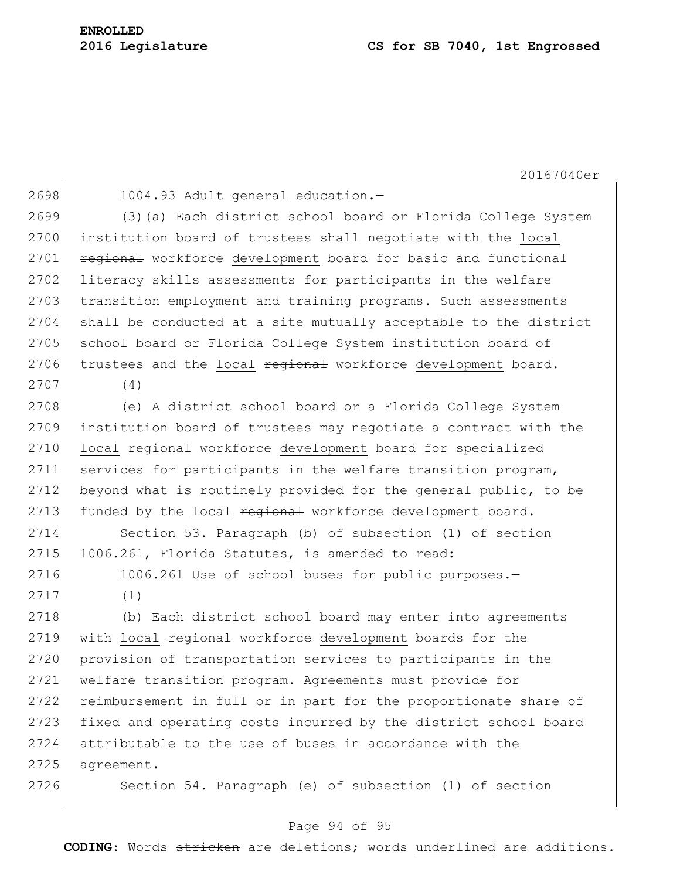2698 1004.93 Adult general education.-2699 (3)(a) Each district school board or Florida College System 2700 institution board of trustees shall negotiate with the local 2701 **regional** workforce development board for basic and functional 2702 literacy skills assessments for participants in the welfare 2703 transition employment and training programs. Such assessments 2704 shall be conducted at a site mutually acceptable to the district 2705 school board or Florida College System institution board of 2706 trustees and the local regional workforce development board. 2707 (4) 2708 (e) A district school board or a Florida College System 2709 institution board of trustees may negotiate a contract with the 2710 local regional workforce development board for specialized 2711 services for participants in the welfare transition program, 2712 beyond what is routinely provided for the general public, to be 2713 funded by the local  $\frac{1}{2}$  regional workforce development board. 2714 Section 53. Paragraph (b) of subsection (1) of section 2715 1006.261, Florida Statutes, is amended to read: 2716 1006.261 Use of school buses for public purposes.-2717 (1) 2718 (b) Each district school board may enter into agreements 2719 with local regional workforce development boards for the 2720 provision of transportation services to participants in the 2721 welfare transition program. Agreements must provide for 2722 reimbursement in full or in part for the proportionate share of 2723 fixed and operating costs incurred by the district school board 2724 attributable to the use of buses in accordance with the 2725 agreement. 2726 Section 54. Paragraph (e) of subsection (1) of section

# Page 94 of 95